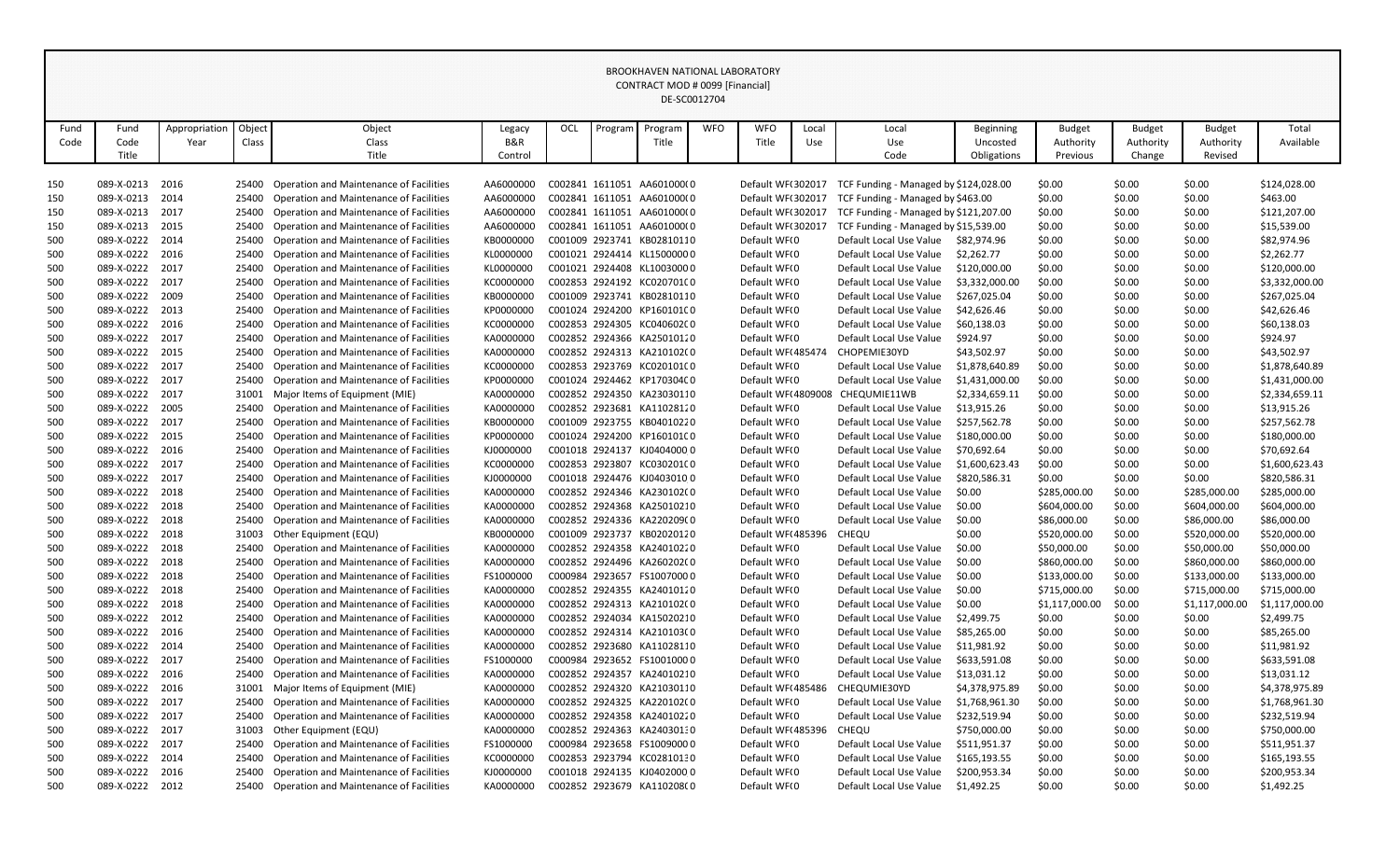|            | <b>BROOKHAVEN NATIONAL LABORATORY</b><br>CONTRACT MOD # 0099 [Financial]<br>DE-SC0012704 |               |                |                                                                                    |                        |     |         |                                                          |            |                                        |       |                                                                 |                  |                              |                  |                              |                              |
|------------|------------------------------------------------------------------------------------------|---------------|----------------|------------------------------------------------------------------------------------|------------------------|-----|---------|----------------------------------------------------------|------------|----------------------------------------|-------|-----------------------------------------------------------------|------------------|------------------------------|------------------|------------------------------|------------------------------|
|            |                                                                                          |               |                |                                                                                    |                        |     |         |                                                          |            |                                        |       |                                                                 |                  |                              |                  |                              |                              |
|            |                                                                                          |               |                |                                                                                    |                        |     |         |                                                          |            |                                        |       |                                                                 |                  |                              |                  |                              |                              |
| Fund       | Fund                                                                                     | Appropriation | Object         | Object                                                                             | Legacy                 | OCL | Program | Program                                                  | <b>WFO</b> | <b>WFO</b>                             | Local | Local                                                           | <b>Beginning</b> | <b>Budget</b>                | <b>Budget</b>    | <b>Budget</b>                | Total                        |
| Code       | Code                                                                                     | Year          | Class          | Class                                                                              | B&R                    |     |         | Title                                                    |            | Title                                  | Use   | Use                                                             | Uncosted         | Authority                    | Authority        | Authority                    | Available                    |
|            | Title                                                                                    |               |                | Title                                                                              | Control                |     |         |                                                          |            |                                        |       | Code                                                            | Obligations      | Previous                     | Change           | Revised                      |                              |
|            |                                                                                          |               |                |                                                                                    |                        |     |         |                                                          |            |                                        |       |                                                                 |                  |                              |                  |                              |                              |
| 150        | 089-X-0213                                                                               | 2016          | 25400          | Operation and Maintenance of Facilities                                            | AA6000000              |     |         | C002841 1611051 AA601000(0                               |            | Default WF(302017                      |       | TCF Funding - Managed by \$124,028.00                           |                  | \$0.00                       | \$0.00           | \$0.00                       | \$124,028.00                 |
| 150        | 089-X-0213                                                                               | 2014          | 25400          | Operation and Maintenance of Facilities                                            | AA6000000              |     |         | C002841 1611051 AA601000(0                               |            | Default WF(302017                      |       | TCF Funding - Managed by \$463.00                               |                  | \$0.00                       | \$0.00           | \$0.00                       | \$463.00                     |
| 150        | 089-X-0213<br>089-X-0213                                                                 | 2017<br>2015  | 25400          | Operation and Maintenance of Facilities<br>Operation and Maintenance of Facilities | AA6000000              |     |         | C002841 1611051 AA601000(0<br>C002841 1611051 AA601000(0 |            | Default WF(302017<br>Default WF(302017 |       | TCF Funding - Managed by \$121,207.00                           |                  | \$0.00                       | \$0.00           | \$0.00                       | \$121,207.00<br>\$15,539.00  |
| 150<br>500 | 089-X-0222                                                                               | 2014          | 25400<br>25400 | Operation and Maintenance of Facilities                                            | AA6000000<br>KB0000000 |     |         | C001009 2923741 KB02810110                               |            | Default WF(0                           |       | TCF Funding - Managed by \$15,539.00<br>Default Local Use Value | \$82,974.96      | \$0.00<br>\$0.00             | \$0.00<br>\$0.00 | \$0.00<br>\$0.00             | \$82,974.96                  |
| 500        | 089-X-0222                                                                               | 2016          | 25400          | Operation and Maintenance of Facilities                                            | KL0000000              |     |         | C001021 2924414 KL15000000                               |            | Default WFI0                           |       | Default Local Use Value                                         | \$2,262.77       | \$0.00                       | \$0.00           | \$0.00                       | \$2,262.77                   |
| 500        | 089-X-0222                                                                               | 2017          | 25400          | Operation and Maintenance of Facilities                                            | KL0000000              |     |         | C001021 2924408 KL10030000                               |            | Default WFI0                           |       | Default Local Use Value                                         | \$120,000.00     | \$0.00                       | \$0.00           | \$0.00                       | \$120,000.00                 |
| 500        | 089-X-0222                                                                               | 2017          | 25400          | Operation and Maintenance of Facilities                                            | KC0000000              |     |         | C002853 2924192 KC020701(0                               |            | Default WF(0                           |       | Default Local Use Value                                         | \$3,332,000.00   | \$0.00                       | \$0.00           | \$0.00                       | \$3,332,000.00               |
| 500        | 089-X-0222                                                                               | 2009          | 25400          | Operation and Maintenance of Facilities                                            | KB0000000              |     |         | C001009 2923741 KB02810110                               |            | Default WF(0                           |       | Default Local Use Value                                         | \$267,025.04     | \$0.00                       | \$0.00           | \$0.00                       | \$267,025.04                 |
| 500        | 089-X-0222                                                                               | 2013          | 25400          | <b>Operation and Maintenance of Facilities</b>                                     | KP0000000              |     |         | C001024 2924200 KP160101C0                               |            | Default WF(0                           |       | Default Local Use Value                                         | \$42,626.46      | \$0.00                       | \$0.00           | \$0.00                       | \$42,626.46                  |
| 500        | 089-X-0222                                                                               | 2016          | 25400          | Operation and Maintenance of Facilities                                            | KC0000000              |     |         | C002853 2924305 KC04060200                               |            | Default WF(0                           |       | Default Local Use Value                                         | \$60,138.03      | \$0.00                       | \$0.00           | \$0.00                       | \$60,138.03                  |
| 500        | 089-X-0222                                                                               | 2017          | 25400          | Operation and Maintenance of Facilities                                            | KA000000C              |     |         | C002852 2924366 KA25010120                               |            | Default WFI0                           |       | Default Local Use Value                                         | \$924.97         | \$0.00                       | \$0.00           | \$0.00                       | \$924.97                     |
| 500        | 089-X-0222                                                                               | 2015          | 25400          | Operation and Maintenance of Facilities                                            | KA000000C              |     |         | C002852 2924313 KA210102(0                               |            | Default WF(485474                      |       | CHOPEMIE30YD                                                    | \$43,502.97      | \$0.00                       | \$0.00           | \$0.00                       | \$43,502.97                  |
| 500        | 089-X-0222                                                                               | 2017          | 25400          | Operation and Maintenance of Facilities                                            | KC0000000              |     |         | C002853 2923769 KC020101(0                               |            | Default WF(0                           |       | Default Local Use Value                                         | \$1,878,640.89   | \$0.00                       | \$0.00           | \$0.00                       | \$1,878,640.89               |
| 500        | 089-X-0222                                                                               | 2017          | 25400          | <b>Operation and Maintenance of Facilities</b>                                     | KP0000000              |     |         | C001024 2924462 KP170304C0                               |            | Default WF(0                           |       | Default Local Use Value                                         | \$1,431,000.00   | \$0.00                       | \$0.00           | \$0.00                       | \$1,431,000.00               |
| 500        | 089-X-0222                                                                               | 2017          | 31001          | Major Items of Equipment (MIE)                                                     | KA000000C              |     |         | C002852 2924350 KA23030110                               |            | Default WF(4809008                     |       | CHEQUMIE11WB                                                    | \$2,334,659.11   | \$0.00                       | \$0.00           | \$0.00                       | \$2,334,659.11               |
| 500        | 089-X-0222                                                                               | 2005          | 25400          | Operation and Maintenance of Facilities                                            | KA000000C              |     |         | C002852 2923681 KA11028120                               |            | Default WFI0                           |       | Default Local Use Value                                         | \$13,915.26      | \$0.00                       | \$0.00           | \$0.00                       | \$13,915.26                  |
| 500        | 089-X-0222                                                                               | 2017          | 25400          | <b>Operation and Maintenance of Facilities</b>                                     | KB0000000              |     |         | C001009 2923755 KB04010220                               |            | Default WF(0                           |       | Default Local Use Value                                         | \$257,562.78     | \$0.00                       | \$0.00           | \$0.00                       | \$257,562.78                 |
| 500        | 089-X-0222                                                                               | 2015          | 25400          | Operation and Maintenance of Facilities                                            | KP0000000              |     |         | C001024 2924200 KP160101C0                               |            | Default WF(0                           |       | Default Local Use Value                                         | \$180,000.00     | \$0.00                       | \$0.00           | \$0.00                       | \$180,000.00                 |
| 500        | 089-X-0222                                                                               | 2016          | 25400          | Operation and Maintenance of Facilities                                            | KJ0000000              |     |         | C001018 2924137 KJ0404000 0                              |            | Default WF(0                           |       | Default Local Use Value                                         | \$70,692.64      | \$0.00                       | \$0.00           | \$0.00                       | \$70,692.64                  |
| 500        | 089-X-0222                                                                               | 2017          | 25400          | <b>Operation and Maintenance of Facilities</b>                                     | KC0000000              |     |         | C002853 2923807 KC03020100                               |            | Default WF(0                           |       | Default Local Use Value                                         | \$1,600,623.43   | \$0.00                       | \$0.00           | \$0.00                       | \$1,600,623.43               |
| 500        | 089-X-0222                                                                               | 2017          | 25400          | Operation and Maintenance of Facilities                                            | KJ0000000              |     |         | C001018 2924476 KJ0403010 0                              |            | Default WFI0                           |       | Default Local Use Value                                         | \$820,586.31     | \$0.00                       | \$0.00           | \$0.00                       | \$820,586.31                 |
| 500        | 089-X-0222                                                                               | 2018          | 25400          | Operation and Maintenance of Facilities                                            | KA000000C              |     |         | C002852 2924346 KA230102(0                               |            | Default WF(0                           |       | Default Local Use Value                                         | \$0.00           | \$285,000.00                 | \$0.00           | \$285,000.00                 | \$285,000.00                 |
| 500        | 089-X-0222                                                                               | 2018          | 25400          | <b>Operation and Maintenance of Facilities</b>                                     | KA0000000              |     |         | C002852 2924368 KA25010210                               |            | Default WF(0                           |       | Default Local Use Value                                         | \$0.00           | \$604,000.00                 | \$0.00           | \$604,000.00                 | \$604,000.00                 |
| 500        | 089-X-0222                                                                               | 2018          | 25400          | <b>Operation and Maintenance of Facilities</b>                                     | KA0000000              |     |         | C002852 2924336 KA220209(0                               |            | Default WF(0                           |       | Default Local Use Value                                         | \$0.00           | \$86,000.00                  | \$0.00           | \$86,000.00                  | \$86,000.00                  |
| 500        | 089-X-0222                                                                               | 2018          | 31003          | Other Equipment (EQU)                                                              | KB0000000              |     |         | C001009 2923737 KB02020120                               |            | Default WF(485396                      |       | CHEQU                                                           | \$0.00           | \$520,000.00                 | \$0.00           | \$520,000.00                 | \$520,000.00                 |
| 500        | 089-X-0222                                                                               | 2018          | 25400          | Operation and Maintenance of Facilities<br>Operation and Maintenance of Facilities | KA0000000              |     |         | C002852 2924358 KA24010220<br>C002852 2924496 KA260202(0 |            | Default WF(0                           |       | Default Local Use Value                                         | \$0.00           | \$50,000.00                  | \$0.00           | \$50,000.00                  | \$50,000.00                  |
| 500        | 089-X-0222<br>089-X-0222                                                                 | 2018<br>2018  | 25400<br>25400 | <b>Operation and Maintenance of Facilities</b>                                     | KA0000000<br>FS1000000 |     |         | C000984 2923657 FS10070000                               |            | Default WF(0<br>Default WF(0           |       | Default Local Use Value<br>Default Local Use Value              | \$0.00<br>\$0.00 | \$860,000.00<br>\$133,000.00 | \$0.00<br>\$0.00 | \$860,000.00<br>\$133,000.00 | \$860,000.00<br>\$133,000.00 |
| 500<br>500 | 089-X-0222                                                                               | 2018          | 25400          | Operation and Maintenance of Facilities                                            | KA0000000              |     |         | C002852 2924355 KA24010120                               |            | Default WF(0                           |       | Default Local Use Value                                         | \$0.00           | \$715,000.00                 | \$0.00           | \$715,000.00                 | \$715,000.00                 |
| 500        | 089-X-0222                                                                               | 2018          | 25400          | Operation and Maintenance of Facilities                                            | KA0000000              |     |         | C002852 2924313 KA210102(0                               |            | Default WFI0                           |       | Default Local Use Value                                         | \$0.00           | \$1,117,000.00               | \$0.00           | \$1,117,000.00               | \$1,117,000.00               |
| 500        | 089-X-0222                                                                               | 2012          | 25400          | Operation and Maintenance of Facilities                                            | KA000000C              |     |         | C002852 2924034 KA15020210                               |            | Default WF(0                           |       | Default Local Use Value                                         | \$2,499.75       | \$0.00                       | \$0.00           | \$0.00                       | \$2,499.75                   |
| 500        | 089-X-0222                                                                               | 2016          | 25400          | Operation and Maintenance of Facilities                                            | KA000000C              |     |         | C002852 2924314 KA210103(0                               |            | Default WFI0                           |       | Default Local Use Value                                         | \$85,265.00      | \$0.00                       | \$0.00           | \$0.00                       | \$85,265.00                  |
| 500        | 089-X-0222                                                                               | 2014          | 25400          | Operation and Maintenance of Facilities                                            | KA0000000              |     |         | C002852 2923680 KA11028110                               |            | Default WFI0                           |       | Default Local Use Value                                         | \$11,981.92      | \$0.00                       | \$0.00           | \$0.00                       | \$11,981.92                  |
| 500        | 089-X-0222                                                                               | 2017          | 25400          | Operation and Maintenance of Facilities                                            | FS1000000              |     |         | C000984 2923652 FS10010000                               |            | Default WF(0                           |       | Default Local Use Value                                         | \$633,591.08     | \$0.00                       | \$0.00           | \$0.00                       | \$633,591.08                 |
| 500        | 089-X-0222                                                                               | 2016          | 25400          | Operation and Maintenance of Facilities                                            | KA000000C              |     |         | C002852 2924357 KA24010210                               |            | Default WFI0                           |       | Default Local Use Value                                         | \$13,031.12      | \$0.00                       | \$0.00           | \$0.00                       | \$13,031.12                  |
| 500        | 089-X-0222                                                                               | 2016          | 31001          | Major Items of Equipment (MIE)                                                     | KA0000000              |     |         | C002852 2924320 KA21030110                               |            | Default WF(485486                      |       | CHEQUMIE30YD                                                    | \$4,378,975.89   | \$0.00                       | \$0.00           | \$0.00                       | \$4,378,975.89               |
| 500        | 089-X-0222                                                                               | 2017          | 25400          | Operation and Maintenance of Facilities                                            | KA000000C              |     |         | C002852 2924325 KA220102(0                               |            | Default WF(0                           |       | Default Local Use Value                                         | \$1,768,961.30   | \$0.00                       | \$0.00           | \$0.00                       | \$1,768,961.30               |
| 500        | 089-X-0222                                                                               | 2017          | 25400          | Operation and Maintenance of Facilities                                            | KA0000000              |     |         | C002852 2924358 KA24010220                               |            | Default WF(0                           |       | Default Local Use Value                                         | \$232,519.94     | \$0.00                       | \$0.00           | \$0.00                       | \$232,519.94                 |
| 500        | 089-X-0222                                                                               | 2017          | 31003          | Other Equipment (EQU)                                                              | KA000000C              |     |         | C002852 2924363 KA24030130                               |            | Default WF(485396                      |       | <b>CHEQU</b>                                                    | \$750,000.00     | \$0.00                       | \$0.00           | \$0.00                       | \$750,000.00                 |
| 500        | 089-X-0222                                                                               | 2017          | 25400          | Operation and Maintenance of Facilities                                            | FS1000000              |     |         | C000984 2923658 FS10090000                               |            | Default WF(0                           |       | Default Local Use Value                                         | \$511,951.37     | \$0.00                       | \$0.00           | \$0.00                       | \$511,951.37                 |
| 500        | 089-X-0222                                                                               | 2014          | 25400          | Operation and Maintenance of Facilities                                            | KC0000000              |     |         | C002853 2923794 KC02810130                               |            | Default WFI0                           |       | Default Local Use Value                                         | \$165,193.55     | \$0.00                       | \$0.00           | \$0.00                       | \$165,193.55                 |
| 500        | 089-X-0222                                                                               | 2016          | 25400          | Operation and Maintenance of Facilities                                            | KJ0000000              |     |         | C001018 2924135 KJ0402000 0                              |            | Default WF(0                           |       | Default Local Use Value                                         | \$200,953.34     | \$0.00                       | \$0.00           | \$0.00                       | \$200,953.34                 |
| 500        | 089-X-0222                                                                               | 2012          | 25400          | <b>Operation and Maintenance of Facilities</b>                                     | KA0000000              |     |         | C002852 2923679 KA110208(0                               |            | Default WFI0                           |       | Default Local Use Value                                         | \$1,492.25       | \$0.00                       | \$0.00           | \$0.00                       | \$1,492.25                   |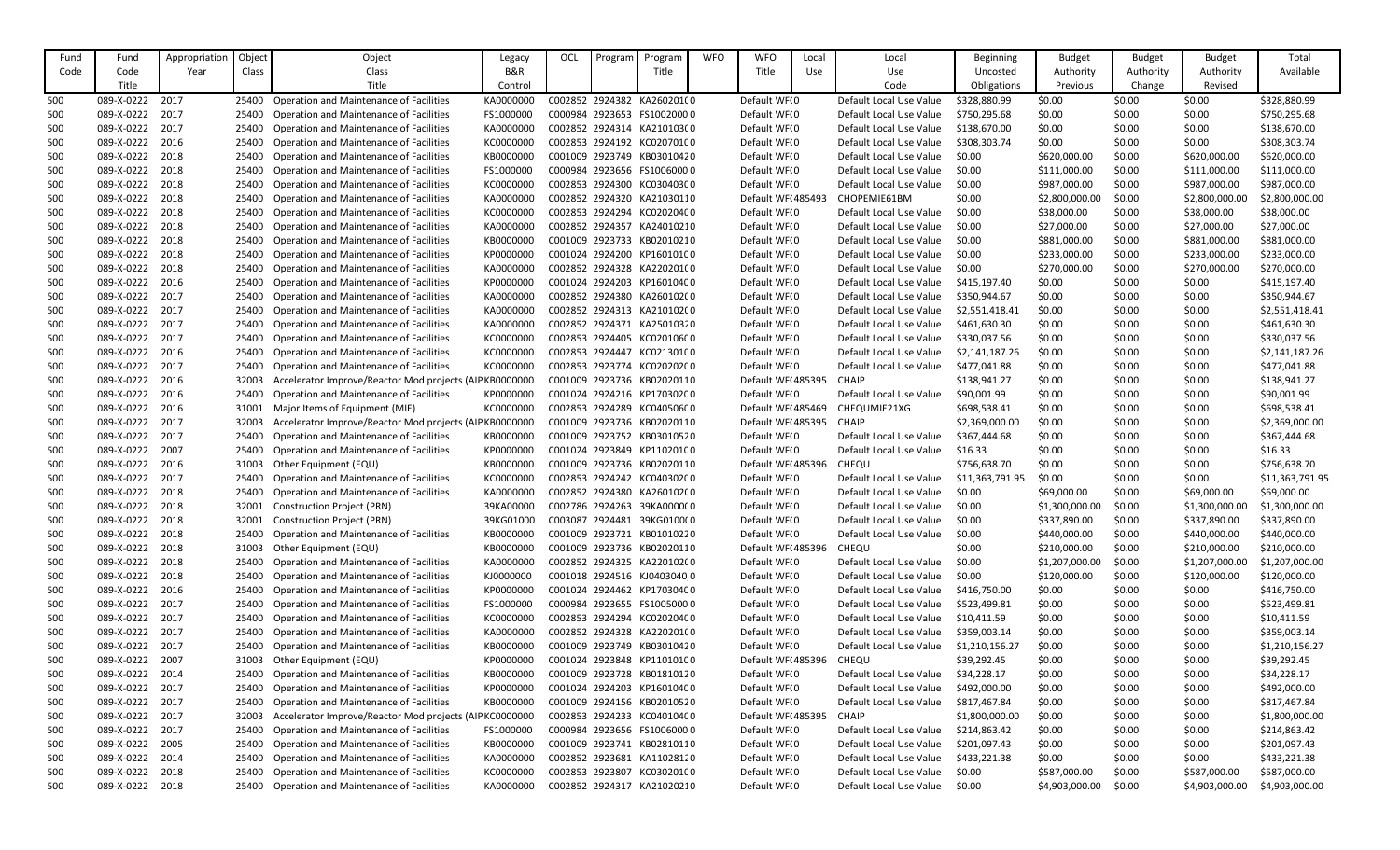| Object<br>Fund<br>Appropriation<br>Object<br>OCL<br><b>Budget</b><br><b>Budget</b><br><b>Budget</b><br>Program<br>Program<br>Local<br><b>Beginning</b><br>Legacy<br><b>B&amp;R</b><br>Code<br>Class<br>Title<br>Title<br>Authority<br>Authority<br>Authority<br>Code<br>Year<br>Class<br>Use<br>Use<br>Uncosted<br>Title<br>Title<br>Code<br>Obligations<br>Previous<br>Change<br>Revised<br>Control<br>089-X-0222<br><b>Operation and Maintenance of Facilities</b><br>C002852 2924382 KA260201(0<br>Default WF(0<br>\$0.00<br>\$0.00<br>\$0.00<br>500<br>2017<br>KA0000000<br>Default Local Use Value<br>\$328,880.99<br>25400<br>089-X-0222<br>2017<br><b>Operation and Maintenance of Facilities</b><br>FS1000000<br>Default WF(0<br>\$0.00<br>C000984 2923653 FS10020000<br>Default Local Use Value<br>\$750,295.68<br>\$0.00<br>\$0.00<br>500<br>25400<br>089-X-0222<br>2017<br>Operation and Maintenance of Facilities<br>KA0000000<br>C002852 2924314 KA210103(0<br>Default WF(0<br>\$138,670.00<br>\$0.00<br>500<br>25400<br>Default Local Use Value<br>\$0.00<br>\$0.00<br>089-X-0222<br>2016<br>C002853 2924192 KC020701C0<br>\$0.00<br>\$0.00<br>500<br>25400<br>Operation and Maintenance of Facilities<br>KC000000C<br>Default WFI0<br>Default Local Use Value<br>\$308,303.74<br>\$0.00<br>089-X-0222<br>2018<br><b>Operation and Maintenance of Facilities</b><br>KB000000C<br>C001009 2923749 KB03010420<br>Default WF(0<br>\$620,000.00<br>25400<br>Default Local Use Value<br>\$0.00<br>\$620,000.00<br>500<br>\$0.00<br>089-X-0222<br>2018<br><b>Operation and Maintenance of Facilities</b><br>FS1000000<br>C000984 2923656 FS10060000<br>Default WF(0<br>\$111,000.00<br>\$0.00<br>\$111,000.00<br>500<br>25400<br>Default Local Use Value<br>\$0.00<br>2018<br>089-X-0222<br><b>Operation and Maintenance of Facilities</b><br>KC000000C<br>C002853 2924300 KC03040300<br>Default WF(0<br>\$987,000.00<br>\$0.00<br>\$987,000.00<br>500<br>25400<br>Default Local Use Value<br>\$0.00<br>089-X-0222<br>2018<br><b>Operation and Maintenance of Facilities</b><br>KA0000000<br>C002852 2924320 KA21030110<br>Default WF(485493<br>CHOPEMIE61BM<br>\$2,800,000.00<br>500<br>25400<br>\$0.00<br>\$0.00<br>\$2,800,000.00<br>089-X-0222<br>2018<br>Operation and Maintenance of Facilities<br>C002853 2924294 KC020204C0<br>\$38,000.00<br>500<br>25400<br>KC0000000<br>Default WFI0<br>Default Local Use Value<br>\$0.00<br>\$38,000.00<br>\$0.00<br>089-X-0222<br>Operation and Maintenance of Facilities<br>Default WF(0<br>2018<br>KA0000000<br>C002852 2924357 KA24010210<br>Default Local Use Value<br>\$0.00<br>\$27,000.00<br>\$0.00<br>\$27,000.00<br>500<br>25400<br>2018<br><b>Operation and Maintenance of Facilities</b><br>Default WF(0<br>089-X-0222<br>25400<br>KB000000C<br>C001009 2923733 KB02010210<br>Default Local Use Value<br>\$0.00<br>\$881,000.00<br>\$0.00<br>\$881,000.00<br>500 | Total<br>Available<br>\$328,880.99<br>\$750,295.68<br>\$138,670.00<br>\$308,303.74<br>\$620,000.00 |
|----------------------------------------------------------------------------------------------------------------------------------------------------------------------------------------------------------------------------------------------------------------------------------------------------------------------------------------------------------------------------------------------------------------------------------------------------------------------------------------------------------------------------------------------------------------------------------------------------------------------------------------------------------------------------------------------------------------------------------------------------------------------------------------------------------------------------------------------------------------------------------------------------------------------------------------------------------------------------------------------------------------------------------------------------------------------------------------------------------------------------------------------------------------------------------------------------------------------------------------------------------------------------------------------------------------------------------------------------------------------------------------------------------------------------------------------------------------------------------------------------------------------------------------------------------------------------------------------------------------------------------------------------------------------------------------------------------------------------------------------------------------------------------------------------------------------------------------------------------------------------------------------------------------------------------------------------------------------------------------------------------------------------------------------------------------------------------------------------------------------------------------------------------------------------------------------------------------------------------------------------------------------------------------------------------------------------------------------------------------------------------------------------------------------------------------------------------------------------------------------------------------------------------------------------------------------------------------------------------------------------------------------------------------------------------------------------------------------------------------------------------------------------------------------------------------------------------------------------------------------------------------------------------------------------------|----------------------------------------------------------------------------------------------------|
|                                                                                                                                                                                                                                                                                                                                                                                                                                                                                                                                                                                                                                                                                                                                                                                                                                                                                                                                                                                                                                                                                                                                                                                                                                                                                                                                                                                                                                                                                                                                                                                                                                                                                                                                                                                                                                                                                                                                                                                                                                                                                                                                                                                                                                                                                                                                                                                                                                                                                                                                                                                                                                                                                                                                                                                                                                                                                                                                  |                                                                                                    |
|                                                                                                                                                                                                                                                                                                                                                                                                                                                                                                                                                                                                                                                                                                                                                                                                                                                                                                                                                                                                                                                                                                                                                                                                                                                                                                                                                                                                                                                                                                                                                                                                                                                                                                                                                                                                                                                                                                                                                                                                                                                                                                                                                                                                                                                                                                                                                                                                                                                                                                                                                                                                                                                                                                                                                                                                                                                                                                                                  |                                                                                                    |
|                                                                                                                                                                                                                                                                                                                                                                                                                                                                                                                                                                                                                                                                                                                                                                                                                                                                                                                                                                                                                                                                                                                                                                                                                                                                                                                                                                                                                                                                                                                                                                                                                                                                                                                                                                                                                                                                                                                                                                                                                                                                                                                                                                                                                                                                                                                                                                                                                                                                                                                                                                                                                                                                                                                                                                                                                                                                                                                                  |                                                                                                    |
|                                                                                                                                                                                                                                                                                                                                                                                                                                                                                                                                                                                                                                                                                                                                                                                                                                                                                                                                                                                                                                                                                                                                                                                                                                                                                                                                                                                                                                                                                                                                                                                                                                                                                                                                                                                                                                                                                                                                                                                                                                                                                                                                                                                                                                                                                                                                                                                                                                                                                                                                                                                                                                                                                                                                                                                                                                                                                                                                  |                                                                                                    |
|                                                                                                                                                                                                                                                                                                                                                                                                                                                                                                                                                                                                                                                                                                                                                                                                                                                                                                                                                                                                                                                                                                                                                                                                                                                                                                                                                                                                                                                                                                                                                                                                                                                                                                                                                                                                                                                                                                                                                                                                                                                                                                                                                                                                                                                                                                                                                                                                                                                                                                                                                                                                                                                                                                                                                                                                                                                                                                                                  |                                                                                                    |
|                                                                                                                                                                                                                                                                                                                                                                                                                                                                                                                                                                                                                                                                                                                                                                                                                                                                                                                                                                                                                                                                                                                                                                                                                                                                                                                                                                                                                                                                                                                                                                                                                                                                                                                                                                                                                                                                                                                                                                                                                                                                                                                                                                                                                                                                                                                                                                                                                                                                                                                                                                                                                                                                                                                                                                                                                                                                                                                                  |                                                                                                    |
|                                                                                                                                                                                                                                                                                                                                                                                                                                                                                                                                                                                                                                                                                                                                                                                                                                                                                                                                                                                                                                                                                                                                                                                                                                                                                                                                                                                                                                                                                                                                                                                                                                                                                                                                                                                                                                                                                                                                                                                                                                                                                                                                                                                                                                                                                                                                                                                                                                                                                                                                                                                                                                                                                                                                                                                                                                                                                                                                  |                                                                                                    |
|                                                                                                                                                                                                                                                                                                                                                                                                                                                                                                                                                                                                                                                                                                                                                                                                                                                                                                                                                                                                                                                                                                                                                                                                                                                                                                                                                                                                                                                                                                                                                                                                                                                                                                                                                                                                                                                                                                                                                                                                                                                                                                                                                                                                                                                                                                                                                                                                                                                                                                                                                                                                                                                                                                                                                                                                                                                                                                                                  | \$111,000.00                                                                                       |
|                                                                                                                                                                                                                                                                                                                                                                                                                                                                                                                                                                                                                                                                                                                                                                                                                                                                                                                                                                                                                                                                                                                                                                                                                                                                                                                                                                                                                                                                                                                                                                                                                                                                                                                                                                                                                                                                                                                                                                                                                                                                                                                                                                                                                                                                                                                                                                                                                                                                                                                                                                                                                                                                                                                                                                                                                                                                                                                                  | \$987,000.00                                                                                       |
|                                                                                                                                                                                                                                                                                                                                                                                                                                                                                                                                                                                                                                                                                                                                                                                                                                                                                                                                                                                                                                                                                                                                                                                                                                                                                                                                                                                                                                                                                                                                                                                                                                                                                                                                                                                                                                                                                                                                                                                                                                                                                                                                                                                                                                                                                                                                                                                                                                                                                                                                                                                                                                                                                                                                                                                                                                                                                                                                  | \$2,800,000.00                                                                                     |
|                                                                                                                                                                                                                                                                                                                                                                                                                                                                                                                                                                                                                                                                                                                                                                                                                                                                                                                                                                                                                                                                                                                                                                                                                                                                                                                                                                                                                                                                                                                                                                                                                                                                                                                                                                                                                                                                                                                                                                                                                                                                                                                                                                                                                                                                                                                                                                                                                                                                                                                                                                                                                                                                                                                                                                                                                                                                                                                                  | \$38,000.00                                                                                        |
|                                                                                                                                                                                                                                                                                                                                                                                                                                                                                                                                                                                                                                                                                                                                                                                                                                                                                                                                                                                                                                                                                                                                                                                                                                                                                                                                                                                                                                                                                                                                                                                                                                                                                                                                                                                                                                                                                                                                                                                                                                                                                                                                                                                                                                                                                                                                                                                                                                                                                                                                                                                                                                                                                                                                                                                                                                                                                                                                  | \$27,000.00                                                                                        |
|                                                                                                                                                                                                                                                                                                                                                                                                                                                                                                                                                                                                                                                                                                                                                                                                                                                                                                                                                                                                                                                                                                                                                                                                                                                                                                                                                                                                                                                                                                                                                                                                                                                                                                                                                                                                                                                                                                                                                                                                                                                                                                                                                                                                                                                                                                                                                                                                                                                                                                                                                                                                                                                                                                                                                                                                                                                                                                                                  |                                                                                                    |
|                                                                                                                                                                                                                                                                                                                                                                                                                                                                                                                                                                                                                                                                                                                                                                                                                                                                                                                                                                                                                                                                                                                                                                                                                                                                                                                                                                                                                                                                                                                                                                                                                                                                                                                                                                                                                                                                                                                                                                                                                                                                                                                                                                                                                                                                                                                                                                                                                                                                                                                                                                                                                                                                                                                                                                                                                                                                                                                                  | \$881,000.00                                                                                       |
| 089-X-0222<br>C001024 2924200 KP160101C0<br>2018<br><b>Operation and Maintenance of Facilities</b><br>KP000000C<br>Default WF <sub>(0</sub><br>Default Local Use Value<br>\$233,000.00<br>\$0.00<br>\$233,000.00<br>500<br>25400<br>\$0.00                                                                                                                                                                                                                                                                                                                                                                                                                                                                                                                                                                                                                                                                                                                                                                                                                                                                                                                                                                                                                                                                                                                                                                                                                                                                                                                                                                                                                                                                                                                                                                                                                                                                                                                                                                                                                                                                                                                                                                                                                                                                                                                                                                                                                                                                                                                                                                                                                                                                                                                                                                                                                                                                                       | \$233,000.00                                                                                       |
| 089-X-0222<br><b>Operation and Maintenance of Facilities</b><br>Default WF(0<br>\$270,000.00<br>\$270,000.00<br>2018<br>KA0000000<br>C002852 2924328 KA220201(0<br>Default Local Use Value<br>\$0.00<br>\$0.00<br>500<br>25400                                                                                                                                                                                                                                                                                                                                                                                                                                                                                                                                                                                                                                                                                                                                                                                                                                                                                                                                                                                                                                                                                                                                                                                                                                                                                                                                                                                                                                                                                                                                                                                                                                                                                                                                                                                                                                                                                                                                                                                                                                                                                                                                                                                                                                                                                                                                                                                                                                                                                                                                                                                                                                                                                                   | \$270,000.00                                                                                       |
| 2016<br><b>Operation and Maintenance of Facilities</b><br>Default WF(0<br>089-X-0222<br>KP0000000<br>C001024 2924203 KP160104C0<br>Default Local Use Value<br>\$0.00<br>\$0.00<br>\$0.00<br>500<br>25400<br>\$415,197.40                                                                                                                                                                                                                                                                                                                                                                                                                                                                                                                                                                                                                                                                                                                                                                                                                                                                                                                                                                                                                                                                                                                                                                                                                                                                                                                                                                                                                                                                                                                                                                                                                                                                                                                                                                                                                                                                                                                                                                                                                                                                                                                                                                                                                                                                                                                                                                                                                                                                                                                                                                                                                                                                                                         | \$415,197.40                                                                                       |
| 089-X-0222<br>2017<br><b>Operation and Maintenance of Facilities</b><br>C002852 2924380 KA260102(0<br>\$0.00<br>\$0.00<br>500<br>25400<br>KA0000000<br>Default WF(0<br>Default Local Use Value<br>\$350,944.67<br>\$0.00                                                                                                                                                                                                                                                                                                                                                                                                                                                                                                                                                                                                                                                                                                                                                                                                                                                                                                                                                                                                                                                                                                                                                                                                                                                                                                                                                                                                                                                                                                                                                                                                                                                                                                                                                                                                                                                                                                                                                                                                                                                                                                                                                                                                                                                                                                                                                                                                                                                                                                                                                                                                                                                                                                         | \$350,944.67                                                                                       |
| 089-X-0222<br>2017<br><b>Operation and Maintenance of Facilities</b><br>KA0000000<br>Default WF(0<br>C002852 2924313 KA210102(0<br>Default Local Use Value<br>\$0.00<br>\$0.00<br>\$0.00<br>500<br>25400<br>\$2,551,418.41                                                                                                                                                                                                                                                                                                                                                                                                                                                                                                                                                                                                                                                                                                                                                                                                                                                                                                                                                                                                                                                                                                                                                                                                                                                                                                                                                                                                                                                                                                                                                                                                                                                                                                                                                                                                                                                                                                                                                                                                                                                                                                                                                                                                                                                                                                                                                                                                                                                                                                                                                                                                                                                                                                       | \$2,551,418.41                                                                                     |
| 089-X-0222<br>2017<br><b>Operation and Maintenance of Facilities</b><br>KA0000000<br>C002852 2924371 KA25010320<br>Default WF(0<br>\$461,630.30<br>\$0.00<br>\$0.00<br>\$0.00<br>500<br>25400<br>Default Local Use Value                                                                                                                                                                                                                                                                                                                                                                                                                                                                                                                                                                                                                                                                                                                                                                                                                                                                                                                                                                                                                                                                                                                                                                                                                                                                                                                                                                                                                                                                                                                                                                                                                                                                                                                                                                                                                                                                                                                                                                                                                                                                                                                                                                                                                                                                                                                                                                                                                                                                                                                                                                                                                                                                                                         | \$461,630.30                                                                                       |
| 089-X-0222<br>2017<br><b>Operation and Maintenance of Facilities</b><br>C002853 2924405 KC020106C0<br>Default WF(0<br>\$0.00<br>\$0.00<br>500<br>25400<br>KC000000C<br>\$330,037.56<br>\$0.00<br>Default Local Use Value                                                                                                                                                                                                                                                                                                                                                                                                                                                                                                                                                                                                                                                                                                                                                                                                                                                                                                                                                                                                                                                                                                                                                                                                                                                                                                                                                                                                                                                                                                                                                                                                                                                                                                                                                                                                                                                                                                                                                                                                                                                                                                                                                                                                                                                                                                                                                                                                                                                                                                                                                                                                                                                                                                         | \$330,037.56                                                                                       |
| 089-X-0222<br>2016<br>Operation and Maintenance of Facilities<br>KC000000C<br>C002853 2924447 KC021301C0<br>Default WF(0<br>500<br>Default Local Use Value<br>\$2,141,187.26<br>\$0.00<br>\$0.00<br>\$0.00<br>25400                                                                                                                                                                                                                                                                                                                                                                                                                                                                                                                                                                                                                                                                                                                                                                                                                                                                                                                                                                                                                                                                                                                                                                                                                                                                                                                                                                                                                                                                                                                                                                                                                                                                                                                                                                                                                                                                                                                                                                                                                                                                                                                                                                                                                                                                                                                                                                                                                                                                                                                                                                                                                                                                                                              | \$2,141,187.26                                                                                     |
| 089-X-0222<br>2017<br>C002853 2923774 KC02020200<br>25400<br>Operation and Maintenance of Facilities<br>KC0000000<br>Default WF <sub>(0</sub><br>\$477,041.88<br>\$0.00<br>\$0.00<br>\$0.00<br>500<br>Default Local Use Value                                                                                                                                                                                                                                                                                                                                                                                                                                                                                                                                                                                                                                                                                                                                                                                                                                                                                                                                                                                                                                                                                                                                                                                                                                                                                                                                                                                                                                                                                                                                                                                                                                                                                                                                                                                                                                                                                                                                                                                                                                                                                                                                                                                                                                                                                                                                                                                                                                                                                                                                                                                                                                                                                                    | \$477,041.88                                                                                       |
| Accelerator Improve/Reactor Mod projects (AIP KB0000000<br>\$0.00<br>\$0.00<br>500<br>089-X-0222<br>2016<br>32003<br>C001009 2923736 KB02020110<br>Default WF(485395<br><b>CHAIP</b><br>\$138,941.27<br>\$0.00                                                                                                                                                                                                                                                                                                                                                                                                                                                                                                                                                                                                                                                                                                                                                                                                                                                                                                                                                                                                                                                                                                                                                                                                                                                                                                                                                                                                                                                                                                                                                                                                                                                                                                                                                                                                                                                                                                                                                                                                                                                                                                                                                                                                                                                                                                                                                                                                                                                                                                                                                                                                                                                                                                                   | \$138,941.27                                                                                       |
| 2016<br><b>Operation and Maintenance of Facilities</b><br>C001024 2924216 KP170302C0<br>Default WF(0<br>\$90,001.99<br>\$0.00<br>500<br>089-X-0222<br>25400<br>KP0000000<br>Default Local Use Value<br>\$0.00<br>\$0.00                                                                                                                                                                                                                                                                                                                                                                                                                                                                                                                                                                                                                                                                                                                                                                                                                                                                                                                                                                                                                                                                                                                                                                                                                                                                                                                                                                                                                                                                                                                                                                                                                                                                                                                                                                                                                                                                                                                                                                                                                                                                                                                                                                                                                                                                                                                                                                                                                                                                                                                                                                                                                                                                                                          | \$90,001.99                                                                                        |
| Major Items of Equipment (MIE)<br>C002853 2924289 KC04050600<br>\$0.00<br>\$0.00<br>089-X-0222<br>2016<br>31001<br>KC000000C<br>Default WF(485469<br>CHEQUMIE21XG<br>\$698,538.41<br>\$0.00<br>500                                                                                                                                                                                                                                                                                                                                                                                                                                                                                                                                                                                                                                                                                                                                                                                                                                                                                                                                                                                                                                                                                                                                                                                                                                                                                                                                                                                                                                                                                                                                                                                                                                                                                                                                                                                                                                                                                                                                                                                                                                                                                                                                                                                                                                                                                                                                                                                                                                                                                                                                                                                                                                                                                                                               | \$698,538.41                                                                                       |
| 089-X-0222<br>Accelerator Improve/Reactor Mod projects (AIP KB0000000<br>C001009 2923736 KB02020110<br>Default WF(485395<br>\$2,369,000.00<br>2017<br>32003<br><b>CHAIP</b><br>\$0.00<br>\$0.00<br>500<br>\$0.00                                                                                                                                                                                                                                                                                                                                                                                                                                                                                                                                                                                                                                                                                                                                                                                                                                                                                                                                                                                                                                                                                                                                                                                                                                                                                                                                                                                                                                                                                                                                                                                                                                                                                                                                                                                                                                                                                                                                                                                                                                                                                                                                                                                                                                                                                                                                                                                                                                                                                                                                                                                                                                                                                                                 | \$2,369,000.00                                                                                     |
| 089-X-0222<br>2017<br>Default WF(0<br>\$0.00<br>500<br>25400<br><b>Operation and Maintenance of Facilities</b><br>KB0000000<br>C001009 2923752 KB03010520<br>Default Local Use Value<br>\$367,444.68<br>\$0.00<br>\$0.00                                                                                                                                                                                                                                                                                                                                                                                                                                                                                                                                                                                                                                                                                                                                                                                                                                                                                                                                                                                                                                                                                                                                                                                                                                                                                                                                                                                                                                                                                                                                                                                                                                                                                                                                                                                                                                                                                                                                                                                                                                                                                                                                                                                                                                                                                                                                                                                                                                                                                                                                                                                                                                                                                                         | \$367,444.68                                                                                       |
| 089-X-0222<br>2007<br>KP0000000<br>C001024 2923849 KP110201C0<br>Default WF(0<br>\$0.00<br>\$0.00<br>500<br>25400<br>Operation and Maintenance of Facilities<br>\$16.33<br>\$0.00<br>Default Local Use Value                                                                                                                                                                                                                                                                                                                                                                                                                                                                                                                                                                                                                                                                                                                                                                                                                                                                                                                                                                                                                                                                                                                                                                                                                                                                                                                                                                                                                                                                                                                                                                                                                                                                                                                                                                                                                                                                                                                                                                                                                                                                                                                                                                                                                                                                                                                                                                                                                                                                                                                                                                                                                                                                                                                     | \$16.33                                                                                            |
| 089-X-0222<br>2016<br>KB000000C<br>C001009 2923736 KB02020110<br>Default WF(485396<br>CHEQU<br>\$0.00<br>31003<br>Other Equipment (EQU)<br>\$756,638.70<br>\$0.00<br>\$0.00<br>500                                                                                                                                                                                                                                                                                                                                                                                                                                                                                                                                                                                                                                                                                                                                                                                                                                                                                                                                                                                                                                                                                                                                                                                                                                                                                                                                                                                                                                                                                                                                                                                                                                                                                                                                                                                                                                                                                                                                                                                                                                                                                                                                                                                                                                                                                                                                                                                                                                                                                                                                                                                                                                                                                                                                               | \$756,638.70                                                                                       |
| 2017<br>C002853 2924242 KC040302C0<br>\$11,363,791.95<br>\$0.00<br>\$0.00<br>\$0.00<br>500<br>089-X-0222<br>25400 Operation and Maintenance of Facilities<br>KC0000000<br>Default WF(0<br>Default Local Use Value                                                                                                                                                                                                                                                                                                                                                                                                                                                                                                                                                                                                                                                                                                                                                                                                                                                                                                                                                                                                                                                                                                                                                                                                                                                                                                                                                                                                                                                                                                                                                                                                                                                                                                                                                                                                                                                                                                                                                                                                                                                                                                                                                                                                                                                                                                                                                                                                                                                                                                                                                                                                                                                                                                                | \$11,363,791.95                                                                                    |
| \$0.00<br>500<br>089-X-0222<br>2018<br>25400<br>Operation and Maintenance of Facilities<br>KA0000000<br>C002852 2924380 KA260102(0<br>Default WF(0<br>Default Local Use Value<br>\$0.00<br>\$69,000.00<br>\$69,000.00                                                                                                                                                                                                                                                                                                                                                                                                                                                                                                                                                                                                                                                                                                                                                                                                                                                                                                                                                                                                                                                                                                                                                                                                                                                                                                                                                                                                                                                                                                                                                                                                                                                                                                                                                                                                                                                                                                                                                                                                                                                                                                                                                                                                                                                                                                                                                                                                                                                                                                                                                                                                                                                                                                            | \$69,000.00                                                                                        |
| 2018<br>500<br>089-X-0222<br><b>Construction Project (PRN)</b><br>39KA00000<br>C002786 2924263 39KA000000<br>Default WF(0<br>Default Local Use Value<br>\$1,300,000.00<br>\$0.00<br>\$1,300,000.00<br>32001<br>\$0.00                                                                                                                                                                                                                                                                                                                                                                                                                                                                                                                                                                                                                                                                                                                                                                                                                                                                                                                                                                                                                                                                                                                                                                                                                                                                                                                                                                                                                                                                                                                                                                                                                                                                                                                                                                                                                                                                                                                                                                                                                                                                                                                                                                                                                                                                                                                                                                                                                                                                                                                                                                                                                                                                                                            | \$1,300,000.00                                                                                     |
| 089-X-0222<br>2018<br><b>Construction Project (PRN)</b><br>39KG01000<br>C003087 2924481 39KG0100(0<br>Default WF <sub>(0</sub><br>Default Local Use Value<br>\$337,890.00<br>\$0.00<br>\$337,890.00<br>500<br>32001<br>\$0.00                                                                                                                                                                                                                                                                                                                                                                                                                                                                                                                                                                                                                                                                                                                                                                                                                                                                                                                                                                                                                                                                                                                                                                                                                                                                                                                                                                                                                                                                                                                                                                                                                                                                                                                                                                                                                                                                                                                                                                                                                                                                                                                                                                                                                                                                                                                                                                                                                                                                                                                                                                                                                                                                                                    | \$337,890.00                                                                                       |
| 089-X-0222<br>C001009 2923721 KB01010220<br>Default WF(0<br>\$440,000.00<br>\$440,000.00<br>2018<br>25400<br>Operation and Maintenance of Facilities<br>KB0000000<br>Default Local Use Value<br>\$0.00<br>\$0.00<br>500                                                                                                                                                                                                                                                                                                                                                                                                                                                                                                                                                                                                                                                                                                                                                                                                                                                                                                                                                                                                                                                                                                                                                                                                                                                                                                                                                                                                                                                                                                                                                                                                                                                                                                                                                                                                                                                                                                                                                                                                                                                                                                                                                                                                                                                                                                                                                                                                                                                                                                                                                                                                                                                                                                          | \$440,000.00                                                                                       |
| \$210,000.00<br>089-X-0222<br>2018<br>31003<br>KB0000000<br>C001009 2923736 KB02020110<br>Default WF(485396<br>CHEQU<br>\$0.00<br>\$0.00<br>\$210,000.00<br>500<br>Other Equipment (EQU)                                                                                                                                                                                                                                                                                                                                                                                                                                                                                                                                                                                                                                                                                                                                                                                                                                                                                                                                                                                                                                                                                                                                                                                                                                                                                                                                                                                                                                                                                                                                                                                                                                                                                                                                                                                                                                                                                                                                                                                                                                                                                                                                                                                                                                                                                                                                                                                                                                                                                                                                                                                                                                                                                                                                         | \$210,000.00                                                                                       |
| 089-X-0222<br>2018<br>Operation and Maintenance of Facilities<br>KA0000000<br>C002852 2924325 KA220102(0<br>Default WF(0<br>Default Local Use Value<br>\$1,207,000.00<br>\$0.00<br>\$1,207,000.00<br>500<br>25400<br>\$0.00                                                                                                                                                                                                                                                                                                                                                                                                                                                                                                                                                                                                                                                                                                                                                                                                                                                                                                                                                                                                                                                                                                                                                                                                                                                                                                                                                                                                                                                                                                                                                                                                                                                                                                                                                                                                                                                                                                                                                                                                                                                                                                                                                                                                                                                                                                                                                                                                                                                                                                                                                                                                                                                                                                      | \$1,207,000.00                                                                                     |
| 089-X-0222<br>C001018 2924516 KJ0403040 0<br>Default WF(0<br>\$120,000.00<br>2018<br>Operation and Maintenance of Facilities<br>KJ000000C<br>Default Local Use Value<br>\$0.00<br>\$120,000.00<br>500<br>25400<br>\$0.00                                                                                                                                                                                                                                                                                                                                                                                                                                                                                                                                                                                                                                                                                                                                                                                                                                                                                                                                                                                                                                                                                                                                                                                                                                                                                                                                                                                                                                                                                                                                                                                                                                                                                                                                                                                                                                                                                                                                                                                                                                                                                                                                                                                                                                                                                                                                                                                                                                                                                                                                                                                                                                                                                                         | \$120,000.00                                                                                       |
| Default WF(0<br>500<br>089-X-0222<br>2016<br><b>Operation and Maintenance of Facilities</b><br>KP0000000<br>C001024 2924462 KP170304C0<br>Default Local Use Value<br>\$416,750.00<br>\$0.00<br>\$0.00<br>\$0.00<br>25400                                                                                                                                                                                                                                                                                                                                                                                                                                                                                                                                                                                                                                                                                                                                                                                                                                                                                                                                                                                                                                                                                                                                                                                                                                                                                                                                                                                                                                                                                                                                                                                                                                                                                                                                                                                                                                                                                                                                                                                                                                                                                                                                                                                                                                                                                                                                                                                                                                                                                                                                                                                                                                                                                                         | \$416,750.00                                                                                       |
| 089-X-0222<br>2017<br>Default WF(0<br>\$0.00<br>25400<br>Operation and Maintenance of Facilities<br>FS1000000<br>C000984 2923655 FS10050000<br>Default Local Use Value<br>\$523,499.81<br>\$0.00<br>\$0.00<br>500                                                                                                                                                                                                                                                                                                                                                                                                                                                                                                                                                                                                                                                                                                                                                                                                                                                                                                                                                                                                                                                                                                                                                                                                                                                                                                                                                                                                                                                                                                                                                                                                                                                                                                                                                                                                                                                                                                                                                                                                                                                                                                                                                                                                                                                                                                                                                                                                                                                                                                                                                                                                                                                                                                                | \$523,499.81                                                                                       |
| 089-X-0222<br>2017<br><b>Operation and Maintenance of Facilities</b><br>Default WF(0<br>KC000000C<br>C002853 2924294 KC020204C0<br>Default Local Use Value<br>\$10,411.59<br>\$0.00<br>\$0.00<br>\$0.00<br>500<br>25400                                                                                                                                                                                                                                                                                                                                                                                                                                                                                                                                                                                                                                                                                                                                                                                                                                                                                                                                                                                                                                                                                                                                                                                                                                                                                                                                                                                                                                                                                                                                                                                                                                                                                                                                                                                                                                                                                                                                                                                                                                                                                                                                                                                                                                                                                                                                                                                                                                                                                                                                                                                                                                                                                                          | \$10,411.59                                                                                        |
| 089-X-0222<br>2017<br>\$0.00<br>25400<br>Operation and Maintenance of Facilities<br>KA0000000<br>C002852 2924328 KA220201(0<br>Default WF <sub>(0</sub><br>Default Local Use Value<br>\$359,003.14<br>\$0.00<br>\$0.00<br>500                                                                                                                                                                                                                                                                                                                                                                                                                                                                                                                                                                                                                                                                                                                                                                                                                                                                                                                                                                                                                                                                                                                                                                                                                                                                                                                                                                                                                                                                                                                                                                                                                                                                                                                                                                                                                                                                                                                                                                                                                                                                                                                                                                                                                                                                                                                                                                                                                                                                                                                                                                                                                                                                                                    | \$359,003.14                                                                                       |
| Default WF(0<br>\$0.00<br>089-X-0222<br>2017<br>Operation and Maintenance of Facilities<br>KB0000000<br>C001009 2923749 KB03010420<br>\$0.00<br>\$0.00<br>500<br>25400<br>Default Local Use Value<br>\$1,210,156.27                                                                                                                                                                                                                                                                                                                                                                                                                                                                                                                                                                                                                                                                                                                                                                                                                                                                                                                                                                                                                                                                                                                                                                                                                                                                                                                                                                                                                                                                                                                                                                                                                                                                                                                                                                                                                                                                                                                                                                                                                                                                                                                                                                                                                                                                                                                                                                                                                                                                                                                                                                                                                                                                                                              | \$1,210,156.27                                                                                     |
| 089-X-0222<br>2007<br>31003<br>Other Equipment (EQU)<br>KP0000000<br>C001024 2923848 KP110101C0<br>Default WF(485396<br><b>CHEQU</b><br>\$39,292.45<br>\$0.00<br>\$0.00<br>500<br>\$0.00                                                                                                                                                                                                                                                                                                                                                                                                                                                                                                                                                                                                                                                                                                                                                                                                                                                                                                                                                                                                                                                                                                                                                                                                                                                                                                                                                                                                                                                                                                                                                                                                                                                                                                                                                                                                                                                                                                                                                                                                                                                                                                                                                                                                                                                                                                                                                                                                                                                                                                                                                                                                                                                                                                                                         | \$39,292.45                                                                                        |
| 089-X-0222<br>2014<br>Operation and Maintenance of Facilities<br>C001009 2923728 KB01810120<br>Default WF <sub>(0</sub><br>\$34,228.17<br>\$0.00<br>\$0.00<br>500<br>25400<br>KB0000000<br>Default Local Use Value<br>\$0.00                                                                                                                                                                                                                                                                                                                                                                                                                                                                                                                                                                                                                                                                                                                                                                                                                                                                                                                                                                                                                                                                                                                                                                                                                                                                                                                                                                                                                                                                                                                                                                                                                                                                                                                                                                                                                                                                                                                                                                                                                                                                                                                                                                                                                                                                                                                                                                                                                                                                                                                                                                                                                                                                                                     | \$34,228.17                                                                                        |
| 089-X-0222<br>Default WF(0<br>2017<br>Operation and Maintenance of Facilities<br>KP0000000<br>C001024 2924203 KP160104C0<br>Default Local Use Value<br>\$492,000.00<br>\$0.00<br>\$0.00<br>500<br>25400<br>\$0.00                                                                                                                                                                                                                                                                                                                                                                                                                                                                                                                                                                                                                                                                                                                                                                                                                                                                                                                                                                                                                                                                                                                                                                                                                                                                                                                                                                                                                                                                                                                                                                                                                                                                                                                                                                                                                                                                                                                                                                                                                                                                                                                                                                                                                                                                                                                                                                                                                                                                                                                                                                                                                                                                                                                | \$492,000.00                                                                                       |
| Default WF(0<br>089-X-0222<br>2017<br>Operation and Maintenance of Facilities<br>KB0000000<br>C001009 2924156 KB02010520<br>Default Local Use Value<br>\$817,467.84<br>\$0.00<br>\$0.00<br>500<br>25400<br>\$0.00                                                                                                                                                                                                                                                                                                                                                                                                                                                                                                                                                                                                                                                                                                                                                                                                                                                                                                                                                                                                                                                                                                                                                                                                                                                                                                                                                                                                                                                                                                                                                                                                                                                                                                                                                                                                                                                                                                                                                                                                                                                                                                                                                                                                                                                                                                                                                                                                                                                                                                                                                                                                                                                                                                                | \$817,467.84                                                                                       |
| 089-X-0222<br>2017<br>32003<br>Accelerator Improve/Reactor Mod projects (AIP KC0000000<br>C002853 2924233 KC040104C0<br>Default WF(485395<br><b>CHAIP</b><br>\$1,800,000.00<br>\$0.00<br>\$0.00<br>\$0.00<br>500                                                                                                                                                                                                                                                                                                                                                                                                                                                                                                                                                                                                                                                                                                                                                                                                                                                                                                                                                                                                                                                                                                                                                                                                                                                                                                                                                                                                                                                                                                                                                                                                                                                                                                                                                                                                                                                                                                                                                                                                                                                                                                                                                                                                                                                                                                                                                                                                                                                                                                                                                                                                                                                                                                                 | \$1,800,000.00                                                                                     |
| 089-X-0222<br>2017<br>Operation and Maintenance of Facilities<br>FS1000000<br>C000984 2923656 FS10060000<br>Default WF <sub>(0</sub><br>Default Local Use Value<br>\$214,863.42<br>\$0.00<br>\$0.00<br>500<br>25400<br>\$0.00                                                                                                                                                                                                                                                                                                                                                                                                                                                                                                                                                                                                                                                                                                                                                                                                                                                                                                                                                                                                                                                                                                                                                                                                                                                                                                                                                                                                                                                                                                                                                                                                                                                                                                                                                                                                                                                                                                                                                                                                                                                                                                                                                                                                                                                                                                                                                                                                                                                                                                                                                                                                                                                                                                    | \$214,863.42                                                                                       |
| <b>Operation and Maintenance of Facilities</b><br>C001009 2923741 KB02810110<br>089-X-0222<br>2005<br>KB0000000<br>Default WFI0<br>Default Local Use Value<br>\$201,097.43<br>\$0.00<br>\$0.00<br>\$0.00<br>500<br>25400                                                                                                                                                                                                                                                                                                                                                                                                                                                                                                                                                                                                                                                                                                                                                                                                                                                                                                                                                                                                                                                                                                                                                                                                                                                                                                                                                                                                                                                                                                                                                                                                                                                                                                                                                                                                                                                                                                                                                                                                                                                                                                                                                                                                                                                                                                                                                                                                                                                                                                                                                                                                                                                                                                         | \$201,097.43                                                                                       |
| 089-X-0222<br>2014<br>\$0.00<br>25400<br>Operation and Maintenance of Facilities<br>KA0000000<br>C002852 2923681 KA11028120<br>Default WF(0<br>\$433,221.38<br>\$0.00<br>\$0.00<br>500<br>Default Local Use Value                                                                                                                                                                                                                                                                                                                                                                                                                                                                                                                                                                                                                                                                                                                                                                                                                                                                                                                                                                                                                                                                                                                                                                                                                                                                                                                                                                                                                                                                                                                                                                                                                                                                                                                                                                                                                                                                                                                                                                                                                                                                                                                                                                                                                                                                                                                                                                                                                                                                                                                                                                                                                                                                                                                | \$433,221.38                                                                                       |
| 089-X-0222<br>2018<br>Operation and Maintenance of Facilities<br>25400<br>KC000000C<br>C002853 2923807 KC03020100<br>Default WF(0<br>Default Local Use Value<br>\$587,000.00<br>\$0.00<br>\$587,000.00<br>500<br>\$0.00                                                                                                                                                                                                                                                                                                                                                                                                                                                                                                                                                                                                                                                                                                                                                                                                                                                                                                                                                                                                                                                                                                                                                                                                                                                                                                                                                                                                                                                                                                                                                                                                                                                                                                                                                                                                                                                                                                                                                                                                                                                                                                                                                                                                                                                                                                                                                                                                                                                                                                                                                                                                                                                                                                          | \$587,000.00                                                                                       |
| 089-X-0222<br>2018<br><b>Operation and Maintenance of Facilities</b><br>KA0000000<br>C002852 2924317 KA21020210<br>Default WF <sub>(0</sub><br>\$4,903,000.00<br>\$0.00<br>500<br>25400<br>Default Local Use Value<br>\$0.00<br>\$4,903,000.00                                                                                                                                                                                                                                                                                                                                                                                                                                                                                                                                                                                                                                                                                                                                                                                                                                                                                                                                                                                                                                                                                                                                                                                                                                                                                                                                                                                                                                                                                                                                                                                                                                                                                                                                                                                                                                                                                                                                                                                                                                                                                                                                                                                                                                                                                                                                                                                                                                                                                                                                                                                                                                                                                   | \$4,903,000.00                                                                                     |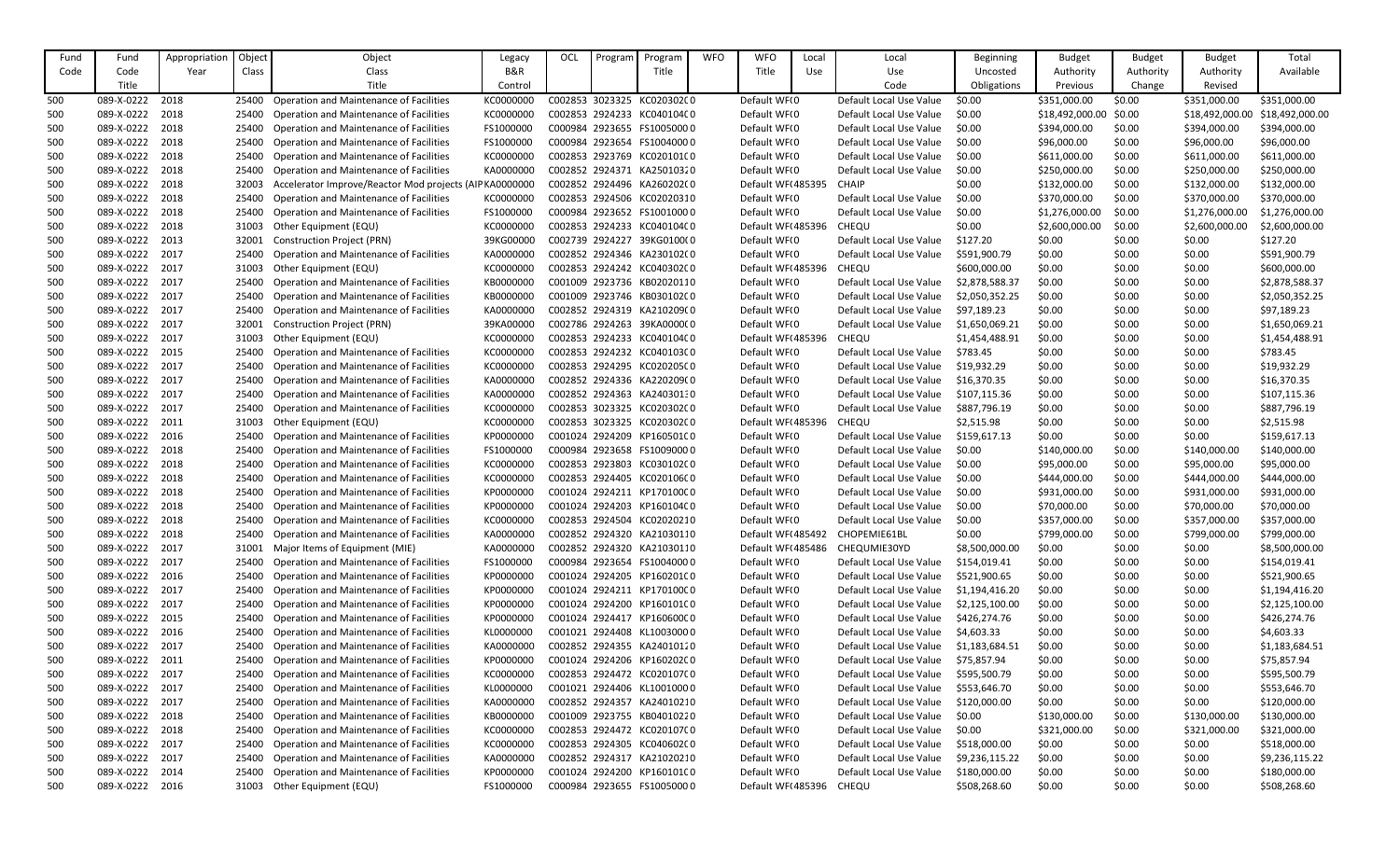| Object<br>Appropriatior<br>Object<br>Program<br><b>Budget</b><br><b>Budget</b><br><b>Budget</b><br>Legacy<br>Program<br>B&R<br>Available<br>Code<br>Code<br>Class<br>Title<br>Title<br>Use<br>Authority<br>Authority<br>Year<br>Class<br>Use<br>Uncosted<br>Authority<br>Title<br>Title<br>Code<br>Control<br>Obligations<br>Previous<br>Change<br>Revised<br>500<br>089-X-0222<br>2018<br><b>Operation and Maintenance of Facilities</b><br>C002853 3023325 KC020302C0<br>Default WF(0<br>Default Local Use Value<br>\$0.00<br>\$351,000.00<br>\$0.00<br>\$351,000.00<br>\$351,000.00<br>KC0000000<br>25400<br>089-X-0222<br>2018<br>Operation and Maintenance of Facilities<br>KC0000000<br>C002853 2924233 KC040104C0<br>Default WF(0<br>\$18,492,000.00<br>\$18,492,000.00<br>\$18,492,000.00<br>Default Local Use Value<br>\$0.00<br>\$0.00<br>500<br>25400<br>089-X-0222<br>2018<br>Operation and Maintenance of Facilities<br>FS1000000<br>Default WF(0<br>\$394,000.00<br>500<br>C000984 2923655 FS10050000<br>Default Local Use Value<br>\$0.00<br>\$394,000.00<br>\$0.00<br>\$394,000.00<br>25400<br>2018<br>\$0.00<br>\$96,000.00<br>500<br>089-X-0222<br>Operation and Maintenance of Facilities<br>FS1000000<br>C000984 2923654 FS10040000<br>Default WF <sub>(0</sub><br>Default Local Use Value<br>\$0.00<br>\$96,000.00<br>\$96,000.00<br>25400<br>089-X-0222<br>2018<br>KC0000000<br>C002853 2923769 KC020101(0<br>Default WF(0<br>Default Local Use Value<br>\$611,000.00<br>Operation and Maintenance of Facilities<br>\$611,000.00<br>\$611,000.00<br>500<br>25400<br>\$0.00<br>\$0.00<br><b>Operation and Maintenance of Facilities</b><br>Default WF(0<br>\$250,000.00<br>\$250,000.00<br>500<br>089-X-0222<br>2018<br>KA0000000<br>C002852 2924371 KA25010320<br>Default Local Use Value<br>\$0.00<br>\$250,000.00<br>\$0.00<br>25400<br>089-X-0222<br>2018<br>Accelerator Improve/Reactor Mod projects (AIP KA0000000<br>Default WF(485395<br>\$0.00<br>\$132,000.00<br>\$0.00<br>\$132,000.00<br>C002852 2924496 KA260202(0<br><b>CHAIP</b><br>\$132,000.00<br>500<br>32003<br>089-X-0222<br>2018<br>Default WF(0<br>\$370,000.00<br>\$370,000.00<br>Operation and Maintenance of Facilities<br>KC0000000<br>C002853 2924506 KC02020310<br>Default Local Use Value<br>\$0.00<br>\$0.00<br>\$370,000.00<br>500<br>25400<br>089-X-0222<br>2018<br>C000984 2923652 FS10010000<br>\$1,276,000.00<br>500<br>Operation and Maintenance of Facilities<br>FS1000000<br>Default WF <sub>(0</sub><br>Default Local Use Value<br>\$0.00<br>\$0.00<br>\$1,276,000.00<br>\$1,276,000.00<br>25400<br>089-X-0222<br>2018<br>KC0000000<br>C002853 2924233 KC040104C0<br>Default WF(485396<br>CHEQU<br>\$0.00<br>\$2,600,000.00<br>\$2,600,000.00<br>500<br>31003<br>Other Equipment (EQU)<br>\$0.00<br>\$2,600,000.00<br>089-X-0222<br>2013<br>39KG00000<br>C002739 2924227 39KG0100(0<br>Default WF(0<br>Default Local Use Value<br>\$127.20<br>\$0.00<br>\$0.00<br>\$0.00<br>\$127.20<br>500<br>32001<br><b>Construction Project (PRN)</b><br>089-X-0222<br>2017<br>C002852 2924346 KA230102(0<br>Default WF(0<br>\$0.00<br>\$0.00<br>\$0.00<br>\$591,900.79<br>500<br>25400<br><b>Operation and Maintenance of Facilities</b><br>KA0000000<br>Default Local Use Value<br>\$591,900.79<br>089-X-0222<br>2017<br>KC0000000<br>C002853 2924242 KC040302C0<br>Default WF(485396<br>CHEQU<br>\$600,000.00<br>\$0.00<br>\$0.00<br>\$0.00<br>\$600,000.00<br>500<br>31003<br>Other Equipment (EQU)<br>089-X-0222<br>2017<br>KB0000000<br>\$2,878,588.37<br>\$0.00<br>\$2,878,588.37<br>500<br>Operation and Maintenance of Facilities<br>C001009 2923736 KB02020110<br>Default WF <sub>(0</sub><br>Default Local Use Value<br>\$0.00<br>\$0.00<br>25400<br>089-X-0222<br>2017<br>KB0000000<br>C001009 2923746 KB030102C0<br>Default WF(0<br>\$0.00<br>\$0.00<br>\$0.00<br>\$2,050,352.25<br>500<br>25400<br>Operation and Maintenance of Facilities<br>Default Local Use Value<br>\$2,050,352.25<br>089-X-0222<br>2017<br>Operation and Maintenance of Facilities<br>KA0000000<br>C002852 2924319 KA210209(0<br>Default WF(0<br>Default Local Use Value<br>\$97,189.23<br>500<br>\$97,189.23<br>\$0.00<br>\$0.00<br>\$0.00<br>25400<br>089-X-0222<br>2017<br>39KA00000<br>C002786 2924263 39KA000000<br>Default WF(0<br>\$1,650,069.21<br>\$0.00<br>\$0.00<br>\$1,650,069.21<br>500<br><b>Construction Project (PRN)</b><br>Default Local Use Value<br>\$0.00<br>089-X-0222<br>2017<br>C002853 2924233 KC040104C0<br>Default WF(485396<br>CHEQU<br>\$0.00<br>\$0.00<br>\$0.00<br>\$1,454,488.91<br>500<br>31003<br>Other Equipment (EQU)<br>KC0000000<br>\$1,454,488.91<br>089-X-0222<br>Default WFI0<br>\$783.45<br>2015<br><b>Operation and Maintenance of Facilities</b><br>KC0000000<br>C002853 2924232 KC040103C0<br>Default Local Use Value<br>\$783.45<br>\$0.00<br>\$0.00<br>\$0.00<br>500<br>25400<br>089-X-0222<br>2017<br>C002853 2924295 KC020205C0<br>\$0.00<br>\$0.00<br>500<br>Operation and Maintenance of Facilities<br>KC0000000<br>Default WF <sub>(0</sub><br>Default Local Use Value<br>\$19,932.29<br>\$0.00<br>\$19,932.29<br>25400<br>2017<br>Operation and Maintenance of Facilities<br>Default WF(0<br>\$0.00<br>\$16,370.35<br>500<br>089-X-0222<br>KA0000000<br>C002852 2924336 KA220209(0<br>Default Local Use Value<br>\$16,370.35<br>\$0.00<br>\$0.00<br>25400<br>2017<br>Operation and Maintenance of Facilities<br>KA0000000<br>Default WF(0<br>\$0.00<br>\$107,115.36<br>500<br>089-X-0222<br>C002852 2924363 KA24030130<br>Default Local Use Value<br>\$107,115.36<br>\$0.00<br>\$0.00<br>25400<br>\$887,796.19<br>\$0.00<br>\$0.00<br>\$887,796.19<br>089-X-0222<br>2017<br><b>Operation and Maintenance of Facilities</b><br>KC0000000<br>C002853 3023325 KC02030200<br>Default WF <sub>(0</sub><br>Default Local Use Value<br>\$0.00<br>500<br>25400<br>089-X-0222<br>KC0000000<br>C002853 3023325 KC020302C0<br>Default WF(485396<br>CHEQU<br>\$2,515.98<br>\$0.00<br>\$2,515.98<br>2011<br>31003<br>Other Equipment (EQU)<br>\$0.00<br>\$0.00<br>500<br>089-X-0222<br>2016<br>KP0000000<br>\$159,617.13<br>\$0.00<br>\$0.00<br>\$159,617.13<br>500<br>Operation and Maintenance of Facilities<br>C001024 2924209 KP160501C0<br>Default WF <sub>(0</sub><br>Default Local Use Value<br>\$0.00<br>25400<br>089-X-0222<br>2018<br>Operation and Maintenance of Facilities<br>FS1000000<br>C000984 2923658 FS10090000<br>Default WF(0<br>\$140,000.00<br>\$0.00<br>\$140,000.00<br>500<br>25400<br>Default Local Use Value<br>\$0.00<br>\$140,000.00<br>089-X-0222<br>2018<br>Operation and Maintenance of Facilities<br>KC000000<br>C002853 2923803 KC030102C0<br>Default WF(0<br>\$95,000.00<br>500<br>Default Local Use Value<br>\$95,000.00<br>\$0.00<br>\$95,000.00<br>25400<br>\$0.00<br>2018<br>C002853 2924405 KC02010600<br>\$444,000.00<br>\$0.00<br>\$444,000.00<br>500<br>089-X-0222<br><b>Operation and Maintenance of Facilities</b><br>KC0000000<br>Default WF <sub>(0</sub><br>Default Local Use Value<br>\$0.00<br>\$444,000.00<br>25400<br>\$0.00<br>500<br>089-X-0222<br>2018<br>Operation and Maintenance of Facilities<br>KP0000000<br>C001024 2924211 KP170100C0<br>Default WF(0<br>Default Local Use Value<br>\$931,000.00<br>\$0.00<br>\$931,000.00<br>\$931,000.00<br>089-X-0222<br>\$70,000.00<br>\$70,000.00<br>500<br>2018<br>Operation and Maintenance of Facilities<br>KP0000000<br>C001024 2924203 KP160104C0<br>Default WF(0<br>Default Local Use Value<br>\$0.00<br>\$70,000.00<br>25400<br>\$0.00<br>089-X-0222<br>2018<br><b>Operation and Maintenance of Facilities</b><br>KC0000000<br>C002853 2924504 KC02020210<br>Default WF <sub>(0</sub><br>Default Local Use Value<br>\$0.00<br>\$357,000.00<br>\$0.00<br>\$357,000.00<br>\$357,000.00<br>500<br>25400<br>089-X-0222<br>2018<br>Operation and Maintenance of Facilities<br>C002852 2924320 KA21030110<br>Default WF(485492<br>CHOPEMIE61BL<br>\$799,000.00<br>\$799,000.00<br>25400<br>KA0000000<br>\$0.00<br>\$0.00<br>\$799,000.00<br>500<br>089-X-0222<br>2017<br>Default WF(485486<br>Major Items of Equipment (MIE)<br>KA0000000<br>C002852 2924320 KA21030110<br>CHEQUMIE30YD<br>\$8,500,000.00<br>\$0.00<br>\$8,500,000.00<br>500<br>31001<br>\$0.00<br>\$0.00 |
|-----------------------------------------------------------------------------------------------------------------------------------------------------------------------------------------------------------------------------------------------------------------------------------------------------------------------------------------------------------------------------------------------------------------------------------------------------------------------------------------------------------------------------------------------------------------------------------------------------------------------------------------------------------------------------------------------------------------------------------------------------------------------------------------------------------------------------------------------------------------------------------------------------------------------------------------------------------------------------------------------------------------------------------------------------------------------------------------------------------------------------------------------------------------------------------------------------------------------------------------------------------------------------------------------------------------------------------------------------------------------------------------------------------------------------------------------------------------------------------------------------------------------------------------------------------------------------------------------------------------------------------------------------------------------------------------------------------------------------------------------------------------------------------------------------------------------------------------------------------------------------------------------------------------------------------------------------------------------------------------------------------------------------------------------------------------------------------------------------------------------------------------------------------------------------------------------------------------------------------------------------------------------------------------------------------------------------------------------------------------------------------------------------------------------------------------------------------------------------------------------------------------------------------------------------------------------------------------------------------------------------------------------------------------------------------------------------------------------------------------------------------------------------------------------------------------------------------------------------------------------------------------------------------------------------------------------------------------------------------------------------------------------------------------------------------------------------------------------------------------------------------------------------------------------------------------------------------------------------------------------------------------------------------------------------------------------------------------------------------------------------------------------------------------------------------------------------------------------------------------------------------------------------------------------------------------------------------------------------------------------------------------------------------------------------------------------------------------------------------------------------------------------------------------------------------------------------------------------------------------------------------------------------------------------------------------------------------------------------------------------------------------------------------------------------------------------------------------------------------------------------------------------------------------------------------------------------------------------------------------------------------------------------------------------------------------------------------------------------------------------------------------------------------------------------------------------------------------------------------------------------------------------------------------------------------------------------------------------------------------------------------------------------------------------------------------------------------------------------------------------------------------------------------------------------------------------------------------------------------------------------------------------------------------------------------------------------------------------------------------------------------------------------------------------------------------------------------------------------------------------------------------------------------------------------------------------------------------------------------------------------------------------------------------------------------------------------------------------------------------------------------------------------------------------------------------------------------------------------------------------------------------------------------------------------------------------------------------------------------------------------------------------------------------------------------------------------------------------------------------------------------------------------------------------------------------------------------------------------------------------------------------------------------------------------------------------------------------------------------------------------------------------------------------------------------------------------------------------------------------------------------------------------------------------------------------------------------------------------------------------------------------------------------------------------------------------------------------------------------------------------------------------------------------------------------------------------------------------------------------------------------------------------------------------------------------------------------------------------------------------------------------------------------------------------------------------------------------------------------------------------------------------------------------------------------------------------------------------------------------------------------------------------------------------------------------------------------------------------------------------------------------------------------------------------------------------------------------------------------------------------------------------------------------------------------------------------------------------------------------------------------------------------------------------------------------------------------------------------------------------------------------------------------------------------------------------------------------------------------------------------------------------------------------------------------------------------------------------------------------------------------------------------------------------------------------------------------------------------------------------------------------------------------------------------------------------------------------------------------------------------------------------------------------------------------------------------------------------------------------------------------------------------------------------------------------------------------------------------------------------------------------------------------------------------------------------------------------------------------------------------------------------------------------------------------|
|                                                                                                                                                                                                                                                                                                                                                                                                                                                                                                                                                                                                                                                                                                                                                                                                                                                                                                                                                                                                                                                                                                                                                                                                                                                                                                                                                                                                                                                                                                                                                                                                                                                                                                                                                                                                                                                                                                                                                                                                                                                                                                                                                                                                                                                                                                                                                                                                                                                                                                                                                                                                                                                                                                                                                                                                                                                                                                                                                                                                                                                                                                                                                                                                                                                                                                                                                                                                                                                                                                                                                                                                                                                                                                                                                                                                                                                                                                                                                                                                                                                                                                                                                                                                                                                                                                                                                                                                                                                                                                                                                                                                                                                                                                                                                                                                                                                                                                                                                                                                                                                                                                                                                                                                                                                                                                                                                                                                                                                                                                                                                                                                                                                                                                                                                                                                                                                                                                                                                                                                                                                                                                                                                                                                                                                                                                                                                                                                                                                                                                                                                                                                                                                                                                                                                                                                                                                                                                                                                                                                                                                                                                                                                                                                                                                                                                                                                                                                                                                                                                                                                                                                                                                                                                                                                                                                                                                                                                                                                                                                                                                                                                                                                                                                                                                                                                           |
|                                                                                                                                                                                                                                                                                                                                                                                                                                                                                                                                                                                                                                                                                                                                                                                                                                                                                                                                                                                                                                                                                                                                                                                                                                                                                                                                                                                                                                                                                                                                                                                                                                                                                                                                                                                                                                                                                                                                                                                                                                                                                                                                                                                                                                                                                                                                                                                                                                                                                                                                                                                                                                                                                                                                                                                                                                                                                                                                                                                                                                                                                                                                                                                                                                                                                                                                                                                                                                                                                                                                                                                                                                                                                                                                                                                                                                                                                                                                                                                                                                                                                                                                                                                                                                                                                                                                                                                                                                                                                                                                                                                                                                                                                                                                                                                                                                                                                                                                                                                                                                                                                                                                                                                                                                                                                                                                                                                                                                                                                                                                                                                                                                                                                                                                                                                                                                                                                                                                                                                                                                                                                                                                                                                                                                                                                                                                                                                                                                                                                                                                                                                                                                                                                                                                                                                                                                                                                                                                                                                                                                                                                                                                                                                                                                                                                                                                                                                                                                                                                                                                                                                                                                                                                                                                                                                                                                                                                                                                                                                                                                                                                                                                                                                                                                                                                                           |
|                                                                                                                                                                                                                                                                                                                                                                                                                                                                                                                                                                                                                                                                                                                                                                                                                                                                                                                                                                                                                                                                                                                                                                                                                                                                                                                                                                                                                                                                                                                                                                                                                                                                                                                                                                                                                                                                                                                                                                                                                                                                                                                                                                                                                                                                                                                                                                                                                                                                                                                                                                                                                                                                                                                                                                                                                                                                                                                                                                                                                                                                                                                                                                                                                                                                                                                                                                                                                                                                                                                                                                                                                                                                                                                                                                                                                                                                                                                                                                                                                                                                                                                                                                                                                                                                                                                                                                                                                                                                                                                                                                                                                                                                                                                                                                                                                                                                                                                                                                                                                                                                                                                                                                                                                                                                                                                                                                                                                                                                                                                                                                                                                                                                                                                                                                                                                                                                                                                                                                                                                                                                                                                                                                                                                                                                                                                                                                                                                                                                                                                                                                                                                                                                                                                                                                                                                                                                                                                                                                                                                                                                                                                                                                                                                                                                                                                                                                                                                                                                                                                                                                                                                                                                                                                                                                                                                                                                                                                                                                                                                                                                                                                                                                                                                                                                                                           |
|                                                                                                                                                                                                                                                                                                                                                                                                                                                                                                                                                                                                                                                                                                                                                                                                                                                                                                                                                                                                                                                                                                                                                                                                                                                                                                                                                                                                                                                                                                                                                                                                                                                                                                                                                                                                                                                                                                                                                                                                                                                                                                                                                                                                                                                                                                                                                                                                                                                                                                                                                                                                                                                                                                                                                                                                                                                                                                                                                                                                                                                                                                                                                                                                                                                                                                                                                                                                                                                                                                                                                                                                                                                                                                                                                                                                                                                                                                                                                                                                                                                                                                                                                                                                                                                                                                                                                                                                                                                                                                                                                                                                                                                                                                                                                                                                                                                                                                                                                                                                                                                                                                                                                                                                                                                                                                                                                                                                                                                                                                                                                                                                                                                                                                                                                                                                                                                                                                                                                                                                                                                                                                                                                                                                                                                                                                                                                                                                                                                                                                                                                                                                                                                                                                                                                                                                                                                                                                                                                                                                                                                                                                                                                                                                                                                                                                                                                                                                                                                                                                                                                                                                                                                                                                                                                                                                                                                                                                                                                                                                                                                                                                                                                                                                                                                                                                           |
|                                                                                                                                                                                                                                                                                                                                                                                                                                                                                                                                                                                                                                                                                                                                                                                                                                                                                                                                                                                                                                                                                                                                                                                                                                                                                                                                                                                                                                                                                                                                                                                                                                                                                                                                                                                                                                                                                                                                                                                                                                                                                                                                                                                                                                                                                                                                                                                                                                                                                                                                                                                                                                                                                                                                                                                                                                                                                                                                                                                                                                                                                                                                                                                                                                                                                                                                                                                                                                                                                                                                                                                                                                                                                                                                                                                                                                                                                                                                                                                                                                                                                                                                                                                                                                                                                                                                                                                                                                                                                                                                                                                                                                                                                                                                                                                                                                                                                                                                                                                                                                                                                                                                                                                                                                                                                                                                                                                                                                                                                                                                                                                                                                                                                                                                                                                                                                                                                                                                                                                                                                                                                                                                                                                                                                                                                                                                                                                                                                                                                                                                                                                                                                                                                                                                                                                                                                                                                                                                                                                                                                                                                                                                                                                                                                                                                                                                                                                                                                                                                                                                                                                                                                                                                                                                                                                                                                                                                                                                                                                                                                                                                                                                                                                                                                                                                                           |
|                                                                                                                                                                                                                                                                                                                                                                                                                                                                                                                                                                                                                                                                                                                                                                                                                                                                                                                                                                                                                                                                                                                                                                                                                                                                                                                                                                                                                                                                                                                                                                                                                                                                                                                                                                                                                                                                                                                                                                                                                                                                                                                                                                                                                                                                                                                                                                                                                                                                                                                                                                                                                                                                                                                                                                                                                                                                                                                                                                                                                                                                                                                                                                                                                                                                                                                                                                                                                                                                                                                                                                                                                                                                                                                                                                                                                                                                                                                                                                                                                                                                                                                                                                                                                                                                                                                                                                                                                                                                                                                                                                                                                                                                                                                                                                                                                                                                                                                                                                                                                                                                                                                                                                                                                                                                                                                                                                                                                                                                                                                                                                                                                                                                                                                                                                                                                                                                                                                                                                                                                                                                                                                                                                                                                                                                                                                                                                                                                                                                                                                                                                                                                                                                                                                                                                                                                                                                                                                                                                                                                                                                                                                                                                                                                                                                                                                                                                                                                                                                                                                                                                                                                                                                                                                                                                                                                                                                                                                                                                                                                                                                                                                                                                                                                                                                                                           |
|                                                                                                                                                                                                                                                                                                                                                                                                                                                                                                                                                                                                                                                                                                                                                                                                                                                                                                                                                                                                                                                                                                                                                                                                                                                                                                                                                                                                                                                                                                                                                                                                                                                                                                                                                                                                                                                                                                                                                                                                                                                                                                                                                                                                                                                                                                                                                                                                                                                                                                                                                                                                                                                                                                                                                                                                                                                                                                                                                                                                                                                                                                                                                                                                                                                                                                                                                                                                                                                                                                                                                                                                                                                                                                                                                                                                                                                                                                                                                                                                                                                                                                                                                                                                                                                                                                                                                                                                                                                                                                                                                                                                                                                                                                                                                                                                                                                                                                                                                                                                                                                                                                                                                                                                                                                                                                                                                                                                                                                                                                                                                                                                                                                                                                                                                                                                                                                                                                                                                                                                                                                                                                                                                                                                                                                                                                                                                                                                                                                                                                                                                                                                                                                                                                                                                                                                                                                                                                                                                                                                                                                                                                                                                                                                                                                                                                                                                                                                                                                                                                                                                                                                                                                                                                                                                                                                                                                                                                                                                                                                                                                                                                                                                                                                                                                                                                           |
|                                                                                                                                                                                                                                                                                                                                                                                                                                                                                                                                                                                                                                                                                                                                                                                                                                                                                                                                                                                                                                                                                                                                                                                                                                                                                                                                                                                                                                                                                                                                                                                                                                                                                                                                                                                                                                                                                                                                                                                                                                                                                                                                                                                                                                                                                                                                                                                                                                                                                                                                                                                                                                                                                                                                                                                                                                                                                                                                                                                                                                                                                                                                                                                                                                                                                                                                                                                                                                                                                                                                                                                                                                                                                                                                                                                                                                                                                                                                                                                                                                                                                                                                                                                                                                                                                                                                                                                                                                                                                                                                                                                                                                                                                                                                                                                                                                                                                                                                                                                                                                                                                                                                                                                                                                                                                                                                                                                                                                                                                                                                                                                                                                                                                                                                                                                                                                                                                                                                                                                                                                                                                                                                                                                                                                                                                                                                                                                                                                                                                                                                                                                                                                                                                                                                                                                                                                                                                                                                                                                                                                                                                                                                                                                                                                                                                                                                                                                                                                                                                                                                                                                                                                                                                                                                                                                                                                                                                                                                                                                                                                                                                                                                                                                                                                                                                                           |
|                                                                                                                                                                                                                                                                                                                                                                                                                                                                                                                                                                                                                                                                                                                                                                                                                                                                                                                                                                                                                                                                                                                                                                                                                                                                                                                                                                                                                                                                                                                                                                                                                                                                                                                                                                                                                                                                                                                                                                                                                                                                                                                                                                                                                                                                                                                                                                                                                                                                                                                                                                                                                                                                                                                                                                                                                                                                                                                                                                                                                                                                                                                                                                                                                                                                                                                                                                                                                                                                                                                                                                                                                                                                                                                                                                                                                                                                                                                                                                                                                                                                                                                                                                                                                                                                                                                                                                                                                                                                                                                                                                                                                                                                                                                                                                                                                                                                                                                                                                                                                                                                                                                                                                                                                                                                                                                                                                                                                                                                                                                                                                                                                                                                                                                                                                                                                                                                                                                                                                                                                                                                                                                                                                                                                                                                                                                                                                                                                                                                                                                                                                                                                                                                                                                                                                                                                                                                                                                                                                                                                                                                                                                                                                                                                                                                                                                                                                                                                                                                                                                                                                                                                                                                                                                                                                                                                                                                                                                                                                                                                                                                                                                                                                                                                                                                                                           |
|                                                                                                                                                                                                                                                                                                                                                                                                                                                                                                                                                                                                                                                                                                                                                                                                                                                                                                                                                                                                                                                                                                                                                                                                                                                                                                                                                                                                                                                                                                                                                                                                                                                                                                                                                                                                                                                                                                                                                                                                                                                                                                                                                                                                                                                                                                                                                                                                                                                                                                                                                                                                                                                                                                                                                                                                                                                                                                                                                                                                                                                                                                                                                                                                                                                                                                                                                                                                                                                                                                                                                                                                                                                                                                                                                                                                                                                                                                                                                                                                                                                                                                                                                                                                                                                                                                                                                                                                                                                                                                                                                                                                                                                                                                                                                                                                                                                                                                                                                                                                                                                                                                                                                                                                                                                                                                                                                                                                                                                                                                                                                                                                                                                                                                                                                                                                                                                                                                                                                                                                                                                                                                                                                                                                                                                                                                                                                                                                                                                                                                                                                                                                                                                                                                                                                                                                                                                                                                                                                                                                                                                                                                                                                                                                                                                                                                                                                                                                                                                                                                                                                                                                                                                                                                                                                                                                                                                                                                                                                                                                                                                                                                                                                                                                                                                                                                           |
|                                                                                                                                                                                                                                                                                                                                                                                                                                                                                                                                                                                                                                                                                                                                                                                                                                                                                                                                                                                                                                                                                                                                                                                                                                                                                                                                                                                                                                                                                                                                                                                                                                                                                                                                                                                                                                                                                                                                                                                                                                                                                                                                                                                                                                                                                                                                                                                                                                                                                                                                                                                                                                                                                                                                                                                                                                                                                                                                                                                                                                                                                                                                                                                                                                                                                                                                                                                                                                                                                                                                                                                                                                                                                                                                                                                                                                                                                                                                                                                                                                                                                                                                                                                                                                                                                                                                                                                                                                                                                                                                                                                                                                                                                                                                                                                                                                                                                                                                                                                                                                                                                                                                                                                                                                                                                                                                                                                                                                                                                                                                                                                                                                                                                                                                                                                                                                                                                                                                                                                                                                                                                                                                                                                                                                                                                                                                                                                                                                                                                                                                                                                                                                                                                                                                                                                                                                                                                                                                                                                                                                                                                                                                                                                                                                                                                                                                                                                                                                                                                                                                                                                                                                                                                                                                                                                                                                                                                                                                                                                                                                                                                                                                                                                                                                                                                                           |
|                                                                                                                                                                                                                                                                                                                                                                                                                                                                                                                                                                                                                                                                                                                                                                                                                                                                                                                                                                                                                                                                                                                                                                                                                                                                                                                                                                                                                                                                                                                                                                                                                                                                                                                                                                                                                                                                                                                                                                                                                                                                                                                                                                                                                                                                                                                                                                                                                                                                                                                                                                                                                                                                                                                                                                                                                                                                                                                                                                                                                                                                                                                                                                                                                                                                                                                                                                                                                                                                                                                                                                                                                                                                                                                                                                                                                                                                                                                                                                                                                                                                                                                                                                                                                                                                                                                                                                                                                                                                                                                                                                                                                                                                                                                                                                                                                                                                                                                                                                                                                                                                                                                                                                                                                                                                                                                                                                                                                                                                                                                                                                                                                                                                                                                                                                                                                                                                                                                                                                                                                                                                                                                                                                                                                                                                                                                                                                                                                                                                                                                                                                                                                                                                                                                                                                                                                                                                                                                                                                                                                                                                                                                                                                                                                                                                                                                                                                                                                                                                                                                                                                                                                                                                                                                                                                                                                                                                                                                                                                                                                                                                                                                                                                                                                                                                                                           |
|                                                                                                                                                                                                                                                                                                                                                                                                                                                                                                                                                                                                                                                                                                                                                                                                                                                                                                                                                                                                                                                                                                                                                                                                                                                                                                                                                                                                                                                                                                                                                                                                                                                                                                                                                                                                                                                                                                                                                                                                                                                                                                                                                                                                                                                                                                                                                                                                                                                                                                                                                                                                                                                                                                                                                                                                                                                                                                                                                                                                                                                                                                                                                                                                                                                                                                                                                                                                                                                                                                                                                                                                                                                                                                                                                                                                                                                                                                                                                                                                                                                                                                                                                                                                                                                                                                                                                                                                                                                                                                                                                                                                                                                                                                                                                                                                                                                                                                                                                                                                                                                                                                                                                                                                                                                                                                                                                                                                                                                                                                                                                                                                                                                                                                                                                                                                                                                                                                                                                                                                                                                                                                                                                                                                                                                                                                                                                                                                                                                                                                                                                                                                                                                                                                                                                                                                                                                                                                                                                                                                                                                                                                                                                                                                                                                                                                                                                                                                                                                                                                                                                                                                                                                                                                                                                                                                                                                                                                                                                                                                                                                                                                                                                                                                                                                                                                           |
|                                                                                                                                                                                                                                                                                                                                                                                                                                                                                                                                                                                                                                                                                                                                                                                                                                                                                                                                                                                                                                                                                                                                                                                                                                                                                                                                                                                                                                                                                                                                                                                                                                                                                                                                                                                                                                                                                                                                                                                                                                                                                                                                                                                                                                                                                                                                                                                                                                                                                                                                                                                                                                                                                                                                                                                                                                                                                                                                                                                                                                                                                                                                                                                                                                                                                                                                                                                                                                                                                                                                                                                                                                                                                                                                                                                                                                                                                                                                                                                                                                                                                                                                                                                                                                                                                                                                                                                                                                                                                                                                                                                                                                                                                                                                                                                                                                                                                                                                                                                                                                                                                                                                                                                                                                                                                                                                                                                                                                                                                                                                                                                                                                                                                                                                                                                                                                                                                                                                                                                                                                                                                                                                                                                                                                                                                                                                                                                                                                                                                                                                                                                                                                                                                                                                                                                                                                                                                                                                                                                                                                                                                                                                                                                                                                                                                                                                                                                                                                                                                                                                                                                                                                                                                                                                                                                                                                                                                                                                                                                                                                                                                                                                                                                                                                                                                                           |
|                                                                                                                                                                                                                                                                                                                                                                                                                                                                                                                                                                                                                                                                                                                                                                                                                                                                                                                                                                                                                                                                                                                                                                                                                                                                                                                                                                                                                                                                                                                                                                                                                                                                                                                                                                                                                                                                                                                                                                                                                                                                                                                                                                                                                                                                                                                                                                                                                                                                                                                                                                                                                                                                                                                                                                                                                                                                                                                                                                                                                                                                                                                                                                                                                                                                                                                                                                                                                                                                                                                                                                                                                                                                                                                                                                                                                                                                                                                                                                                                                                                                                                                                                                                                                                                                                                                                                                                                                                                                                                                                                                                                                                                                                                                                                                                                                                                                                                                                                                                                                                                                                                                                                                                                                                                                                                                                                                                                                                                                                                                                                                                                                                                                                                                                                                                                                                                                                                                                                                                                                                                                                                                                                                                                                                                                                                                                                                                                                                                                                                                                                                                                                                                                                                                                                                                                                                                                                                                                                                                                                                                                                                                                                                                                                                                                                                                                                                                                                                                                                                                                                                                                                                                                                                                                                                                                                                                                                                                                                                                                                                                                                                                                                                                                                                                                                                           |
|                                                                                                                                                                                                                                                                                                                                                                                                                                                                                                                                                                                                                                                                                                                                                                                                                                                                                                                                                                                                                                                                                                                                                                                                                                                                                                                                                                                                                                                                                                                                                                                                                                                                                                                                                                                                                                                                                                                                                                                                                                                                                                                                                                                                                                                                                                                                                                                                                                                                                                                                                                                                                                                                                                                                                                                                                                                                                                                                                                                                                                                                                                                                                                                                                                                                                                                                                                                                                                                                                                                                                                                                                                                                                                                                                                                                                                                                                                                                                                                                                                                                                                                                                                                                                                                                                                                                                                                                                                                                                                                                                                                                                                                                                                                                                                                                                                                                                                                                                                                                                                                                                                                                                                                                                                                                                                                                                                                                                                                                                                                                                                                                                                                                                                                                                                                                                                                                                                                                                                                                                                                                                                                                                                                                                                                                                                                                                                                                                                                                                                                                                                                                                                                                                                                                                                                                                                                                                                                                                                                                                                                                                                                                                                                                                                                                                                                                                                                                                                                                                                                                                                                                                                                                                                                                                                                                                                                                                                                                                                                                                                                                                                                                                                                                                                                                                                           |
|                                                                                                                                                                                                                                                                                                                                                                                                                                                                                                                                                                                                                                                                                                                                                                                                                                                                                                                                                                                                                                                                                                                                                                                                                                                                                                                                                                                                                                                                                                                                                                                                                                                                                                                                                                                                                                                                                                                                                                                                                                                                                                                                                                                                                                                                                                                                                                                                                                                                                                                                                                                                                                                                                                                                                                                                                                                                                                                                                                                                                                                                                                                                                                                                                                                                                                                                                                                                                                                                                                                                                                                                                                                                                                                                                                                                                                                                                                                                                                                                                                                                                                                                                                                                                                                                                                                                                                                                                                                                                                                                                                                                                                                                                                                                                                                                                                                                                                                                                                                                                                                                                                                                                                                                                                                                                                                                                                                                                                                                                                                                                                                                                                                                                                                                                                                                                                                                                                                                                                                                                                                                                                                                                                                                                                                                                                                                                                                                                                                                                                                                                                                                                                                                                                                                                                                                                                                                                                                                                                                                                                                                                                                                                                                                                                                                                                                                                                                                                                                                                                                                                                                                                                                                                                                                                                                                                                                                                                                                                                                                                                                                                                                                                                                                                                                                                                           |
|                                                                                                                                                                                                                                                                                                                                                                                                                                                                                                                                                                                                                                                                                                                                                                                                                                                                                                                                                                                                                                                                                                                                                                                                                                                                                                                                                                                                                                                                                                                                                                                                                                                                                                                                                                                                                                                                                                                                                                                                                                                                                                                                                                                                                                                                                                                                                                                                                                                                                                                                                                                                                                                                                                                                                                                                                                                                                                                                                                                                                                                                                                                                                                                                                                                                                                                                                                                                                                                                                                                                                                                                                                                                                                                                                                                                                                                                                                                                                                                                                                                                                                                                                                                                                                                                                                                                                                                                                                                                                                                                                                                                                                                                                                                                                                                                                                                                                                                                                                                                                                                                                                                                                                                                                                                                                                                                                                                                                                                                                                                                                                                                                                                                                                                                                                                                                                                                                                                                                                                                                                                                                                                                                                                                                                                                                                                                                                                                                                                                                                                                                                                                                                                                                                                                                                                                                                                                                                                                                                                                                                                                                                                                                                                                                                                                                                                                                                                                                                                                                                                                                                                                                                                                                                                                                                                                                                                                                                                                                                                                                                                                                                                                                                                                                                                                                                           |
|                                                                                                                                                                                                                                                                                                                                                                                                                                                                                                                                                                                                                                                                                                                                                                                                                                                                                                                                                                                                                                                                                                                                                                                                                                                                                                                                                                                                                                                                                                                                                                                                                                                                                                                                                                                                                                                                                                                                                                                                                                                                                                                                                                                                                                                                                                                                                                                                                                                                                                                                                                                                                                                                                                                                                                                                                                                                                                                                                                                                                                                                                                                                                                                                                                                                                                                                                                                                                                                                                                                                                                                                                                                                                                                                                                                                                                                                                                                                                                                                                                                                                                                                                                                                                                                                                                                                                                                                                                                                                                                                                                                                                                                                                                                                                                                                                                                                                                                                                                                                                                                                                                                                                                                                                                                                                                                                                                                                                                                                                                                                                                                                                                                                                                                                                                                                                                                                                                                                                                                                                                                                                                                                                                                                                                                                                                                                                                                                                                                                                                                                                                                                                                                                                                                                                                                                                                                                                                                                                                                                                                                                                                                                                                                                                                                                                                                                                                                                                                                                                                                                                                                                                                                                                                                                                                                                                                                                                                                                                                                                                                                                                                                                                                                                                                                                                                           |
|                                                                                                                                                                                                                                                                                                                                                                                                                                                                                                                                                                                                                                                                                                                                                                                                                                                                                                                                                                                                                                                                                                                                                                                                                                                                                                                                                                                                                                                                                                                                                                                                                                                                                                                                                                                                                                                                                                                                                                                                                                                                                                                                                                                                                                                                                                                                                                                                                                                                                                                                                                                                                                                                                                                                                                                                                                                                                                                                                                                                                                                                                                                                                                                                                                                                                                                                                                                                                                                                                                                                                                                                                                                                                                                                                                                                                                                                                                                                                                                                                                                                                                                                                                                                                                                                                                                                                                                                                                                                                                                                                                                                                                                                                                                                                                                                                                                                                                                                                                                                                                                                                                                                                                                                                                                                                                                                                                                                                                                                                                                                                                                                                                                                                                                                                                                                                                                                                                                                                                                                                                                                                                                                                                                                                                                                                                                                                                                                                                                                                                                                                                                                                                                                                                                                                                                                                                                                                                                                                                                                                                                                                                                                                                                                                                                                                                                                                                                                                                                                                                                                                                                                                                                                                                                                                                                                                                                                                                                                                                                                                                                                                                                                                                                                                                                                                                           |
|                                                                                                                                                                                                                                                                                                                                                                                                                                                                                                                                                                                                                                                                                                                                                                                                                                                                                                                                                                                                                                                                                                                                                                                                                                                                                                                                                                                                                                                                                                                                                                                                                                                                                                                                                                                                                                                                                                                                                                                                                                                                                                                                                                                                                                                                                                                                                                                                                                                                                                                                                                                                                                                                                                                                                                                                                                                                                                                                                                                                                                                                                                                                                                                                                                                                                                                                                                                                                                                                                                                                                                                                                                                                                                                                                                                                                                                                                                                                                                                                                                                                                                                                                                                                                                                                                                                                                                                                                                                                                                                                                                                                                                                                                                                                                                                                                                                                                                                                                                                                                                                                                                                                                                                                                                                                                                                                                                                                                                                                                                                                                                                                                                                                                                                                                                                                                                                                                                                                                                                                                                                                                                                                                                                                                                                                                                                                                                                                                                                                                                                                                                                                                                                                                                                                                                                                                                                                                                                                                                                                                                                                                                                                                                                                                                                                                                                                                                                                                                                                                                                                                                                                                                                                                                                                                                                                                                                                                                                                                                                                                                                                                                                                                                                                                                                                                                           |
|                                                                                                                                                                                                                                                                                                                                                                                                                                                                                                                                                                                                                                                                                                                                                                                                                                                                                                                                                                                                                                                                                                                                                                                                                                                                                                                                                                                                                                                                                                                                                                                                                                                                                                                                                                                                                                                                                                                                                                                                                                                                                                                                                                                                                                                                                                                                                                                                                                                                                                                                                                                                                                                                                                                                                                                                                                                                                                                                                                                                                                                                                                                                                                                                                                                                                                                                                                                                                                                                                                                                                                                                                                                                                                                                                                                                                                                                                                                                                                                                                                                                                                                                                                                                                                                                                                                                                                                                                                                                                                                                                                                                                                                                                                                                                                                                                                                                                                                                                                                                                                                                                                                                                                                                                                                                                                                                                                                                                                                                                                                                                                                                                                                                                                                                                                                                                                                                                                                                                                                                                                                                                                                                                                                                                                                                                                                                                                                                                                                                                                                                                                                                                                                                                                                                                                                                                                                                                                                                                                                                                                                                                                                                                                                                                                                                                                                                                                                                                                                                                                                                                                                                                                                                                                                                                                                                                                                                                                                                                                                                                                                                                                                                                                                                                                                                                                           |
|                                                                                                                                                                                                                                                                                                                                                                                                                                                                                                                                                                                                                                                                                                                                                                                                                                                                                                                                                                                                                                                                                                                                                                                                                                                                                                                                                                                                                                                                                                                                                                                                                                                                                                                                                                                                                                                                                                                                                                                                                                                                                                                                                                                                                                                                                                                                                                                                                                                                                                                                                                                                                                                                                                                                                                                                                                                                                                                                                                                                                                                                                                                                                                                                                                                                                                                                                                                                                                                                                                                                                                                                                                                                                                                                                                                                                                                                                                                                                                                                                                                                                                                                                                                                                                                                                                                                                                                                                                                                                                                                                                                                                                                                                                                                                                                                                                                                                                                                                                                                                                                                                                                                                                                                                                                                                                                                                                                                                                                                                                                                                                                                                                                                                                                                                                                                                                                                                                                                                                                                                                                                                                                                                                                                                                                                                                                                                                                                                                                                                                                                                                                                                                                                                                                                                                                                                                                                                                                                                                                                                                                                                                                                                                                                                                                                                                                                                                                                                                                                                                                                                                                                                                                                                                                                                                                                                                                                                                                                                                                                                                                                                                                                                                                                                                                                                                           |
|                                                                                                                                                                                                                                                                                                                                                                                                                                                                                                                                                                                                                                                                                                                                                                                                                                                                                                                                                                                                                                                                                                                                                                                                                                                                                                                                                                                                                                                                                                                                                                                                                                                                                                                                                                                                                                                                                                                                                                                                                                                                                                                                                                                                                                                                                                                                                                                                                                                                                                                                                                                                                                                                                                                                                                                                                                                                                                                                                                                                                                                                                                                                                                                                                                                                                                                                                                                                                                                                                                                                                                                                                                                                                                                                                                                                                                                                                                                                                                                                                                                                                                                                                                                                                                                                                                                                                                                                                                                                                                                                                                                                                                                                                                                                                                                                                                                                                                                                                                                                                                                                                                                                                                                                                                                                                                                                                                                                                                                                                                                                                                                                                                                                                                                                                                                                                                                                                                                                                                                                                                                                                                                                                                                                                                                                                                                                                                                                                                                                                                                                                                                                                                                                                                                                                                                                                                                                                                                                                                                                                                                                                                                                                                                                                                                                                                                                                                                                                                                                                                                                                                                                                                                                                                                                                                                                                                                                                                                                                                                                                                                                                                                                                                                                                                                                                                           |
|                                                                                                                                                                                                                                                                                                                                                                                                                                                                                                                                                                                                                                                                                                                                                                                                                                                                                                                                                                                                                                                                                                                                                                                                                                                                                                                                                                                                                                                                                                                                                                                                                                                                                                                                                                                                                                                                                                                                                                                                                                                                                                                                                                                                                                                                                                                                                                                                                                                                                                                                                                                                                                                                                                                                                                                                                                                                                                                                                                                                                                                                                                                                                                                                                                                                                                                                                                                                                                                                                                                                                                                                                                                                                                                                                                                                                                                                                                                                                                                                                                                                                                                                                                                                                                                                                                                                                                                                                                                                                                                                                                                                                                                                                                                                                                                                                                                                                                                                                                                                                                                                                                                                                                                                                                                                                                                                                                                                                                                                                                                                                                                                                                                                                                                                                                                                                                                                                                                                                                                                                                                                                                                                                                                                                                                                                                                                                                                                                                                                                                                                                                                                                                                                                                                                                                                                                                                                                                                                                                                                                                                                                                                                                                                                                                                                                                                                                                                                                                                                                                                                                                                                                                                                                                                                                                                                                                                                                                                                                                                                                                                                                                                                                                                                                                                                                                           |
|                                                                                                                                                                                                                                                                                                                                                                                                                                                                                                                                                                                                                                                                                                                                                                                                                                                                                                                                                                                                                                                                                                                                                                                                                                                                                                                                                                                                                                                                                                                                                                                                                                                                                                                                                                                                                                                                                                                                                                                                                                                                                                                                                                                                                                                                                                                                                                                                                                                                                                                                                                                                                                                                                                                                                                                                                                                                                                                                                                                                                                                                                                                                                                                                                                                                                                                                                                                                                                                                                                                                                                                                                                                                                                                                                                                                                                                                                                                                                                                                                                                                                                                                                                                                                                                                                                                                                                                                                                                                                                                                                                                                                                                                                                                                                                                                                                                                                                                                                                                                                                                                                                                                                                                                                                                                                                                                                                                                                                                                                                                                                                                                                                                                                                                                                                                                                                                                                                                                                                                                                                                                                                                                                                                                                                                                                                                                                                                                                                                                                                                                                                                                                                                                                                                                                                                                                                                                                                                                                                                                                                                                                                                                                                                                                                                                                                                                                                                                                                                                                                                                                                                                                                                                                                                                                                                                                                                                                                                                                                                                                                                                                                                                                                                                                                                                                                           |
|                                                                                                                                                                                                                                                                                                                                                                                                                                                                                                                                                                                                                                                                                                                                                                                                                                                                                                                                                                                                                                                                                                                                                                                                                                                                                                                                                                                                                                                                                                                                                                                                                                                                                                                                                                                                                                                                                                                                                                                                                                                                                                                                                                                                                                                                                                                                                                                                                                                                                                                                                                                                                                                                                                                                                                                                                                                                                                                                                                                                                                                                                                                                                                                                                                                                                                                                                                                                                                                                                                                                                                                                                                                                                                                                                                                                                                                                                                                                                                                                                                                                                                                                                                                                                                                                                                                                                                                                                                                                                                                                                                                                                                                                                                                                                                                                                                                                                                                                                                                                                                                                                                                                                                                                                                                                                                                                                                                                                                                                                                                                                                                                                                                                                                                                                                                                                                                                                                                                                                                                                                                                                                                                                                                                                                                                                                                                                                                                                                                                                                                                                                                                                                                                                                                                                                                                                                                                                                                                                                                                                                                                                                                                                                                                                                                                                                                                                                                                                                                                                                                                                                                                                                                                                                                                                                                                                                                                                                                                                                                                                                                                                                                                                                                                                                                                                                           |
|                                                                                                                                                                                                                                                                                                                                                                                                                                                                                                                                                                                                                                                                                                                                                                                                                                                                                                                                                                                                                                                                                                                                                                                                                                                                                                                                                                                                                                                                                                                                                                                                                                                                                                                                                                                                                                                                                                                                                                                                                                                                                                                                                                                                                                                                                                                                                                                                                                                                                                                                                                                                                                                                                                                                                                                                                                                                                                                                                                                                                                                                                                                                                                                                                                                                                                                                                                                                                                                                                                                                                                                                                                                                                                                                                                                                                                                                                                                                                                                                                                                                                                                                                                                                                                                                                                                                                                                                                                                                                                                                                                                                                                                                                                                                                                                                                                                                                                                                                                                                                                                                                                                                                                                                                                                                                                                                                                                                                                                                                                                                                                                                                                                                                                                                                                                                                                                                                                                                                                                                                                                                                                                                                                                                                                                                                                                                                                                                                                                                                                                                                                                                                                                                                                                                                                                                                                                                                                                                                                                                                                                                                                                                                                                                                                                                                                                                                                                                                                                                                                                                                                                                                                                                                                                                                                                                                                                                                                                                                                                                                                                                                                                                                                                                                                                                                                           |
|                                                                                                                                                                                                                                                                                                                                                                                                                                                                                                                                                                                                                                                                                                                                                                                                                                                                                                                                                                                                                                                                                                                                                                                                                                                                                                                                                                                                                                                                                                                                                                                                                                                                                                                                                                                                                                                                                                                                                                                                                                                                                                                                                                                                                                                                                                                                                                                                                                                                                                                                                                                                                                                                                                                                                                                                                                                                                                                                                                                                                                                                                                                                                                                                                                                                                                                                                                                                                                                                                                                                                                                                                                                                                                                                                                                                                                                                                                                                                                                                                                                                                                                                                                                                                                                                                                                                                                                                                                                                                                                                                                                                                                                                                                                                                                                                                                                                                                                                                                                                                                                                                                                                                                                                                                                                                                                                                                                                                                                                                                                                                                                                                                                                                                                                                                                                                                                                                                                                                                                                                                                                                                                                                                                                                                                                                                                                                                                                                                                                                                                                                                                                                                                                                                                                                                                                                                                                                                                                                                                                                                                                                                                                                                                                                                                                                                                                                                                                                                                                                                                                                                                                                                                                                                                                                                                                                                                                                                                                                                                                                                                                                                                                                                                                                                                                                                           |
|                                                                                                                                                                                                                                                                                                                                                                                                                                                                                                                                                                                                                                                                                                                                                                                                                                                                                                                                                                                                                                                                                                                                                                                                                                                                                                                                                                                                                                                                                                                                                                                                                                                                                                                                                                                                                                                                                                                                                                                                                                                                                                                                                                                                                                                                                                                                                                                                                                                                                                                                                                                                                                                                                                                                                                                                                                                                                                                                                                                                                                                                                                                                                                                                                                                                                                                                                                                                                                                                                                                                                                                                                                                                                                                                                                                                                                                                                                                                                                                                                                                                                                                                                                                                                                                                                                                                                                                                                                                                                                                                                                                                                                                                                                                                                                                                                                                                                                                                                                                                                                                                                                                                                                                                                                                                                                                                                                                                                                                                                                                                                                                                                                                                                                                                                                                                                                                                                                                                                                                                                                                                                                                                                                                                                                                                                                                                                                                                                                                                                                                                                                                                                                                                                                                                                                                                                                                                                                                                                                                                                                                                                                                                                                                                                                                                                                                                                                                                                                                                                                                                                                                                                                                                                                                                                                                                                                                                                                                                                                                                                                                                                                                                                                                                                                                                                                           |
|                                                                                                                                                                                                                                                                                                                                                                                                                                                                                                                                                                                                                                                                                                                                                                                                                                                                                                                                                                                                                                                                                                                                                                                                                                                                                                                                                                                                                                                                                                                                                                                                                                                                                                                                                                                                                                                                                                                                                                                                                                                                                                                                                                                                                                                                                                                                                                                                                                                                                                                                                                                                                                                                                                                                                                                                                                                                                                                                                                                                                                                                                                                                                                                                                                                                                                                                                                                                                                                                                                                                                                                                                                                                                                                                                                                                                                                                                                                                                                                                                                                                                                                                                                                                                                                                                                                                                                                                                                                                                                                                                                                                                                                                                                                                                                                                                                                                                                                                                                                                                                                                                                                                                                                                                                                                                                                                                                                                                                                                                                                                                                                                                                                                                                                                                                                                                                                                                                                                                                                                                                                                                                                                                                                                                                                                                                                                                                                                                                                                                                                                                                                                                                                                                                                                                                                                                                                                                                                                                                                                                                                                                                                                                                                                                                                                                                                                                                                                                                                                                                                                                                                                                                                                                                                                                                                                                                                                                                                                                                                                                                                                                                                                                                                                                                                                                                           |
|                                                                                                                                                                                                                                                                                                                                                                                                                                                                                                                                                                                                                                                                                                                                                                                                                                                                                                                                                                                                                                                                                                                                                                                                                                                                                                                                                                                                                                                                                                                                                                                                                                                                                                                                                                                                                                                                                                                                                                                                                                                                                                                                                                                                                                                                                                                                                                                                                                                                                                                                                                                                                                                                                                                                                                                                                                                                                                                                                                                                                                                                                                                                                                                                                                                                                                                                                                                                                                                                                                                                                                                                                                                                                                                                                                                                                                                                                                                                                                                                                                                                                                                                                                                                                                                                                                                                                                                                                                                                                                                                                                                                                                                                                                                                                                                                                                                                                                                                                                                                                                                                                                                                                                                                                                                                                                                                                                                                                                                                                                                                                                                                                                                                                                                                                                                                                                                                                                                                                                                                                                                                                                                                                                                                                                                                                                                                                                                                                                                                                                                                                                                                                                                                                                                                                                                                                                                                                                                                                                                                                                                                                                                                                                                                                                                                                                                                                                                                                                                                                                                                                                                                                                                                                                                                                                                                                                                                                                                                                                                                                                                                                                                                                                                                                                                                                                           |
|                                                                                                                                                                                                                                                                                                                                                                                                                                                                                                                                                                                                                                                                                                                                                                                                                                                                                                                                                                                                                                                                                                                                                                                                                                                                                                                                                                                                                                                                                                                                                                                                                                                                                                                                                                                                                                                                                                                                                                                                                                                                                                                                                                                                                                                                                                                                                                                                                                                                                                                                                                                                                                                                                                                                                                                                                                                                                                                                                                                                                                                                                                                                                                                                                                                                                                                                                                                                                                                                                                                                                                                                                                                                                                                                                                                                                                                                                                                                                                                                                                                                                                                                                                                                                                                                                                                                                                                                                                                                                                                                                                                                                                                                                                                                                                                                                                                                                                                                                                                                                                                                                                                                                                                                                                                                                                                                                                                                                                                                                                                                                                                                                                                                                                                                                                                                                                                                                                                                                                                                                                                                                                                                                                                                                                                                                                                                                                                                                                                                                                                                                                                                                                                                                                                                                                                                                                                                                                                                                                                                                                                                                                                                                                                                                                                                                                                                                                                                                                                                                                                                                                                                                                                                                                                                                                                                                                                                                                                                                                                                                                                                                                                                                                                                                                                                                                           |
|                                                                                                                                                                                                                                                                                                                                                                                                                                                                                                                                                                                                                                                                                                                                                                                                                                                                                                                                                                                                                                                                                                                                                                                                                                                                                                                                                                                                                                                                                                                                                                                                                                                                                                                                                                                                                                                                                                                                                                                                                                                                                                                                                                                                                                                                                                                                                                                                                                                                                                                                                                                                                                                                                                                                                                                                                                                                                                                                                                                                                                                                                                                                                                                                                                                                                                                                                                                                                                                                                                                                                                                                                                                                                                                                                                                                                                                                                                                                                                                                                                                                                                                                                                                                                                                                                                                                                                                                                                                                                                                                                                                                                                                                                                                                                                                                                                                                                                                                                                                                                                                                                                                                                                                                                                                                                                                                                                                                                                                                                                                                                                                                                                                                                                                                                                                                                                                                                                                                                                                                                                                                                                                                                                                                                                                                                                                                                                                                                                                                                                                                                                                                                                                                                                                                                                                                                                                                                                                                                                                                                                                                                                                                                                                                                                                                                                                                                                                                                                                                                                                                                                                                                                                                                                                                                                                                                                                                                                                                                                                                                                                                                                                                                                                                                                                                                                           |
|                                                                                                                                                                                                                                                                                                                                                                                                                                                                                                                                                                                                                                                                                                                                                                                                                                                                                                                                                                                                                                                                                                                                                                                                                                                                                                                                                                                                                                                                                                                                                                                                                                                                                                                                                                                                                                                                                                                                                                                                                                                                                                                                                                                                                                                                                                                                                                                                                                                                                                                                                                                                                                                                                                                                                                                                                                                                                                                                                                                                                                                                                                                                                                                                                                                                                                                                                                                                                                                                                                                                                                                                                                                                                                                                                                                                                                                                                                                                                                                                                                                                                                                                                                                                                                                                                                                                                                                                                                                                                                                                                                                                                                                                                                                                                                                                                                                                                                                                                                                                                                                                                                                                                                                                                                                                                                                                                                                                                                                                                                                                                                                                                                                                                                                                                                                                                                                                                                                                                                                                                                                                                                                                                                                                                                                                                                                                                                                                                                                                                                                                                                                                                                                                                                                                                                                                                                                                                                                                                                                                                                                                                                                                                                                                                                                                                                                                                                                                                                                                                                                                                                                                                                                                                                                                                                                                                                                                                                                                                                                                                                                                                                                                                                                                                                                                                                           |
| 089-X-0222<br>2017<br>Operation and Maintenance of Facilities<br>FS1000000<br>Default WFI0<br>\$0.00<br>\$0.00<br>\$0.00<br>\$154,019.41<br>500<br>25400<br>C000984 2923654 FS10040000<br>Default Local Use Value<br>\$154,019.41                                                                                                                                                                                                                                                                                                                                                                                                                                                                                                                                                                                                                                                                                                                                                                                                                                                                                                                                                                                                                                                                                                                                                                                                                                                                                                                                                                                                                                                                                                                                                                                                                                                                                                                                                                                                                                                                                                                                                                                                                                                                                                                                                                                                                                                                                                                                                                                                                                                                                                                                                                                                                                                                                                                                                                                                                                                                                                                                                                                                                                                                                                                                                                                                                                                                                                                                                                                                                                                                                                                                                                                                                                                                                                                                                                                                                                                                                                                                                                                                                                                                                                                                                                                                                                                                                                                                                                                                                                                                                                                                                                                                                                                                                                                                                                                                                                                                                                                                                                                                                                                                                                                                                                                                                                                                                                                                                                                                                                                                                                                                                                                                                                                                                                                                                                                                                                                                                                                                                                                                                                                                                                                                                                                                                                                                                                                                                                                                                                                                                                                                                                                                                                                                                                                                                                                                                                                                                                                                                                                                                                                                                                                                                                                                                                                                                                                                                                                                                                                                                                                                                                                                                                                                                                                                                                                                                                                                                                                                                                                                                                                                         |
| 089-X-0222<br>Default WF(0<br>\$521,900.65<br>2016<br>Operation and Maintenance of Facilities<br>KP0000000<br>C001024 2924205 KP160201C0<br>Default Local Use Value<br>\$521,900.65<br>\$0.00<br>\$0.00<br>\$0.00<br>500<br>25400                                                                                                                                                                                                                                                                                                                                                                                                                                                                                                                                                                                                                                                                                                                                                                                                                                                                                                                                                                                                                                                                                                                                                                                                                                                                                                                                                                                                                                                                                                                                                                                                                                                                                                                                                                                                                                                                                                                                                                                                                                                                                                                                                                                                                                                                                                                                                                                                                                                                                                                                                                                                                                                                                                                                                                                                                                                                                                                                                                                                                                                                                                                                                                                                                                                                                                                                                                                                                                                                                                                                                                                                                                                                                                                                                                                                                                                                                                                                                                                                                                                                                                                                                                                                                                                                                                                                                                                                                                                                                                                                                                                                                                                                                                                                                                                                                                                                                                                                                                                                                                                                                                                                                                                                                                                                                                                                                                                                                                                                                                                                                                                                                                                                                                                                                                                                                                                                                                                                                                                                                                                                                                                                                                                                                                                                                                                                                                                                                                                                                                                                                                                                                                                                                                                                                                                                                                                                                                                                                                                                                                                                                                                                                                                                                                                                                                                                                                                                                                                                                                                                                                                                                                                                                                                                                                                                                                                                                                                                                                                                                                                                         |
| 089-X-0222<br>2017<br><b>Operation and Maintenance of Facilities</b><br>KP0000000<br>C001024 2924211 KP170100C0<br>Default WF <sub>(0</sub><br>Default Local Use Value<br>\$1,194,416.20<br>\$0.00<br>\$0.00<br>\$1,194,416.20<br>500<br>25400<br>\$0.00                                                                                                                                                                                                                                                                                                                                                                                                                                                                                                                                                                                                                                                                                                                                                                                                                                                                                                                                                                                                                                                                                                                                                                                                                                                                                                                                                                                                                                                                                                                                                                                                                                                                                                                                                                                                                                                                                                                                                                                                                                                                                                                                                                                                                                                                                                                                                                                                                                                                                                                                                                                                                                                                                                                                                                                                                                                                                                                                                                                                                                                                                                                                                                                                                                                                                                                                                                                                                                                                                                                                                                                                                                                                                                                                                                                                                                                                                                                                                                                                                                                                                                                                                                                                                                                                                                                                                                                                                                                                                                                                                                                                                                                                                                                                                                                                                                                                                                                                                                                                                                                                                                                                                                                                                                                                                                                                                                                                                                                                                                                                                                                                                                                                                                                                                                                                                                                                                                                                                                                                                                                                                                                                                                                                                                                                                                                                                                                                                                                                                                                                                                                                                                                                                                                                                                                                                                                                                                                                                                                                                                                                                                                                                                                                                                                                                                                                                                                                                                                                                                                                                                                                                                                                                                                                                                                                                                                                                                                                                                                                                                                  |
| 089-X-0222<br>2017<br><b>Operation and Maintenance of Facilities</b><br>KP0000000<br>C001024 2924200 KP160101C0<br>Default WF <sub>(0</sub><br>Default Local Use Value<br>\$2,125,100.00<br>\$0.00<br>\$0.00<br>\$0.00<br>\$2,125,100.00<br>500<br>25400                                                                                                                                                                                                                                                                                                                                                                                                                                                                                                                                                                                                                                                                                                                                                                                                                                                                                                                                                                                                                                                                                                                                                                                                                                                                                                                                                                                                                                                                                                                                                                                                                                                                                                                                                                                                                                                                                                                                                                                                                                                                                                                                                                                                                                                                                                                                                                                                                                                                                                                                                                                                                                                                                                                                                                                                                                                                                                                                                                                                                                                                                                                                                                                                                                                                                                                                                                                                                                                                                                                                                                                                                                                                                                                                                                                                                                                                                                                                                                                                                                                                                                                                                                                                                                                                                                                                                                                                                                                                                                                                                                                                                                                                                                                                                                                                                                                                                                                                                                                                                                                                                                                                                                                                                                                                                                                                                                                                                                                                                                                                                                                                                                                                                                                                                                                                                                                                                                                                                                                                                                                                                                                                                                                                                                                                                                                                                                                                                                                                                                                                                                                                                                                                                                                                                                                                                                                                                                                                                                                                                                                                                                                                                                                                                                                                                                                                                                                                                                                                                                                                                                                                                                                                                                                                                                                                                                                                                                                                                                                                                                                  |
| 089-X-0222<br>Default WF(0<br>2015<br>Operation and Maintenance of Facilities<br>KP0000000<br>C001024 2924417 KP160600C0<br>Default Local Use Value<br>\$426,274.76<br>\$0.00<br>\$0.00<br>\$426,274.76<br>25400<br>\$0.00<br>500                                                                                                                                                                                                                                                                                                                                                                                                                                                                                                                                                                                                                                                                                                                                                                                                                                                                                                                                                                                                                                                                                                                                                                                                                                                                                                                                                                                                                                                                                                                                                                                                                                                                                                                                                                                                                                                                                                                                                                                                                                                                                                                                                                                                                                                                                                                                                                                                                                                                                                                                                                                                                                                                                                                                                                                                                                                                                                                                                                                                                                                                                                                                                                                                                                                                                                                                                                                                                                                                                                                                                                                                                                                                                                                                                                                                                                                                                                                                                                                                                                                                                                                                                                                                                                                                                                                                                                                                                                                                                                                                                                                                                                                                                                                                                                                                                                                                                                                                                                                                                                                                                                                                                                                                                                                                                                                                                                                                                                                                                                                                                                                                                                                                                                                                                                                                                                                                                                                                                                                                                                                                                                                                                                                                                                                                                                                                                                                                                                                                                                                                                                                                                                                                                                                                                                                                                                                                                                                                                                                                                                                                                                                                                                                                                                                                                                                                                                                                                                                                                                                                                                                                                                                                                                                                                                                                                                                                                                                                                                                                                                                                         |
| 089-X-0222<br>2016<br>Operation and Maintenance of Facilities<br>KL0000000<br>C001021 2924408 KL10030000<br>Default WFI0<br>Default Local Use Value<br>\$4,603.33<br>\$0.00<br>\$0.00<br>\$0.00<br>\$4,603.33<br>25400<br>500                                                                                                                                                                                                                                                                                                                                                                                                                                                                                                                                                                                                                                                                                                                                                                                                                                                                                                                                                                                                                                                                                                                                                                                                                                                                                                                                                                                                                                                                                                                                                                                                                                                                                                                                                                                                                                                                                                                                                                                                                                                                                                                                                                                                                                                                                                                                                                                                                                                                                                                                                                                                                                                                                                                                                                                                                                                                                                                                                                                                                                                                                                                                                                                                                                                                                                                                                                                                                                                                                                                                                                                                                                                                                                                                                                                                                                                                                                                                                                                                                                                                                                                                                                                                                                                                                                                                                                                                                                                                                                                                                                                                                                                                                                                                                                                                                                                                                                                                                                                                                                                                                                                                                                                                                                                                                                                                                                                                                                                                                                                                                                                                                                                                                                                                                                                                                                                                                                                                                                                                                                                                                                                                                                                                                                                                                                                                                                                                                                                                                                                                                                                                                                                                                                                                                                                                                                                                                                                                                                                                                                                                                                                                                                                                                                                                                                                                                                                                                                                                                                                                                                                                                                                                                                                                                                                                                                                                                                                                                                                                                                                                             |
| 089-X-0222<br>2017<br>Operation and Maintenance of Facilities<br>KA0000000<br>C002852 2924355 KA24010120<br>Default WF <sub>(0</sub><br>\$1,183,684.51<br>\$0.00<br>\$0.00<br>\$0.00<br>\$1,183,684.51<br>500<br>25400<br>Default Local Use Value                                                                                                                                                                                                                                                                                                                                                                                                                                                                                                                                                                                                                                                                                                                                                                                                                                                                                                                                                                                                                                                                                                                                                                                                                                                                                                                                                                                                                                                                                                                                                                                                                                                                                                                                                                                                                                                                                                                                                                                                                                                                                                                                                                                                                                                                                                                                                                                                                                                                                                                                                                                                                                                                                                                                                                                                                                                                                                                                                                                                                                                                                                                                                                                                                                                                                                                                                                                                                                                                                                                                                                                                                                                                                                                                                                                                                                                                                                                                                                                                                                                                                                                                                                                                                                                                                                                                                                                                                                                                                                                                                                                                                                                                                                                                                                                                                                                                                                                                                                                                                                                                                                                                                                                                                                                                                                                                                                                                                                                                                                                                                                                                                                                                                                                                                                                                                                                                                                                                                                                                                                                                                                                                                                                                                                                                                                                                                                                                                                                                                                                                                                                                                                                                                                                                                                                                                                                                                                                                                                                                                                                                                                                                                                                                                                                                                                                                                                                                                                                                                                                                                                                                                                                                                                                                                                                                                                                                                                                                                                                                                                                         |
| 089-X-0222<br>2011<br>Default WF(0<br>\$75,857.94<br>500<br>Operation and Maintenance of Facilities<br>KP0000000<br>C001024 2924206 KP160202C0<br>Default Local Use Value<br>\$75,857.94<br>\$0.00<br>\$0.00<br>\$0.00<br>25400                                                                                                                                                                                                                                                                                                                                                                                                                                                                                                                                                                                                                                                                                                                                                                                                                                                                                                                                                                                                                                                                                                                                                                                                                                                                                                                                                                                                                                                                                                                                                                                                                                                                                                                                                                                                                                                                                                                                                                                                                                                                                                                                                                                                                                                                                                                                                                                                                                                                                                                                                                                                                                                                                                                                                                                                                                                                                                                                                                                                                                                                                                                                                                                                                                                                                                                                                                                                                                                                                                                                                                                                                                                                                                                                                                                                                                                                                                                                                                                                                                                                                                                                                                                                                                                                                                                                                                                                                                                                                                                                                                                                                                                                                                                                                                                                                                                                                                                                                                                                                                                                                                                                                                                                                                                                                                                                                                                                                                                                                                                                                                                                                                                                                                                                                                                                                                                                                                                                                                                                                                                                                                                                                                                                                                                                                                                                                                                                                                                                                                                                                                                                                                                                                                                                                                                                                                                                                                                                                                                                                                                                                                                                                                                                                                                                                                                                                                                                                                                                                                                                                                                                                                                                                                                                                                                                                                                                                                                                                                                                                                                                           |
| 089-X-0222<br>2017<br><b>Operation and Maintenance of Facilities</b><br>KC0000000<br>C002853 2924472 KC020107C0<br>Default WF <sub>(0</sub><br>Default Local Use Value<br>\$595,500.79<br>\$0.00<br>\$0.00<br>\$0.00<br>\$595,500.79<br>500<br>25400                                                                                                                                                                                                                                                                                                                                                                                                                                                                                                                                                                                                                                                                                                                                                                                                                                                                                                                                                                                                                                                                                                                                                                                                                                                                                                                                                                                                                                                                                                                                                                                                                                                                                                                                                                                                                                                                                                                                                                                                                                                                                                                                                                                                                                                                                                                                                                                                                                                                                                                                                                                                                                                                                                                                                                                                                                                                                                                                                                                                                                                                                                                                                                                                                                                                                                                                                                                                                                                                                                                                                                                                                                                                                                                                                                                                                                                                                                                                                                                                                                                                                                                                                                                                                                                                                                                                                                                                                                                                                                                                                                                                                                                                                                                                                                                                                                                                                                                                                                                                                                                                                                                                                                                                                                                                                                                                                                                                                                                                                                                                                                                                                                                                                                                                                                                                                                                                                                                                                                                                                                                                                                                                                                                                                                                                                                                                                                                                                                                                                                                                                                                                                                                                                                                                                                                                                                                                                                                                                                                                                                                                                                                                                                                                                                                                                                                                                                                                                                                                                                                                                                                                                                                                                                                                                                                                                                                                                                                                                                                                                                                      |
| 089-X-0222<br>2017<br>C001021 2924406 KL10010000<br>Default WF(0<br>25400<br>Operation and Maintenance of Facilities<br>KL0000000<br>Default Local Use Value<br>\$553,646.70<br>\$0.00<br>\$0.00<br>\$0.00<br>\$553,646.70<br>500                                                                                                                                                                                                                                                                                                                                                                                                                                                                                                                                                                                                                                                                                                                                                                                                                                                                                                                                                                                                                                                                                                                                                                                                                                                                                                                                                                                                                                                                                                                                                                                                                                                                                                                                                                                                                                                                                                                                                                                                                                                                                                                                                                                                                                                                                                                                                                                                                                                                                                                                                                                                                                                                                                                                                                                                                                                                                                                                                                                                                                                                                                                                                                                                                                                                                                                                                                                                                                                                                                                                                                                                                                                                                                                                                                                                                                                                                                                                                                                                                                                                                                                                                                                                                                                                                                                                                                                                                                                                                                                                                                                                                                                                                                                                                                                                                                                                                                                                                                                                                                                                                                                                                                                                                                                                                                                                                                                                                                                                                                                                                                                                                                                                                                                                                                                                                                                                                                                                                                                                                                                                                                                                                                                                                                                                                                                                                                                                                                                                                                                                                                                                                                                                                                                                                                                                                                                                                                                                                                                                                                                                                                                                                                                                                                                                                                                                                                                                                                                                                                                                                                                                                                                                                                                                                                                                                                                                                                                                                                                                                                                                         |
| 089-X-0222<br>2017<br>\$120,000.00<br>500<br>Operation and Maintenance of Facilities<br>KA0000000<br>C002852 2924357 KA24010210<br>Default WF <sub>(0</sub><br>Default Local Use Value<br>\$120,000.00<br>\$0.00<br>\$0.00<br>\$0.00<br>25400                                                                                                                                                                                                                                                                                                                                                                                                                                                                                                                                                                                                                                                                                                                                                                                                                                                                                                                                                                                                                                                                                                                                                                                                                                                                                                                                                                                                                                                                                                                                                                                                                                                                                                                                                                                                                                                                                                                                                                                                                                                                                                                                                                                                                                                                                                                                                                                                                                                                                                                                                                                                                                                                                                                                                                                                                                                                                                                                                                                                                                                                                                                                                                                                                                                                                                                                                                                                                                                                                                                                                                                                                                                                                                                                                                                                                                                                                                                                                                                                                                                                                                                                                                                                                                                                                                                                                                                                                                                                                                                                                                                                                                                                                                                                                                                                                                                                                                                                                                                                                                                                                                                                                                                                                                                                                                                                                                                                                                                                                                                                                                                                                                                                                                                                                                                                                                                                                                                                                                                                                                                                                                                                                                                                                                                                                                                                                                                                                                                                                                                                                                                                                                                                                                                                                                                                                                                                                                                                                                                                                                                                                                                                                                                                                                                                                                                                                                                                                                                                                                                                                                                                                                                                                                                                                                                                                                                                                                                                                                                                                                                             |
| 089-X-0222<br>2018<br>\$130,000.00<br>500<br>25400<br>Operation and Maintenance of Facilities<br>KB0000000<br>C001009 2923755 KB04010220<br>Default WF <sub>(0</sub><br>Default Local Use Value<br>\$130,000.00<br>\$0.00<br>\$130,000.00<br>\$0.00                                                                                                                                                                                                                                                                                                                                                                                                                                                                                                                                                                                                                                                                                                                                                                                                                                                                                                                                                                                                                                                                                                                                                                                                                                                                                                                                                                                                                                                                                                                                                                                                                                                                                                                                                                                                                                                                                                                                                                                                                                                                                                                                                                                                                                                                                                                                                                                                                                                                                                                                                                                                                                                                                                                                                                                                                                                                                                                                                                                                                                                                                                                                                                                                                                                                                                                                                                                                                                                                                                                                                                                                                                                                                                                                                                                                                                                                                                                                                                                                                                                                                                                                                                                                                                                                                                                                                                                                                                                                                                                                                                                                                                                                                                                                                                                                                                                                                                                                                                                                                                                                                                                                                                                                                                                                                                                                                                                                                                                                                                                                                                                                                                                                                                                                                                                                                                                                                                                                                                                                                                                                                                                                                                                                                                                                                                                                                                                                                                                                                                                                                                                                                                                                                                                                                                                                                                                                                                                                                                                                                                                                                                                                                                                                                                                                                                                                                                                                                                                                                                                                                                                                                                                                                                                                                                                                                                                                                                                                                                                                                                                       |
| 089-X-0222<br>C002853 2924472 KC020107C0<br>\$321,000.00<br>2018<br>25400<br>Operation and Maintenance of Facilities<br>KC0000000<br>Default WF(0<br>Default Local Use Value<br>\$321,000.00<br>\$0.00<br>\$321,000.00<br>500<br>\$0.00                                                                                                                                                                                                                                                                                                                                                                                                                                                                                                                                                                                                                                                                                                                                                                                                                                                                                                                                                                                                                                                                                                                                                                                                                                                                                                                                                                                                                                                                                                                                                                                                                                                                                                                                                                                                                                                                                                                                                                                                                                                                                                                                                                                                                                                                                                                                                                                                                                                                                                                                                                                                                                                                                                                                                                                                                                                                                                                                                                                                                                                                                                                                                                                                                                                                                                                                                                                                                                                                                                                                                                                                                                                                                                                                                                                                                                                                                                                                                                                                                                                                                                                                                                                                                                                                                                                                                                                                                                                                                                                                                                                                                                                                                                                                                                                                                                                                                                                                                                                                                                                                                                                                                                                                                                                                                                                                                                                                                                                                                                                                                                                                                                                                                                                                                                                                                                                                                                                                                                                                                                                                                                                                                                                                                                                                                                                                                                                                                                                                                                                                                                                                                                                                                                                                                                                                                                                                                                                                                                                                                                                                                                                                                                                                                                                                                                                                                                                                                                                                                                                                                                                                                                                                                                                                                                                                                                                                                                                                                                                                                                                                   |
| 089-X-0222<br>\$0.00<br>\$0.00<br>\$518,000.00<br>500<br>2017<br><b>Operation and Maintenance of Facilities</b><br>KC0000000<br>C002853 2924305 KC040602C0<br>Default WF <sub>(0</sub><br>Default Local Use Value<br>\$518,000.00<br>\$0.00<br>25400                                                                                                                                                                                                                                                                                                                                                                                                                                                                                                                                                                                                                                                                                                                                                                                                                                                                                                                                                                                                                                                                                                                                                                                                                                                                                                                                                                                                                                                                                                                                                                                                                                                                                                                                                                                                                                                                                                                                                                                                                                                                                                                                                                                                                                                                                                                                                                                                                                                                                                                                                                                                                                                                                                                                                                                                                                                                                                                                                                                                                                                                                                                                                                                                                                                                                                                                                                                                                                                                                                                                                                                                                                                                                                                                                                                                                                                                                                                                                                                                                                                                                                                                                                                                                                                                                                                                                                                                                                                                                                                                                                                                                                                                                                                                                                                                                                                                                                                                                                                                                                                                                                                                                                                                                                                                                                                                                                                                                                                                                                                                                                                                                                                                                                                                                                                                                                                                                                                                                                                                                                                                                                                                                                                                                                                                                                                                                                                                                                                                                                                                                                                                                                                                                                                                                                                                                                                                                                                                                                                                                                                                                                                                                                                                                                                                                                                                                                                                                                                                                                                                                                                                                                                                                                                                                                                                                                                                                                                                                                                                                                                      |
| 089-X-0222<br>2017<br>Operation and Maintenance of Facilities<br>KA0000000<br>C002852 2924317 KA21020210<br>Default WF <sub>(0</sub><br>Default Local Use Value<br>\$9,236,115.22<br>\$0.00<br>\$0.00<br>\$0.00<br>\$9,236,115.22<br>500<br>25400                                                                                                                                                                                                                                                                                                                                                                                                                                                                                                                                                                                                                                                                                                                                                                                                                                                                                                                                                                                                                                                                                                                                                                                                                                                                                                                                                                                                                                                                                                                                                                                                                                                                                                                                                                                                                                                                                                                                                                                                                                                                                                                                                                                                                                                                                                                                                                                                                                                                                                                                                                                                                                                                                                                                                                                                                                                                                                                                                                                                                                                                                                                                                                                                                                                                                                                                                                                                                                                                                                                                                                                                                                                                                                                                                                                                                                                                                                                                                                                                                                                                                                                                                                                                                                                                                                                                                                                                                                                                                                                                                                                                                                                                                                                                                                                                                                                                                                                                                                                                                                                                                                                                                                                                                                                                                                                                                                                                                                                                                                                                                                                                                                                                                                                                                                                                                                                                                                                                                                                                                                                                                                                                                                                                                                                                                                                                                                                                                                                                                                                                                                                                                                                                                                                                                                                                                                                                                                                                                                                                                                                                                                                                                                                                                                                                                                                                                                                                                                                                                                                                                                                                                                                                                                                                                                                                                                                                                                                                                                                                                                                         |
| 089-X-0222<br>\$180,000.00<br>2014<br>Operation and Maintenance of Facilities<br>KP0000000<br>C001024 2924200 KP160101C0<br>Default WF <sub>(0</sub><br>Default Local Use Value<br>\$180,000.00<br>\$0.00<br>500<br>25400<br>\$0.00<br>\$0.00                                                                                                                                                                                                                                                                                                                                                                                                                                                                                                                                                                                                                                                                                                                                                                                                                                                                                                                                                                                                                                                                                                                                                                                                                                                                                                                                                                                                                                                                                                                                                                                                                                                                                                                                                                                                                                                                                                                                                                                                                                                                                                                                                                                                                                                                                                                                                                                                                                                                                                                                                                                                                                                                                                                                                                                                                                                                                                                                                                                                                                                                                                                                                                                                                                                                                                                                                                                                                                                                                                                                                                                                                                                                                                                                                                                                                                                                                                                                                                                                                                                                                                                                                                                                                                                                                                                                                                                                                                                                                                                                                                                                                                                                                                                                                                                                                                                                                                                                                                                                                                                                                                                                                                                                                                                                                                                                                                                                                                                                                                                                                                                                                                                                                                                                                                                                                                                                                                                                                                                                                                                                                                                                                                                                                                                                                                                                                                                                                                                                                                                                                                                                                                                                                                                                                                                                                                                                                                                                                                                                                                                                                                                                                                                                                                                                                                                                                                                                                                                                                                                                                                                                                                                                                                                                                                                                                                                                                                                                                                                                                                                             |
| 089-X-0222<br>2016<br>C000984 2923655 FS10050000<br>Default WF(485396<br>\$0.00<br>\$0.00<br>\$0.00<br>\$508,268.60<br>31003<br>Other Equipment (EQU)<br>FS1000000<br>CHEQU<br>\$508,268.60<br>500                                                                                                                                                                                                                                                                                                                                                                                                                                                                                                                                                                                                                                                                                                                                                                                                                                                                                                                                                                                                                                                                                                                                                                                                                                                                                                                                                                                                                                                                                                                                                                                                                                                                                                                                                                                                                                                                                                                                                                                                                                                                                                                                                                                                                                                                                                                                                                                                                                                                                                                                                                                                                                                                                                                                                                                                                                                                                                                                                                                                                                                                                                                                                                                                                                                                                                                                                                                                                                                                                                                                                                                                                                                                                                                                                                                                                                                                                                                                                                                                                                                                                                                                                                                                                                                                                                                                                                                                                                                                                                                                                                                                                                                                                                                                                                                                                                                                                                                                                                                                                                                                                                                                                                                                                                                                                                                                                                                                                                                                                                                                                                                                                                                                                                                                                                                                                                                                                                                                                                                                                                                                                                                                                                                                                                                                                                                                                                                                                                                                                                                                                                                                                                                                                                                                                                                                                                                                                                                                                                                                                                                                                                                                                                                                                                                                                                                                                                                                                                                                                                                                                                                                                                                                                                                                                                                                                                                                                                                                                                                                                                                                                                        |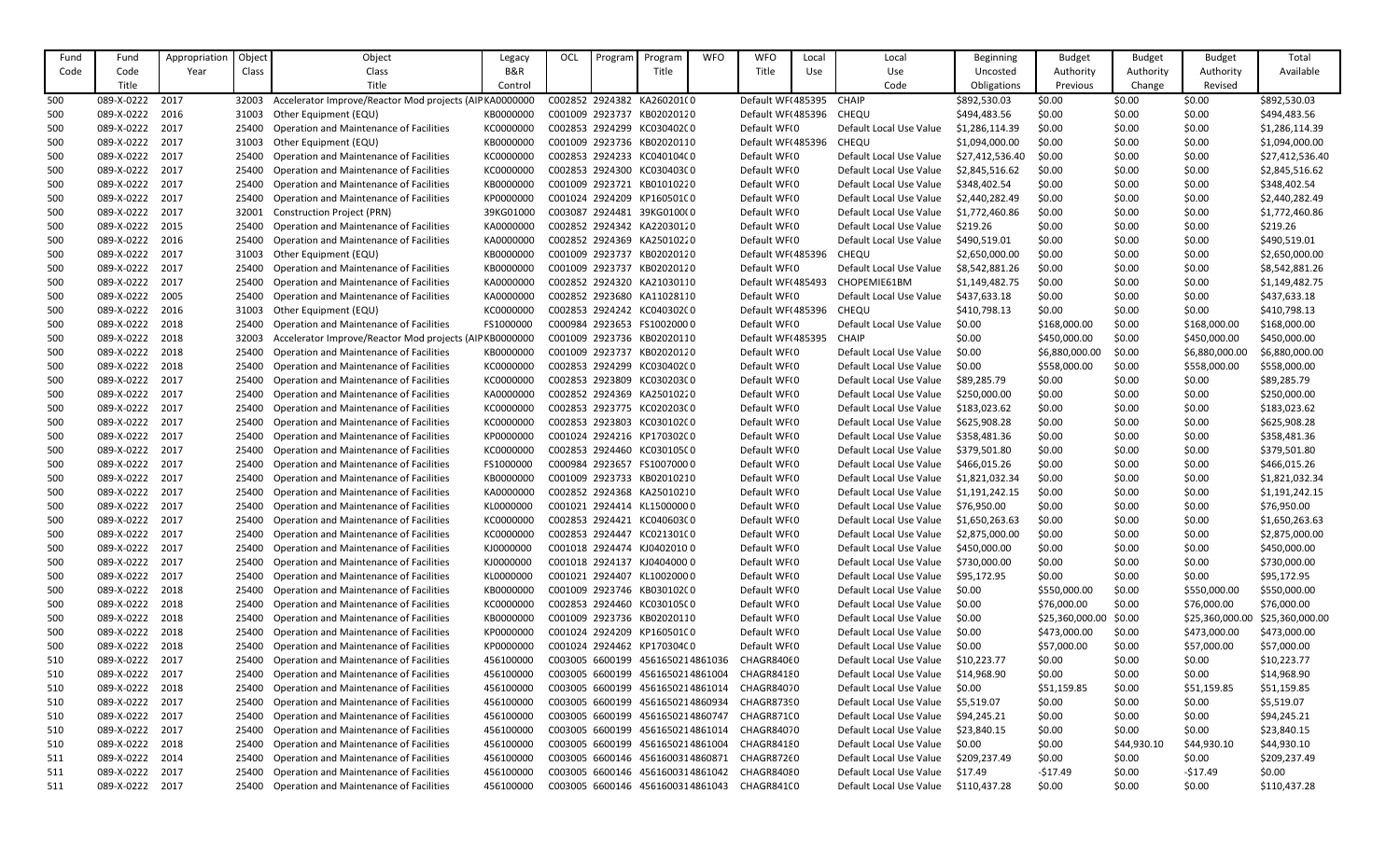| Fund | Fund       | Appropriation | Object | Object                                                  | Legacy         | OCL | Program | Program                          | <b>WFO</b> | <b>WFO</b>              | Local | Local                   | <b>Beginning</b> | <b>Budget</b>   | <b>Budget</b> | <b>Budget</b>   | Total           |
|------|------------|---------------|--------|---------------------------------------------------------|----------------|-----|---------|----------------------------------|------------|-------------------------|-------|-------------------------|------------------|-----------------|---------------|-----------------|-----------------|
| Code | Code       | Year          | Class  | Class                                                   | <b>B&amp;R</b> |     |         | Title                            |            | Title                   | Use   | Use                     | Uncosted         | Authority       | Authority     | Authority       | Available       |
|      | Title      |               |        | Title                                                   | Control        |     |         |                                  |            |                         |       | Code                    | Obligations      | Previous        | Change        | Revised         |                 |
| 500  | 089-X-0222 | 2017          | 32003  | Accelerator Improve/Reactor Mod projects (AIP KA000000  |                |     |         | C002852 2924382 KA260201(0       |            | Default WF(485395 CHAIP |       |                         | \$892,530.03     | \$0.00          | \$0.00        | \$0.00          | \$892,530.03    |
| 500  | 089-X-0222 | 2016          | 31003  | Other Equipment (EQU)                                   | KB000000C      |     |         | C001009 2923737 KB02020120       |            | Default WF(485396       |       | CHEQU                   | \$494,483.56     | \$0.00          | \$0.00        | \$0.00          | \$494,483.56    |
| 500  | 089-X-0222 | 2017          | 25400  | Operation and Maintenance of Facilities                 | KC000000C      |     |         | C002853 2924299 KC03040200       |            | Default WF(0            |       | Default Local Use Value | \$1,286,114.39   | \$0.00          | \$0.00        | \$0.00          | \$1,286,114.39  |
| 500  | 089-X-0222 | 2017          | 31003  | Other Equipment (EQU)                                   | KB000000C      |     |         | C001009 2923736 KB02020110       |            | Default WF(485396       |       | <b>CHEQU</b>            | \$1,094,000.00   | \$0.00          | \$0.00        | \$0.00          | \$1,094,000.00  |
| 500  | 089-X-0222 | 2017          | 25400  | Operation and Maintenance of Facilities                 | KC000000C      |     |         | C002853 2924233 KC040104C0       |            | Default WF(0            |       | Default Local Use Value | \$27,412,536.40  | \$0.00          | \$0.00        | \$0.00          | \$27,412,536.40 |
| 500  | 089-X-0222 | 2017          | 25400  | <b>Operation and Maintenance of Facilities</b>          | KC0000000      |     |         | C002853 2924300 KC03040300       |            | Default WF(0            |       | Default Local Use Value | \$2,845,516.62   | \$0.00          | \$0.00        | \$0.00          | \$2,845,516.62  |
| 500  | 089-X-0222 | 2017          | 25400  | <b>Operation and Maintenance of Facilities</b>          | KB000000C      |     |         | C001009 2923721 KB01010220       |            | Default WF(0            |       | Default Local Use Value | \$348,402.54     | \$0.00          | \$0.00        | \$0.00          | \$348,402.54    |
| 500  | 089-X-0222 | 2017          | 25400  | <b>Operation and Maintenance of Facilities</b>          | KP000000C      |     |         | C001024 2924209 KP160501C0       |            | Default WF(0            |       | Default Local Use Value | \$2,440,282.49   | \$0.00          | \$0.00        | \$0.00          | \$2,440,282.49  |
| 500  | 089-X-0222 | 2017          | 32001  | <b>Construction Project (PRN)</b>                       | 39KG01000      |     |         | C003087 2924481 39KG0100(0       |            | Default WF(0            |       | Default Local Use Value | \$1,772,460.86   | \$0.00          | \$0.00        | \$0.00          | \$1,772,460.86  |
| 500  | 089-X-0222 | 2015          | 25400  | Operation and Maintenance of Facilities                 | KA0000000      |     |         | C002852 2924342 KA22030120       |            | Default WF(0            |       | Default Local Use Value | \$219.26         | \$0.00          | \$0.00        | \$0.00          | \$219.26        |
| 500  | 089-X-0222 | 2016          | 25400  | <b>Operation and Maintenance of Facilities</b>          | KA0000000      |     |         | C002852 2924369 KA25010220       |            | Default WF(0            |       | Default Local Use Value | \$490,519.01     | \$0.00          | \$0.00        | \$0.00          | \$490,519.01    |
| 500  | 089-X-0222 | 2017          | 31003  | Other Equipment (EQU)                                   | KB000000C      |     |         | C001009 2923737 KB02020120       |            | Default WF(485396       |       | <b>CHEQU</b>            | \$2,650,000.00   | \$0.00          | \$0.00        | \$0.00          | \$2,650,000.00  |
| 500  | 089-X-0222 | 2017          | 25400  | <b>Operation and Maintenance of Facilities</b>          | KB000000C      |     |         | C001009 2923737 KB02020120       |            | Default WF(0            |       | Default Local Use Value | \$8,542,881.26   | \$0.00          | \$0.00        | \$0.00          | \$8,542,881.26  |
| 500  | 089-X-0222 | 2017          | 25400  | Operation and Maintenance of Facilities                 | KA0000000      |     |         | C002852 2924320 KA21030110       |            | Default WF(485493       |       | CHOPEMIE61BM            | \$1,149,482.75   | \$0.00          | \$0.00        | \$0.00          | \$1,149,482.75  |
| 500  | 089-X-0222 | 2005          | 25400  | <b>Operation and Maintenance of Facilities</b>          | KA0000000      |     |         | C002852 2923680 KA11028110       |            | Default WF(0            |       | Default Local Use Value | \$437,633.18     | \$0.00          | \$0.00        | \$0.00          | \$437,633.18    |
| 500  | 089-X-0222 | 2016          | 31003  | Other Equipment (EQU)                                   | KC000000C      |     |         | C002853 2924242 KC040302C0       |            | Default WF(485396       |       | CHEQU                   | \$410,798.13     | \$0.00          | \$0.00        | \$0.00          | \$410,798.13    |
| 500  | 089-X-0222 | 2018          | 25400  | Operation and Maintenance of Facilities                 | FS1000000      |     |         | C000984 2923653 FS10020000       |            | Default WF(0            |       | Default Local Use Value | \$0.00           | \$168,000.00    | \$0.00        | \$168,000.00    | \$168,000.00    |
| 500  | 089-X-0222 | 2018          | 32003  | Accelerator Improve/Reactor Mod projects (AIP KB0000000 |                |     |         | C001009 2923736 KB02020110       |            | Default WF(485395       |       | <b>CHAIP</b>            | \$0.00           | \$450,000.00    | \$0.00        | \$450,000.00    | \$450,000.00    |
| 500  | 089-X-0222 | 2018          | 25400  | <b>Operation and Maintenance of Facilities</b>          | KB000000C      |     |         | C001009 2923737 KB02020120       |            | Default WF(0            |       | Default Local Use Value | \$0.00           | \$6,880,000.00  | \$0.00        | \$6,880,000.00  | \$6,880,000.00  |
| 500  | 089-X-0222 | 2018          | 25400  | Operation and Maintenance of Facilities                 | KC000000C      |     |         | C002853 2924299 KC03040200       |            | Default WF(0            |       | Default Local Use Value | \$0.00           | \$558,000.00    | \$0.00        | \$558,000.00    | \$558,000.00    |
| 500  | 089-X-0222 | 2017          | 25400  | <b>Operation and Maintenance of Facilities</b>          | KC000000C      |     |         | C002853 2923809 KC03020300       |            | Default WF(0            |       | Default Local Use Value | \$89,285.79      | \$0.00          | \$0.00        | \$0.00          | \$89,285.79     |
| 500  | 089-X-0222 | 2017          | 25400  | <b>Operation and Maintenance of Facilities</b>          | KA0000000      |     |         | C002852 2924369 KA25010220       |            | Default WF(0            |       | Default Local Use Value | \$250,000.00     | \$0.00          | \$0.00        | \$0.00          | \$250,000.00    |
| 500  | 089-X-0222 | 2017          | 25400  | <b>Operation and Maintenance of Facilities</b>          | KC000000C      |     |         | C002853 2923775 KC020203C0       |            | Default WF(0            |       | Default Local Use Value | \$183,023.62     | \$0.00          | \$0.00        | \$0.00          | \$183,023.62    |
| 500  | 089-X-0222 | 2017          | 25400  | <b>Operation and Maintenance of Facilities</b>          | KC000000C      |     |         | C002853 2923803 KC030102C0       |            | Default WF(0            |       | Default Local Use Value | \$625,908.28     | \$0.00          | \$0.00        | \$0.00          | \$625,908.28    |
| 500  | 089-X-0222 | 2017          | 25400  | Operation and Maintenance of Facilities                 | KP0000000      |     |         | C001024 2924216 KP170302C0       |            | Default WF(0            |       | Default Local Use Value | \$358,481.36     | \$0.00          | \$0.00        | \$0.00          | \$358,481.36    |
| 500  | 089-X-0222 | 2017          | 25400  | <b>Operation and Maintenance of Facilities</b>          | KC000000C      |     |         | C002853 2924460 KC030105C0       |            | Default WF(0            |       | Default Local Use Value | \$379,501.80     | \$0.00          | \$0.00        | \$0.00          | \$379,501.80    |
| 500  | 089-X-0222 | 2017          | 25400  | <b>Operation and Maintenance of Facilities</b>          | FS1000000      |     |         | C000984 2923657 FS10070000       |            | Default WF(0            |       | Default Local Use Value | \$466,015.26     | \$0.00          | \$0.00        | \$0.00          | \$466,015.26    |
| 500  | 089-X-0222 | 2017          | 25400  | <b>Operation and Maintenance of Facilities</b>          | KB0000000      |     |         | C001009 2923733 KB02010210       |            | Default WF(0            |       | Default Local Use Value | \$1,821,032.34   | \$0.00          | \$0.00        | \$0.00          | \$1,821,032.34  |
| 500  | 089-X-0222 | 2017          | 25400  | Operation and Maintenance of Facilities                 | KA0000000      |     |         | C002852 2924368 KA25010210       |            | Default WF(0            |       | Default Local Use Value | \$1,191,242.15   | \$0.00          | \$0.00        | \$0.00          | \$1,191,242.15  |
| 500  | 089-X-0222 | 2017          | 25400  | <b>Operation and Maintenance of Facilities</b>          | KL0000000      |     |         | C001021 2924414 KL15000000       |            | Default WF(0            |       | Default Local Use Value | \$76,950.00      | \$0.00          | \$0.00        | \$0.00          | \$76,950.00     |
| 500  | 089-X-0222 | 2017          | 25400  | <b>Operation and Maintenance of Facilities</b>          | KC000000C      |     |         | C002853 2924421 KC040603C0       |            | Default WF(0            |       | Default Local Use Value | \$1,650,263.63   | \$0.00          | \$0.00        | \$0.00          | \$1,650,263.63  |
| 500  | 089-X-0222 | 2017          | 25400  | <b>Operation and Maintenance of Facilities</b>          | KC000000C      |     |         | C002853 2924447 KC021301C0       |            | Default WF(0            |       | Default Local Use Value | \$2,875,000.00   | \$0.00          | \$0.00        | \$0.00          | \$2,875,000.00  |
| 500  | 089-X-0222 | 2017          | 25400  | <b>Operation and Maintenance of Facilities</b>          | KJ0000000      |     |         | C001018 2924474 KJ0402010 0      |            | Default WF(0            |       | Default Local Use Value | \$450,000.00     | \$0.00          | \$0.00        | \$0.00          | \$450,000.00    |
| 500  | 089-X-0222 | 2017          | 25400  | <b>Operation and Maintenance of Facilities</b>          | KJ0000000      |     |         | C001018 2924137 KJ0404000 0      |            | Default WF(0            |       | Default Local Use Value | \$730,000.00     | \$0.00          | \$0.00        | \$0.00          | \$730,000.00    |
| 500  | 089-X-0222 | 2017          | 25400  | Operation and Maintenance of Facilities                 | KL0000000      |     |         | C001021 2924407 KL10020000       |            | Default WF(0            |       | Default Local Use Value | \$95,172.95      | \$0.00          | \$0.00        | \$0.00          | \$95,172.95     |
| 500  | 089-X-0222 | 2018          | 25400  | Operation and Maintenance of Facilities                 | KB0000000      |     |         | C001009 2923746 KB030102C0       |            | Default WF(0            |       | Default Local Use Value | \$0.00           | \$550,000.00    | \$0.00        | \$550,000.00    | \$550,000.00    |
| 500  | 089-X-0222 | 2018          | 25400  | <b>Operation and Maintenance of Facilities</b>          | KC0000000      |     |         | C002853 2924460 KC030105C0       |            | Default WF(0            |       | Default Local Use Value | \$0.00           | \$76,000.00     | \$0.00        | \$76,000.00     | \$76,000.00     |
| 500  | 089-X-0222 | 2018          | 25400  | Operation and Maintenance of Facilities                 | KB0000000      |     |         | C001009 2923736 KB02020110       |            | Default WF(0            |       | Default Local Use Value | \$0.00           | \$25,360,000.00 | \$0.00        | \$25,360,000.00 | \$25,360,000.00 |
| 500  | 089-X-0222 | 2018          | 25400  | Operation and Maintenance of Facilities                 | KP0000000      |     |         | C001024 2924209 KP160501C0       |            | Default WF(0            |       | Default Local Use Value | \$0.00           | \$473,000.00    | \$0.00        | \$473,000.00    | \$473,000.00    |
| 500  | 089-X-0222 | 2018          | 25400  | Operation and Maintenance of Facilities                 | KP0000000      |     |         | C001024 2924462 KP170304C0       |            | Default WF(0            |       | Default Local Use Value | \$0.00           | \$57,000.00     | \$0.00        | \$57,000.00     | \$57,000.00     |
| 510  | 089-X-0222 | 2017          | 25400  | Operation and Maintenance of Facilities                 | 456100000      |     |         | C003005 6600199 4561650214861036 |            | CHAGR84060              |       | Default Local Use Value | \$10,223.77      | \$0.00          | \$0.00        | \$0.00          | \$10,223.77     |
| 510  | 089-X-0222 | 2017          | 25400  | Operation and Maintenance of Facilities                 | 456100000      |     |         | C003005 6600199 4561650214861004 |            | CHAGR84180              |       | Default Local Use Value | \$14,968.90      | \$0.00          | \$0.00        | \$0.00          | \$14,968.90     |
| 510  | 089-X-0222 | 2018          | 25400  | Operation and Maintenance of Facilities                 | 456100000      |     |         | C003005 6600199 4561650214861014 |            | CHAGR84070              |       | Default Local Use Value | \$0.00           | \$51,159.85     | \$0.00        | \$51,159.85     | \$51,159.85     |
| 510  | 089-X-0222 | 2017          | 25400  | Operation and Maintenance of Facilities                 | 456100000      |     |         | C003005 6600199 4561650214860934 |            | CHAGR87390              |       | Default Local Use Value | \$5,519.07       | \$0.00          | \$0.00        | \$0.00          | \$5,519.07      |
| 510  | 089-X-0222 | 2017          | 25400  | Operation and Maintenance of Facilities                 | 456100000      |     |         | C003005 6600199 4561650214860747 |            | CHAGR871(0              |       | Default Local Use Value | \$94,245.21      | \$0.00          | \$0.00        | \$0.00          | \$94,245.21     |
| 510  | 089-X-0222 | 2017          | 25400  | <b>Operation and Maintenance of Facilities</b>          | 456100000      |     |         | C003005 6600199 4561650214861014 |            | CHAGR84070              |       | Default Local Use Value | \$23,840.15      | \$0.00          | \$0.00        | \$0.00          | \$23,840.15     |
| 510  | 089-X-0222 | 2018          | 25400  | Operation and Maintenance of Facilities                 | 456100000      |     |         | C003005 6600199 4561650214861004 |            | CHAGR84180              |       | Default Local Use Value | \$0.00           | \$0.00          | \$44,930.10   | \$44,930.10     | \$44,930.10     |
| 511  | 089-X-0222 | 2014          | 25400  | Operation and Maintenance of Facilities                 | 456100000      |     |         | C003005 6600146 4561600314860871 |            | CHAGR87260              |       | Default Local Use Value | \$209,237.49     | \$0.00          | \$0.00        | \$0.00          | \$209,237.49    |
| 511  | 089-X-0222 | 2017          | 25400  | <b>Operation and Maintenance of Facilities</b>          | 456100000      |     |         | C003005 6600146 4561600314861042 |            | CHAGR84080              |       | Default Local Use Value | \$17.49          | $-517.49$       | \$0.00        | $-517.49$       | \$0.00          |
| 511  | 089-X-0222 | 2017          | 25400  | <b>Operation and Maintenance of Facilities</b>          | 456100000      |     |         | C003005 6600146 4561600314861043 |            | CHAGR841(0              |       | Default Local Use Value | \$110,437.28     | \$0.00          | \$0.00        | \$0.00          | \$110,437.28    |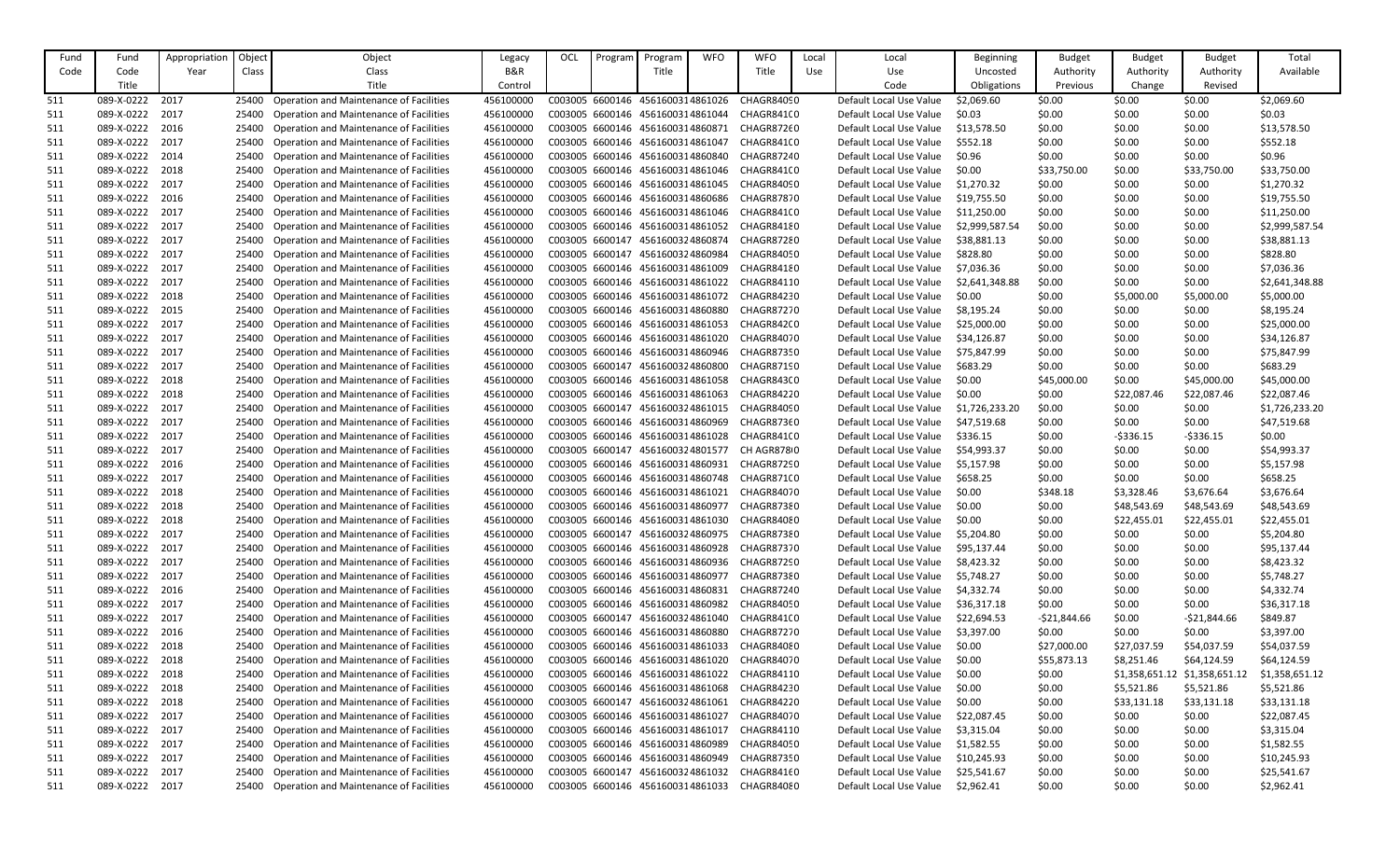| Fund | Fund       | Appropriation | Object | Object                                                                                           | Legacy         | OCL | Program | Program                          | <b>WFO</b> | <b>WFO</b>                                  | Local | Local                   | <b>Beginning</b> | <b>Budget</b> | <b>Budget</b>  | Budget         | Total          |
|------|------------|---------------|--------|--------------------------------------------------------------------------------------------------|----------------|-----|---------|----------------------------------|------------|---------------------------------------------|-------|-------------------------|------------------|---------------|----------------|----------------|----------------|
| Code | Code       | Year          | Class  | Class                                                                                            | <b>B&amp;R</b> |     |         | Title                            |            | Title                                       | Use   | Use                     | Uncosted         | Authority     | Authority      | Authority      | Available      |
|      | Title      |               |        | Title                                                                                            | Control        |     |         |                                  |            |                                             |       | Code                    | Obligations      | Previous      | Change         | Revised        |                |
| -511 | 089-X-0222 | 2017          | 25400  | <b>Operation and Maintenance of Facilities</b>                                                   | 456100000      |     |         | C003005 6600146 4561600314861026 |            | CHAGR84090                                  |       | Default Local Use Value | \$2,069.60       | \$0.00        | \$0.00         | \$0.00         | \$2,069.60     |
| -511 | 089-X-0222 | 2017          | 25400  | <b>Operation and Maintenance of Facilities</b>                                                   | 456100000      |     |         | C003005 6600146 4561600314861044 |            | CHAGR841(0                                  |       | Default Local Use Value | \$0.03           | \$0.00        | \$0.00         | \$0.00         | \$0.03         |
| 511  | 089-X-0222 | 2016          | 25400  | <b>Operation and Maintenance of Facilities</b>                                                   | 456100000      |     |         | C003005 6600146 4561600314860871 |            | CHAGR87260                                  |       | Default Local Use Value | \$13,578.50      | \$0.00        | \$0.00         | \$0.00         | \$13,578.50    |
| -511 | 089-X-0222 | 2017          | 25400  | <b>Operation and Maintenance of Facilities</b>                                                   | 456100000      |     |         | C003005 6600146 4561600314861047 |            | CHAGR841(0                                  |       | Default Local Use Value | \$552.18         | \$0.00        | \$0.00         | \$0.00         | \$552.18       |
| -511 | 089-X-0222 | 2014          | 25400  | <b>Operation and Maintenance of Facilities</b>                                                   | 456100000      |     |         |                                  |            | C003005 6600146 4561600314860840 CHAGR87240 |       | Default Local Use Value | \$0.96           | \$0.00        | \$0.00         | \$0.00         | \$0.96         |
| 511  | 089-X-0222 | 2018          | 25400  | <b>Operation and Maintenance of Facilities</b>                                                   | 456100000      |     |         |                                  |            | C003005 6600146 4561600314861046 CHAGR841(0 |       | Default Local Use Value | \$0.00           | \$33,750.00   | \$0.00         | \$33,750.00    | \$33,750.00    |
| 511  | 089-X-0222 | 2017          | 25400  | <b>Operation and Maintenance of Facilities</b>                                                   | 456100000      |     |         |                                  |            | C003005 6600146 4561600314861045 CHAGR84090 |       | Default Local Use Value | \$1,270.32       | \$0.00        | \$0.00         | \$0.00         | \$1,270.32     |
| -511 | 089-X-0222 | 2016          | 25400  | <b>Operation and Maintenance of Facilities</b>                                                   | 456100000      |     |         | C003005 6600146 4561600314860686 |            | CHAGR87870                                  |       | Default Local Use Value | \$19,755.50      | \$0.00        | \$0.00         | \$0.00         | \$19,755.50    |
| -511 | 089-X-0222 | 2017          | 25400  | <b>Operation and Maintenance of Facilities</b>                                                   | 456100000      |     |         |                                  |            | C003005 6600146 4561600314861046 CHAGR841(0 |       | Default Local Use Value | \$11,250.00      | \$0.00        | \$0.00         | \$0.00         | \$11,250.00    |
| 511  | 089-X-0222 | 2017          | 25400  | <b>Operation and Maintenance of Facilities</b>                                                   | 456100000      |     |         |                                  |            | C003005 6600146 4561600314861052 CHAGR84180 |       | Default Local Use Value | \$2,999,587.54   | \$0.00        | \$0.00         | \$0.00         | \$2,999,587.54 |
| 511  | 089-X-0222 | 2017          | 25400  | <b>Operation and Maintenance of Facilities</b>                                                   | 456100000      |     |         | C003005 6600147 4561600324860874 |            | CHAGR87280                                  |       | Default Local Use Value | \$38,881.13      | \$0.00        | \$0.00         | \$0.00         | \$38,881.13    |
| -511 | 089-X-0222 | 2017          | 25400  | <b>Operation and Maintenance of Facilities</b>                                                   | 456100000      |     |         | C003005 6600147 4561600324860984 |            | CHAGR84050                                  |       | Default Local Use Value | \$828.80         | \$0.00        | \$0.00         | \$0.00         | \$828.80       |
| -511 | 089-X-0222 | 2017          | 25400  | <b>Operation and Maintenance of Facilities</b>                                                   | 456100000      |     |         |                                  |            | C003005 6600146 4561600314861009 CHAGR84180 |       | Default Local Use Value | \$7,036.36       | \$0.00        | \$0.00         | \$0.00         | \$7,036.36     |
| 511  | 089-X-0222 | 2017          | 25400  | <b>Operation and Maintenance of Facilities</b>                                                   | 456100000      |     |         | C003005 6600146 4561600314861022 |            | CHAGR84110                                  |       | Default Local Use Value | \$2,641,348.88   | \$0.00        | \$0.00         | \$0.00         | \$2,641,348.88 |
|      | 089-X-0222 | 2018          |        |                                                                                                  | 456100000      |     |         |                                  |            | C003005 6600146 4561600314861072 CHAGR84230 |       | Default Local Use Value |                  | \$0.00        | \$5,000.00     | \$5,000.00     | \$5,000.00     |
| 511  | 089-X-0222 | 2015          | 25400  | <b>Operation and Maintenance of Facilities</b><br><b>Operation and Maintenance of Facilities</b> |                |     |         |                                  |            |                                             |       |                         | \$0.00           |               |                |                |                |
| -511 |            |               | 25400  |                                                                                                  | 456100000      |     |         | C003005 6600146 4561600314860880 |            | CHAGR87270                                  |       | Default Local Use Value | \$8,195.24       | \$0.00        | \$0.00         | \$0.00         | \$8,195.24     |
| 511  | 089-X-0222 | 2017          | 25400  | <b>Operation and Maintenance of Facilities</b>                                                   | 456100000      |     |         | C003005 6600146 4561600314861053 |            | CHAGR842(0                                  |       | Default Local Use Value | \$25,000.00      | \$0.00        | \$0.00         | \$0.00         | \$25,000.00    |
| -511 | 089-X-0222 | 2017          | 25400  | <b>Operation and Maintenance of Facilities</b>                                                   | 456100000      |     |         | C003005 6600146 4561600314861020 |            | CHAGR84070                                  |       | Default Local Use Value | \$34,126.87      | \$0.00        | \$0.00         | \$0.00         | \$34,126.87    |
| -511 | 089-X-0222 | 2017          | 25400  | <b>Operation and Maintenance of Facilities</b>                                                   | 456100000      |     |         |                                  |            | C003005 6600146 4561600314860946 CHAGR87350 |       | Default Local Use Value | \$75,847.99      | \$0.00        | \$0.00         | \$0.00         | \$75,847.99    |
| -511 | 089-X-0222 | 2017          | 25400  | <b>Operation and Maintenance of Facilities</b>                                                   | 456100000      |     |         | C003005 6600147 4561600324860800 |            | CHAGR87190                                  |       | Default Local Use Value | \$683.29         | \$0.00        | \$0.00         | \$0.00         | \$683.29       |
| -511 | 089-X-0222 | 2018          | 25400  | <b>Operation and Maintenance of Facilities</b>                                                   | 456100000      |     |         | C003005 6600146 4561600314861058 |            | CHAGR843(0                                  |       | Default Local Use Value | \$0.00           | \$45,000.00   | \$0.00         | \$45,000.00    | \$45,000.00    |
| -511 | 089-X-0222 | 2018          | 25400  | <b>Operation and Maintenance of Facilities</b>                                                   | 456100000      |     |         | C003005 6600146 4561600314861063 |            | CHAGR84220                                  |       | Default Local Use Value | \$0.00           | \$0.00        | \$22,087.46    | \$22,087.46    | \$22,087.46    |
| -511 | 089-X-0222 | 2017          | 25400  | <b>Operation and Maintenance of Facilities</b>                                                   | 456100000      |     |         | C003005 6600147 4561600324861015 |            | CHAGR84090                                  |       | Default Local Use Value | \$1,726,233.20   | \$0.00        | \$0.00         | \$0.00         | \$1,726,233.20 |
| -511 | 089-X-0222 | 2017          | 25400  | <b>Operation and Maintenance of Facilities</b>                                                   | 456100000      |     |         |                                  |            | C003005 6600146 4561600314860969 CHAGR87360 |       | Default Local Use Value | \$47,519.68      | \$0.00        | \$0.00         | \$0.00         | \$47,519.68    |
| 511  | 089-X-0222 | 2017          | 25400  | <b>Operation and Maintenance of Facilities</b>                                                   | 456100000      |     |         | C003005 6600146 4561600314861028 |            | CHAGR841(0                                  |       | Default Local Use Value | \$336.15         | \$0.00        | $-5336.15$     | $-5336.15$     | \$0.00         |
| 511  | 089-X-0222 | 2017          | 25400  | <b>Operation and Maintenance of Facilities</b>                                                   | 456100000      |     |         | C003005 6600147 4561600324801577 |            | CH AGR8780                                  |       | Default Local Use Value | \$54,993.37      | \$0.00        | \$0.00         | \$0.00         | \$54,993.37    |
| -511 | 089-X-0222 | 2016          | 25400  | <b>Operation and Maintenance of Facilities</b>                                                   | 456100000      |     |         | C003005 6600146 4561600314860931 |            | CHAGR87290                                  |       | Default Local Use Value | \$5,157.98       | \$0.00        | \$0.00         | \$0.00         | \$5,157.98     |
| -511 | 089-X-0222 | 2017          |        | 25400 Operation and Maintenance of Facilities                                                    | 456100000      |     |         |                                  |            | C003005 6600146 4561600314860748 CHAGR871(0 |       | Default Local Use Value | \$658.25         | \$0.00        | \$0.00         | \$0.00         | \$658.25       |
| 511  | 089-X-0222 | 2018          |        | Operation and Maintenance of Facilities                                                          | 456100000      |     |         | C003005 6600146 4561600314861021 |            | CHAGR84070                                  |       | Default Local Use Value | \$0.00           | \$348.18      | \$3,328.46     | \$3,676.64     | \$3,676.64     |
| 511  | 089-X-0222 | 2018          | 25400  | <b>Operation and Maintenance of Facilities</b>                                                   | 456100000      |     |         | C003005 6600146 4561600314860977 |            | CHAGR87380                                  |       | Default Local Use Value | \$0.00           | \$0.00        | \$48,543.69    | \$48,543.69    | \$48,543.69    |
| -511 | 089-X-0222 | 2018          | 25400  | <b>Operation and Maintenance of Facilities</b>                                                   | 456100000      |     |         | C003005 6600146 4561600314861030 |            | CHAGR84080                                  |       | Default Local Use Value | \$0.00           | \$0.00        | \$22,455.01    | \$22,455.01    | \$22,455.01    |
| 511  | 089-X-0222 | 2017          | 25400  | <b>Operation and Maintenance of Facilities</b>                                                   | 456100000      |     |         |                                  |            | C003005 6600147 4561600324860975 CHAGR87380 |       | Default Local Use Value | \$5,204.80       | \$0.00        | \$0.00         | \$0.00         | \$5,204.80     |
| 511  | 089-X-0222 | 2017          | 25400  | Operation and Maintenance of Facilities                                                          | 456100000      |     |         |                                  |            | C003005 6600146 4561600314860928 CHAGR87370 |       | Default Local Use Value | \$95,137.44      | \$0.00        | \$0.00         | \$0.00         | \$95,137.44    |
| 511  | 089-X-0222 | 2017          | 25400  | <b>Operation and Maintenance of Facilities</b>                                                   | 456100000      |     |         |                                  |            | C003005 6600146 4561600314860936 CHAGR87290 |       | Default Local Use Value | \$8,423.32       | \$0.00        | \$0.00         | \$0.00         | \$8,423.32     |
| 511  | 089-X-0222 | 2017          | 25400  | <b>Operation and Maintenance of Facilities</b>                                                   | 456100000      |     |         |                                  |            | C003005 6600146 4561600314860977 CHAGR87380 |       | Default Local Use Value | \$5,748.27       | \$0.00        | \$0.00         | \$0.00         | \$5,748.27     |
| 511  | 089-X-0222 | 2016          | 25400  | <b>Operation and Maintenance of Facilities</b>                                                   | 456100000      |     |         | C003005 6600146 4561600314860831 |            | CHAGR87240                                  |       | Default Local Use Value | \$4,332.74       | \$0.00        | \$0.00         | \$0.00         | \$4,332.74     |
| 511  | 089-X-0222 | 2017          | 25400  | <b>Operation and Maintenance of Facilities</b>                                                   | 456100000      |     |         |                                  |            | C003005 6600146 4561600314860982 CHAGR84050 |       | Default Local Use Value | \$36,317.18      | \$0.00        | \$0.00         | \$0.00         | \$36,317.18    |
| 511  | 089-X-0222 | 2017          | 25400  | <b>Operation and Maintenance of Facilities</b>                                                   | 456100000      |     |         |                                  |            | C003005 6600147 4561600324861040 CHAGR841(0 |       | Default Local Use Value | \$22,694.53      | $-521,844.66$ | \$0.00         | -\$21,844.66   | \$849.87       |
| -511 | 089-X-0222 | 2016          | 25400  | <b>Operation and Maintenance of Facilities</b>                                                   | 456100000      |     |         | C003005 6600146 4561600314860880 |            | CHAGR87270                                  |       | Default Local Use Value | \$3,397.00       | \$0.00        | \$0.00         | \$0.00         | \$3,397.00     |
| 511  | 089-X-0222 | 2018          | 25400  | <b>Operation and Maintenance of Facilities</b>                                                   | 456100000      |     |         | C003005 6600146 4561600314861033 |            | CHAGR84080                                  |       | Default Local Use Value | \$0.00           | \$27,000.00   | \$27,037.59    | \$54,037.59    | \$54,037.59    |
| 511  | 089-X-0222 | 2018          | 25400  | <b>Operation and Maintenance of Facilities</b>                                                   | 456100000      |     |         | C003005 6600146 4561600314861020 |            | CHAGR84070                                  |       | Default Local Use Value | \$0.00           | \$55,873.13   | \$8,251.46     | \$64,124.59    | \$64,124.59    |
| -511 | 089-X-0222 | 2018          | 25400  | Operation and Maintenance of Facilities                                                          | 456100000      |     |         |                                  |            | C003005 6600146 4561600314861022 CHAGR84110 |       | Default Local Use Value | \$0.00           | \$0.00        | \$1,358,651.12 | \$1,358,651.12 | \$1,358,651.12 |
| -511 | 089-X-0222 | 2018          | 25400  | <b>Operation and Maintenance of Facilities</b>                                                   | 456100000      |     |         |                                  |            | C003005 6600146 4561600314861068 CHAGR84230 |       | Default Local Use Value | \$0.00           | \$0.00        | \$5,521.86     | \$5,521.86     | \$5,521.86     |
| 511  | 089-X-0222 | 2018          | 25400  | Operation and Maintenance of Facilities                                                          | 456100000      |     |         |                                  |            | C003005 6600147 4561600324861061 CHAGR84220 |       | Default Local Use Value | \$0.00           | \$0.00        | \$33,131.18    | \$33,131.18    | \$33,131.18    |
| 511  | 089-X-0222 | 2017          | 25400  | <b>Operation and Maintenance of Facilities</b>                                                   | 456100000      |     |         | C003005 6600146 4561600314861027 |            | CHAGR84070                                  |       | Default Local Use Value | \$22,087.45      | \$0.00        | \$0.00         | \$0.00         | \$22,087.45    |
| 511  | 089-X-0222 | 2017          | 25400  | <b>Operation and Maintenance of Facilities</b>                                                   | 456100000      |     |         | C003005 6600146 4561600314861017 |            | CHAGR84110                                  |       | Default Local Use Value | \$3,315.04       | \$0.00        | \$0.00         | \$0.00         | \$3,315.04     |
| 511  | 089-X-0222 | 2017          | 25400  | <b>Operation and Maintenance of Facilities</b>                                                   | 456100000      |     |         |                                  |            | C003005 6600146 4561600314860989 CHAGR84050 |       | Default Local Use Value | \$1,582.55       | \$0.00        | \$0.00         | \$0.00         | \$1,582.55     |
| 511  | 089-X-0222 | 2017          | 25400  | <b>Operation and Maintenance of Facilities</b>                                                   | 456100000      |     |         |                                  |            | C003005 6600146 4561600314860949 CHAGR87350 |       | Default Local Use Value | \$10,245.93      | \$0.00        | \$0.00         | \$0.00         | \$10,245.93    |
| 511  | 089-X-0222 | 2017          | 25400  | <b>Operation and Maintenance of Facilities</b>                                                   | 456100000      |     |         |                                  |            | C003005 6600147 4561600324861032 CHAGR84160 |       | Default Local Use Value | \$25,541.67      | \$0.00        | \$0.00         | \$0.00         | \$25,541.67    |
| 511  | 089-X-0222 | 2017          | 25400  | <b>Operation and Maintenance of Facilities</b>                                                   | 456100000      |     |         |                                  |            | C003005 6600146 4561600314861033 CHAGR84080 |       | Default Local Use Value | \$2,962.41       | \$0.00        | \$0.00         | \$0.00         | \$2,962.41     |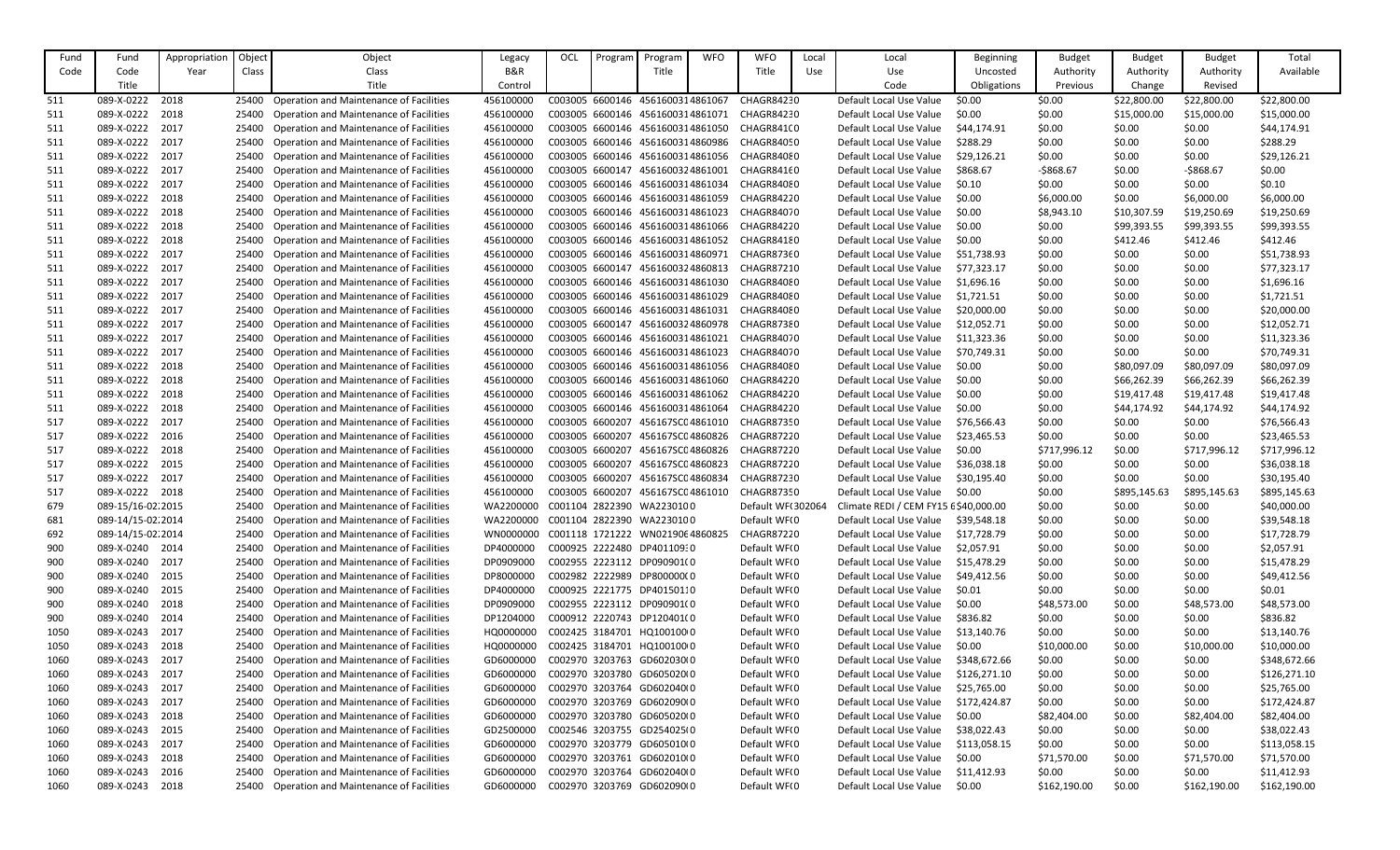| Fund | Fund              | Appropriation | Object | Object                                         | Legacy    | OCL             | Program | Program                          | <b>WFO</b> | <b>WFO</b>        | Local | Local                                | <b>Beginning</b> | <b>Budget</b> | <b>Budget</b> | <b>Budget</b> | Total        |
|------|-------------------|---------------|--------|------------------------------------------------|-----------|-----------------|---------|----------------------------------|------------|-------------------|-------|--------------------------------------|------------------|---------------|---------------|---------------|--------------|
| Code | Code              | Year          | Class  | Class                                          | B&R       |                 |         | Title                            |            | Title             | Use   | Use                                  | Uncosted         | Authority     | Authority     | Authority     | Available    |
|      | Title             |               |        | Title                                          | Control   |                 |         |                                  |            |                   |       | Code                                 | Obligations      | Previous      | Change        | Revised       |              |
| -511 | 089-X-0222        | 2018          | 25400  | <b>Operation and Maintenance of Facilities</b> | 456100000 |                 |         | C003005 6600146 4561600314861067 |            | CHAGR84230        |       | Default Local Use Value              | \$0.00           | \$0.00        | \$22,800.00   | \$22,800.00   | \$22,800.00  |
| -511 | 089-X-0222        | 2018          | 25400  | <b>Operation and Maintenance of Facilities</b> | 456100000 |                 |         | C003005 6600146 4561600314861071 |            | CHAGR84230        |       | Default Local Use Value              | \$0.00           | \$0.00        | \$15,000.00   | \$15,000.00   | \$15,000.00  |
| 511  | 089-X-0222        | 2017          | 25400  | Operation and Maintenance of Facilities        | 456100000 |                 |         | C003005 6600146 4561600314861050 |            | CHAGR841(0        |       | Default Local Use Value              | \$44,174.91      | \$0.00        | \$0.00        | \$0.00        | \$44,174.91  |
|      |                   |               |        |                                                |           |                 |         |                                  |            |                   |       |                                      |                  |               |               |               |              |
| 511  | 089-X-0222        | 2017          | 25400  | <b>Operation and Maintenance of Facilities</b> | 456100000 |                 |         | C003005 6600146 4561600314860986 |            | CHAGR84050        |       | Default Local Use Value              | \$288.29         | \$0.00        | \$0.00        | \$0.00        | \$288.29     |
| -511 | 089-X-0222        | 2017          | 25400  | Operation and Maintenance of Facilities        | 456100000 |                 |         | C003005 6600146 4561600314861056 |            | CHAGR84080        |       | Default Local Use Value              | \$29,126.21      | \$0.00        | \$0.00        | \$0.00        | \$29,126.21  |
| 511  | 089-X-0222        | 2017          | 25400  | <b>Operation and Maintenance of Facilities</b> | 456100000 |                 |         | C003005 6600147 4561600324861001 |            | CHAGR84160        |       | Default Local Use Value              | \$868.67         | $-5868.67$    | \$0.00        | $-5868.67$    | \$0.00       |
| 511  | 089-X-0222        | 2017          | 25400  | <b>Operation and Maintenance of Facilities</b> | 456100000 |                 |         | C003005 6600146 4561600314861034 |            | CHAGR84080        |       | Default Local Use Value              | \$0.10           | \$0.00        | \$0.00        | \$0.00        | \$0.10       |
| 511  | 089-X-0222        | 2018          | 25400  | <b>Operation and Maintenance of Facilities</b> | 456100000 |                 |         | C003005 6600146 4561600314861059 |            | CHAGR84220        |       | Default Local Use Value              | \$0.00           | \$6,000.00    | \$0.00        | \$6,000.00    | \$6,000.00   |
| -511 | 089-X-0222        | 2018          | 25400  | <b>Operation and Maintenance of Facilities</b> | 456100000 |                 |         | C003005 6600146 4561600314861023 |            | CHAGR84070        |       | Default Local Use Value              | \$0.00           | \$8,943.10    | \$10,307.59   | \$19,250.69   | \$19,250.69  |
| 511  | 089-X-0222        | 2018          | 25400  | Operation and Maintenance of Facilities        | 456100000 |                 |         | C003005 6600146 4561600314861066 |            | CHAGR84220        |       | Default Local Use Value              | \$0.00           | \$0.00        | \$99,393.55   | \$99,393.55   | \$99,393.55  |
| 511  | 089-X-0222        | 2018          | 25400  | <b>Operation and Maintenance of Facilities</b> | 456100000 |                 |         | C003005 6600146 4561600314861052 |            | CHAGR84180        |       | Default Local Use Value              | \$0.00           | \$0.00        | \$412.46      | \$412.46      | \$412.46     |
| -511 | 089-X-0222        | 2017          | 25400  | <b>Operation and Maintenance of Facilities</b> | 456100000 |                 |         | C003005 6600146 4561600314860971 |            | CHAGR87360        |       | Default Local Use Value              | \$51,738.93      | \$0.00        | \$0.00        | \$0.00        | \$51,738.93  |
| -511 | 089-X-0222        | 2017          | 25400  | <b>Operation and Maintenance of Facilities</b> | 456100000 |                 |         | C003005 6600147 4561600324860813 |            | CHAGR87210        |       | Default Local Use Value              | \$77,323.17      | \$0.00        | \$0.00        | \$0.00        | \$77,323.17  |
| 511  | 089-X-0222        | 2017          | 25400  | <b>Operation and Maintenance of Facilities</b> | 456100000 |                 |         | C003005 6600146 4561600314861030 |            | CHAGR84080        |       | Default Local Use Value              | \$1,696.16       | \$0.00        | \$0.00        | \$0.00        | \$1,696.16   |
| 511  | 089-X-0222        | 2017          | 25400  | <b>Operation and Maintenance of Facilities</b> | 456100000 |                 |         | C003005 6600146 4561600314861029 |            | CHAGR84080        |       | Default Local Use Value              | \$1,721.51       | \$0.00        | \$0.00        | \$0.00        | \$1,721.51   |
| -511 | 089-X-0222        | 2017          | 25400  | <b>Operation and Maintenance of Facilities</b> | 456100000 |                 |         | C003005 6600146 4561600314861031 |            | CHAGR84080        |       | Default Local Use Value              | \$20,000.00      | \$0.00        | \$0.00        | \$0.00        | \$20,000.00  |
| 511  | 089-X-0222        | 2017          | 25400  | <b>Operation and Maintenance of Facilities</b> | 456100000 |                 |         | C003005 6600147 4561600324860978 |            | CHAGR87380        |       | Default Local Use Value              | \$12,052.71      | \$0.00        | \$0.00        | \$0.00        | \$12,052.71  |
| -511 | 089-X-0222        | 2017          | 25400  | <b>Operation and Maintenance of Facilities</b> | 456100000 |                 |         | C003005 6600146 4561600314861021 |            | CHAGR84070        |       | Default Local Use Value              | \$11,323.36      | \$0.00        | \$0.00        | \$0.00        | \$11,323.36  |
| -511 | 089-X-0222        | 2017          | 25400  | <b>Operation and Maintenance of Facilities</b> | 456100000 |                 |         | C003005 6600146 4561600314861023 |            | CHAGR84070        |       | Default Local Use Value              | \$70,749.31      | \$0.00        | \$0.00        | \$0.00        | \$70,749.31  |
| -511 | 089-X-0222        | 2018          | 25400  | <b>Operation and Maintenance of Facilities</b> | 456100000 |                 |         | C003005 6600146 4561600314861056 |            | CHAGR84080        |       | Default Local Use Value              | \$0.00           | \$0.00        | \$80,097.09   | \$80,097.09   | \$80,097.09  |
| -511 | 089-X-0222        | 2018          | 25400  | Operation and Maintenance of Facilities        | 456100000 |                 |         | C003005 6600146 4561600314861060 |            | CHAGR84220        |       | Default Local Use Value              | \$0.00           | \$0.00        | \$66,262.39   | \$66,262.39   | \$66,262.39  |
| -511 | 089-X-0222        | 2018          | 25400  | Operation and Maintenance of Facilities        | 456100000 |                 |         | C003005 6600146 4561600314861062 |            | CHAGR84220        |       | Default Local Use Value              | \$0.00           | \$0.00        | \$19,417.48   | \$19,417.48   | \$19,417.48  |
| -511 | 089-X-0222        | 2018          | 25400  | <b>Operation and Maintenance of Facilities</b> | 456100000 |                 |         | C003005 6600146 4561600314861064 |            | CHAGR84220        |       | Default Local Use Value              | \$0.00           | \$0.00        | \$44,174.92   | \$44,174.92   | \$44,174.92  |
| -517 | 089-X-0222        | 2017          | 25400  | Operation and Maintenance of Facilities        | 456100000 |                 |         | C003005 6600207 456167SC04861010 |            | CHAGR87350        |       | Default Local Use Value              | \$76,566.43      | \$0.00        | \$0.00        | \$0.00        | \$76,566.43  |
| 517  | 089-X-0222        | 2016          | 25400  | Operation and Maintenance of Facilities        | 456100000 |                 |         | C003005 6600207 456167SC04860826 |            | CHAGR87220        |       | Default Local Use Value              | \$23,465.53      | \$0.00        | \$0.00        | \$0.00        | \$23,465.53  |
| 517  | 089-X-0222        | 2018          | 25400  | Operation and Maintenance of Facilities        | 456100000 | C003005 6600207 |         | 456167SC04860826                 |            | CHAGR87220        |       | Default Local Use Value              | \$0.00           | \$717,996.12  | \$0.00        | \$717,996.12  | \$717,996.12 |
| 517  | 089-X-0222        | 2015          | 25400  | <b>Operation and Maintenance of Facilities</b> | 456100000 | C003005 6600207 |         | 456167SC04860823                 |            | CHAGR87220        |       | Default Local Use Value              | \$36,038.18      | \$0.00        | \$0.00        | \$0.00        | \$36,038.18  |
| 517  | 089-X-0222        | 2017          |        | 25400 Operation and Maintenance of Facilities  | 456100000 |                 |         | C003005 6600207 456167SC04860834 |            | CHAGR87230        |       | Default Local Use Value              | \$30,195.40      | \$0.00        | \$0.00        | \$0.00        | \$30,195.40  |
| 517  | 089-X-0222 2018   |               |        | Operation and Maintenance of Facilities        | 456100000 |                 |         | C003005 6600207 456167SC04861010 |            | CHAGR87350        |       | Default Local Use Value              | \$0.00           | \$0.00        | \$895,145.63  | \$895,145.63  | \$895,145.63 |
| 679  | 089-15/16-02.2015 |               | 25400  | <b>Operation and Maintenance of Facilities</b> | WA2200000 |                 |         | C001104 2822390 WA2230100        |            | Default WF(302064 |       | Climate REDI / CEM FY15 £\$40,000.00 |                  | \$0.00        | \$0.00        | \$0.00        | \$40,000.00  |
| 681  | 089-14/15-02 2014 |               | 25400  | <b>Operation and Maintenance of Facilities</b> | WA2200000 |                 |         | C001104 2822390 WA2230100        |            | Default WF(0      |       | Default Local Use Value              | \$39,548.18      | \$0.00        | \$0.00        | \$0.00        | \$39,548.18  |
| 692  | 089-14/15-02 2014 |               | 25400  | Operation and Maintenance of Facilities        | WN0000000 |                 |         | C001118 1721222 WN0219064860825  |            | CHAGR87220        |       | Default Local Use Value              | \$17,728.79      | \$0.00        | \$0.00        | \$0.00        | \$17,728.79  |
| 900  | 089-X-0240 2014   |               | 25400  | Operation and Maintenance of Facilities        | DP4000000 |                 |         | C000925 2222480 DP40110930       |            | Default WF(0      |       | Default Local Use Value              | \$2,057.91       | \$0.00        | \$0.00        | \$0.00        | \$2,057.91   |
| 900  | 089-X-0240        | 2017          | 25400  | <b>Operation and Maintenance of Facilities</b> | DP0909000 |                 |         | C002955 2223112 DP090901(0       |            | Default WF(0      |       | Default Local Use Value              | \$15,478.29      | \$0.00        | \$0.00        | \$0.00        | \$15,478.29  |
| 900  | 089-X-0240        | 2015          | 25400  | Operation and Maintenance of Facilities        | DP8000000 |                 |         | C002982 2222989 DP800000(0       |            | Default WF(0      |       | Default Local Use Value              | \$49,412.56      | \$0.00        | \$0.00        | \$0.00        | \$49,412.56  |
| 900  | 089-X-0240        | 2015          | 25400  | Operation and Maintenance of Facilities        | DP4000000 |                 |         | C000925 2221775 DP40150110       |            | Default WF(0      |       | Default Local Use Value              | \$0.01           | \$0.00        | \$0.00        | \$0.00        | \$0.01       |
| 900  | 089-X-0240        | 2018          | 25400  | Operation and Maintenance of Facilities        | DP0909000 |                 |         | C002955 2223112 DP090901(0       |            | Default WF(0      |       | Default Local Use Value              | \$0.00           | \$48,573.00   | \$0.00        | \$48,573.00   | \$48,573.00  |
|      | 089-X-0240        | 2014          | 25400  | Operation and Maintenance of Facilities        | DP1204000 |                 |         | C000912 2220743 DP120401(0       |            | Default WF(0      |       | Default Local Use Value              | \$836.82         |               | \$0.00        | \$0.00        | \$836.82     |
| 900  |                   |               |        |                                                |           |                 |         |                                  |            |                   |       |                                      |                  | \$0.00        |               |               |              |
| 1050 | 089-X-0243        | 2017          | 25400  | <b>Operation and Maintenance of Facilities</b> | HQ0000000 |                 |         | C002425 3184701 HQ100100 0       |            | Default WF(0      |       | Default Local Use Value              | \$13,140.76      | \$0.00        | \$0.00        | \$0.00        | \$13,140.76  |
| 1050 | 089-X-0243        | 2018          | 25400  | Operation and Maintenance of Facilities        | HQ0000000 |                 |         | C002425 3184701 HQ100100 0       |            | Default WF(0      |       | Default Local Use Value              | \$0.00           | \$10,000.00   | \$0.00        | \$10,000.00   | \$10,000.00  |
| 1060 | 089-X-0243        | 2017          | 25400  | Operation and Maintenance of Facilities        | GD6000000 |                 |         | C002970 3203763 GD602030(0       |            | Default WF(0      |       | Default Local Use Value              | \$348,672.66     | \$0.00        | \$0.00        | \$0.00        | \$348,672.66 |
| 1060 | 089-X-0243        | 2017          | 25400  | <b>Operation and Maintenance of Facilities</b> | GD6000000 |                 |         | C002970 3203780 GD605020(0       |            | Default WF(0      |       | Default Local Use Value              | \$126,271.10     | \$0.00        | \$0.00        | \$0.00        | \$126,271.10 |
| 1060 | 089-X-0243        | 2017          | 25400  | Operation and Maintenance of Facilities        | GD6000000 |                 |         | C002970 3203764 GD602040(0       |            | Default WF(0      |       | Default Local Use Value              | \$25,765.00      | \$0.00        | \$0.00        | \$0.00        | \$25,765.00  |
| 1060 | 089-X-0243        | 2017          | 25400  | Operation and Maintenance of Facilities        | GD6000000 |                 |         | C002970 3203769 GD602090(0       |            | Default WF(0      |       | Default Local Use Value              | \$172,424.87     | \$0.00        | \$0.00        | \$0.00        | \$172,424.87 |
| 1060 | 089-X-0243        | 2018          | 25400  | Operation and Maintenance of Facilities        | GD6000000 |                 |         | C002970 3203780 GD605020(0       |            | Default WF(0      |       | Default Local Use Value              | \$0.00           | \$82,404.00   | \$0.00        | \$82,404.00   | \$82,404.00  |
| 1060 | 089-X-0243        | 2015          | 25400  | Operation and Maintenance of Facilities        | GD2500000 |                 |         | C002546 3203755 GD254025(0       |            | Default WF(0      |       | Default Local Use Value              | \$38,022.43      | \$0.00        | \$0.00        | \$0.00        | \$38,022.43  |
| 1060 | 089-X-0243        | 2017          | 25400  | Operation and Maintenance of Facilities        | GD6000000 |                 |         | C002970 3203779 GD605010(0       |            | Default WF(0      |       | Default Local Use Value              | \$113,058.15     | \$0.00        | \$0.00        | \$0.00        | \$113,058.15 |
| 1060 | 089-X-0243        | 2018          | 25400  | Operation and Maintenance of Facilities        | GD6000000 |                 |         | C002970 3203761 GD602010(0       |            | Default WF(0      |       | Default Local Use Value              | \$0.00           | \$71,570.00   | \$0.00        | \$71,570.00   | \$71,570.00  |
| 1060 | 089-X-0243        | 2016          | 25400  | Operation and Maintenance of Facilities        | GD6000000 |                 |         | C002970 3203764 GD602040(0       |            | Default WF(0      |       | Default Local Use Value              | \$11,412.93      | \$0.00        | \$0.00        | \$0.00        | \$11,412.93  |
| 1060 | 089-X-0243        | 2018          | 25400  | <b>Operation and Maintenance of Facilities</b> | GD6000000 |                 |         | C002970 3203769 GD602090(0       |            | Default WF(0      |       | Default Local Use Value              | \$0.00           | \$162,190.00  | \$0.00        | \$162,190.00  | \$162,190.00 |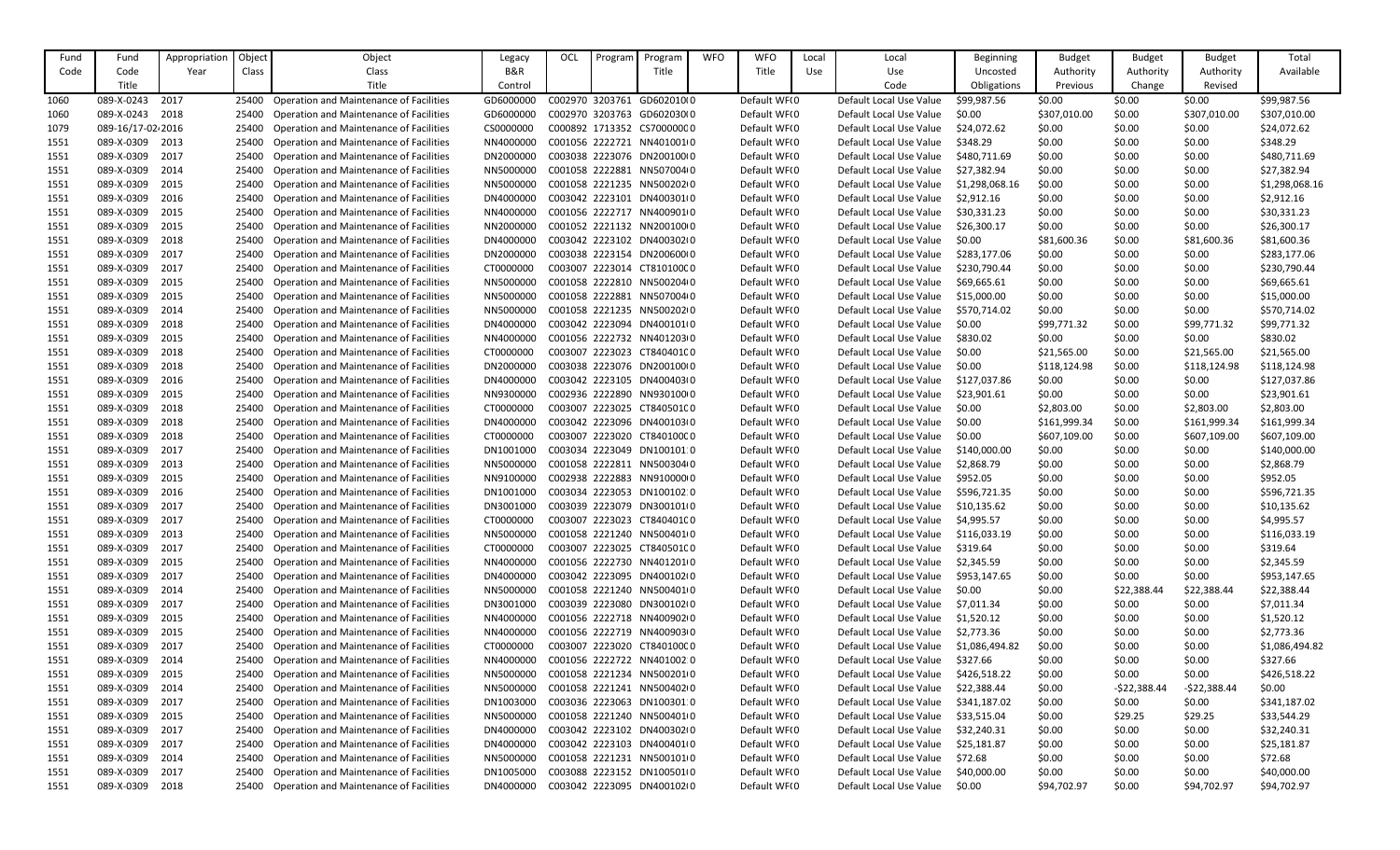| Fund         | Fund              | Appropriatior | Object | Object                                         | Legacy    | OCL | Program | Program                    | <b>WFO</b> | <b>WFO</b>   | Local | Local                   | <b>Beginning</b> | <b>Budget</b> | <b>Budget</b> | <b>Budget</b> | Total          |
|--------------|-------------------|---------------|--------|------------------------------------------------|-----------|-----|---------|----------------------------|------------|--------------|-------|-------------------------|------------------|---------------|---------------|---------------|----------------|
| Code         | Code              | Year          | Class  | Class                                          | B&R       |     |         | Title                      |            | Title        | Use   | Use                     | Uncosted         | Authority     | Authority     | Authority     | Available      |
|              | Title             |               |        | Title                                          | Control   |     |         |                            |            |              |       | Code                    | Obligations      | Previous      | Change        | Revised       |                |
| 1060         | 089-X-0243        | 2017          | 25400  | <b>Operation and Maintenance of Facilities</b> | GD6000000 |     |         | C002970 3203761 GD602010(0 |            | Default WF(0 |       | Default Local Use Value | \$99,987.56      | \$0.00        | \$0.00        | \$0.00        | \$99,987.56    |
| 1060         | 089-X-0243        | 2018          | 25400  | Operation and Maintenance of Facilities        | GD6000000 |     |         | C002970 3203763 GD602030(0 |            | Default WF(0 |       | Default Local Use Value | \$0.00           | \$307,010.00  | \$0.00        | \$307,010.00  | \$307,010.00   |
| 1079         | 089-16/17-02-2016 |               | 25400  | Operation and Maintenance of Facilities        | CS0000000 |     |         | C000892 1713352 CS70000000 |            | Default WF(0 |       | Default Local Use Value | \$24,072.62      | \$0.00        | \$0.00        | \$0.00        | \$24,072.62    |
| 1551         | 089-X-0309        | 2013          | 25400  | Operation and Maintenance of Facilities        | NN4000000 |     |         | C001056 2222721 NN4010010  |            | Default WF(0 |       | Default Local Use Value | \$348.29         | \$0.00        | \$0.00        | \$0.00        | \$348.29       |
| 1551         | 089-X-0309        | 2017          | 25400  | <b>Operation and Maintenance of Facilities</b> | DN2000000 |     |         | C003038 2223076 DN200100(0 |            | Default WF(0 |       | Default Local Use Value | \$480,711.69     | \$0.00        | \$0.00        | \$0.00        | \$480,711.69   |
| 1551         | 089-X-0309        | 2014          | 25400  | <b>Operation and Maintenance of Facilities</b> | NN5000000 |     |         | C001058 2222881 NN507004(0 |            | Default WF(0 |       | Default Local Use Value | \$27,382.94      | \$0.00        | \$0.00        | \$0.00        | \$27,382.94    |
| 1551         | 089-X-0309        | 2015          | 25400  | Operation and Maintenance of Facilities        | NN5000000 |     |         | C001058 2221235 NN5002020  |            | Default WF(0 |       | Default Local Use Value | \$1,298,068.16   | \$0.00        | \$0.00        | \$0.00        | \$1,298,068.16 |
| 1551         | 089-X-0309        | 2016          | 25400  | Operation and Maintenance of Facilities        | DN4000000 |     |         | C003042 2223101 DN400301(0 |            | Default WF(0 |       | Default Local Use Value | \$2,912.16       | \$0.00        | \$0.00        | \$0.00        | \$2,912.16     |
| 1551         | 089-X-0309        | 2015          | 25400  | Operation and Maintenance of Facilities        | NN4000000 |     |         | C001056 2222717 NN4009010  |            | Default WF(0 |       | Default Local Use Value | \$30,331.23      | \$0.00        | \$0.00        | \$0.00        | \$30,331.23    |
| 1551         | 089-X-0309        | 2015          | 25400  | Operation and Maintenance of Facilities        | NN2000000 |     |         | C001052 2221132 NN20010000 |            | Default WF(0 |       | Default Local Use Value | \$26,300.17      | \$0.00        | \$0.00        | \$0.00        | \$26,300.17    |
| 1551         | 089-X-0309        | 2018          | 25400  | Operation and Maintenance of Facilities        | DN4000000 |     |         | C003042 2223102 DN400302(0 |            | Default WF(0 |       | Default Local Use Value | \$0.00           | \$81,600.36   | \$0.00        | \$81,600.36   | \$81,600.36    |
| 1551         | 089-X-0309        | 2017          | 25400  | <b>Operation and Maintenance of Facilities</b> | DN2000000 |     |         | C003038 2223154 DN200600(0 |            | Default WF(0 |       | Default Local Use Value | \$283,177.06     | \$0.00        | \$0.00        | \$0.00        | \$283,177.06   |
| 1551         | 089-X-0309        | 2017          | 25400  | Operation and Maintenance of Facilities        | CT0000000 |     |         | C003007 2223014 CT81010000 |            | Default WF(0 |       | Default Local Use Value | \$230,790.44     | \$0.00        | \$0.00        | \$0.00        | \$230,790.44   |
| 1551         | 089-X-0309        | 2015          | 25400  | Operation and Maintenance of Facilities        | NN5000000 |     |         | C001058 2222810 NN5002040  |            | Default WF(0 |       | Default Local Use Value | \$69,665.61      | \$0.00        | \$0.00        | \$0.00        | \$69,665.61    |
| 1551         | 089-X-0309        | 2015          | 25400  | <b>Operation and Maintenance of Facilities</b> | NN5000000 |     |         | C001058 2222881 NN507004(0 |            | Default WF(0 |       | Default Local Use Value | \$15,000.00      | \$0.00        | \$0.00        | \$0.00        | \$15,000.00    |
| 1551         | 089-X-0309        | 2014          | 25400  | Operation and Maintenance of Facilities        | NN5000000 |     |         | C001058 2221235 NN50020200 |            | Default WF(0 |       | Default Local Use Value | \$570,714.02     | \$0.00        | \$0.00        | \$0.00        | \$570,714.02   |
| 1551         | 089-X-0309        | 2018          | 25400  | Operation and Maintenance of Facilities        | DN4000000 |     |         | C003042 2223094 DN4001010  |            | Default WF(0 |       | Default Local Use Value | \$0.00           | \$99,771.32   | \$0.00        | \$99,771.32   | \$99,771.32    |
| 1551         | 089-X-0309        | 2015          | 25400  | Operation and Maintenance of Facilities        | NN4000000 |     |         | C001056 2222732 NN401203(0 |            | Default WF(0 |       | Default Local Use Value | \$830.02         | \$0.00        | \$0.00        | \$0.00        | \$830.02       |
| 1551         | 089-X-0309        | 2018          | 25400  | Operation and Maintenance of Facilities        | CT000000C |     |         | C003007 2223023 CT840401C0 |            | Default WF(0 |       | Default Local Use Value | \$0.00           | \$21,565.00   | \$0.00        | \$21,565.00   | \$21,565.00    |
| 1551         | 089-X-0309        | 2018          | 25400  | Operation and Maintenance of Facilities        | DN2000000 |     |         | C003038 2223076 DN200100(0 |            | Default WF(0 |       | Default Local Use Value | \$0.00           | \$118,124.98  | \$0.00        | \$118,124.98  | \$118,124.98   |
| 1551         | 089-X-0309        | 2016          | 25400  | <b>Operation and Maintenance of Facilities</b> | DN4000000 |     |         | C003042 2223105 DN400403(0 |            | Default WF(0 |       | Default Local Use Value | \$127,037.86     | \$0.00        | \$0.00        | \$0.00        | \$127,037.86   |
| 1551         | 089-X-0309        | 2015          | 25400  | Operation and Maintenance of Facilities        | NN9300000 |     |         | C002936 2222890 NN9301000  |            | Default WF(0 |       | Default Local Use Value | \$23,901.61      | \$0.00        | \$0.00        | \$0.00        | \$23,901.61    |
| 1551         | 089-X-0309        | 2018          | 25400  | <b>Operation and Maintenance of Facilities</b> | CT000000C |     |         | C003007 2223025 CT840501C0 |            | Default WF(0 |       | Default Local Use Value | \$0.00           | \$2,803.00    | \$0.00        | \$2,803.00    | \$2,803.00     |
| 1551         | 089-X-0309        | 2018          | 25400  | Operation and Maintenance of Facilities        | DN4000000 |     |         | C003042 2223096 DN400103(0 |            | Default WF(0 |       | Default Local Use Value | \$0.00           | \$161,999.34  | \$0.00        | \$161,999.34  | \$161,999.34   |
| 1551         | 089-X-0309        | 2018          | 25400  | Operation and Maintenance of Facilities        | CT0000000 |     |         | C003007 2223020 CT840100C0 |            | Default WF(0 |       | Default Local Use Value | \$0.00           | \$607,109.00  | \$0.00        | \$607,109.00  | \$607,109.00   |
| 1551         | 089-X-0309        | 2017          | 25400  | Operation and Maintenance of Facilities        | DN1001000 |     |         | C003034 2223049 DN100101 0 |            | Default WF(0 |       | Default Local Use Value | \$140,000.00     | \$0.00        | \$0.00        | \$0.00        | \$140,000.00   |
| 1551         | 089-X-0309        | 2013          | 25400  | Operation and Maintenance of Facilities        | NN5000000 |     |         | C001058 2222811 NN500304(0 |            | Default WF(0 |       | Default Local Use Value | \$2,868.79       | \$0.00        | \$0.00        | \$0.00        | \$2,868.79     |
| 1551         | 089-X-0309        | 2015          | 25400  | <b>Operation and Maintenance of Facilities</b> | NN9100000 |     |         | C002938 2222883 NN91000000 |            | Default WF(0 |       | Default Local Use Value | \$952.05         | \$0.00        | \$0.00        | \$0.00        | \$952.05       |
| 1551         | 089-X-0309        | 2016          |        | <b>Operation and Maintenance of Facilities</b> | DN1001000 |     |         | C003034 2223053 DN100102:0 |            | Default WF(0 |       | Default Local Use Value | \$596,721.35     | \$0.00        | \$0.00        | \$0.00        | \$596,721.35   |
| 1551         | 089-X-0309        | 2017          | 25400  | <b>Operation and Maintenance of Facilities</b> | DN3001000 |     |         | C003039 2223079 DN300101(0 |            | Default WF(0 |       | Default Local Use Value | \$10,135.62      | \$0.00        | \$0.00        | \$0.00        | \$10,135.62    |
| 1551         | 089-X-0309        | 2017          | 25400  | <b>Operation and Maintenance of Facilities</b> | CT0000000 |     |         | C003007 2223023 CT840401C0 |            | Default WF(0 |       | Default Local Use Value | \$4,995.57       | \$0.00        | \$0.00        | \$0.00        | \$4,995.57     |
| 1551         | 089-X-0309        | 2013          | 25400  | <b>Operation and Maintenance of Facilities</b> | NN5000000 |     |         | C001058 2221240 NN5004010  |            | Default WF(0 |       | Default Local Use Value | \$116,033.19     | \$0.00        | \$0.00        | \$0.00        | \$116,033.19   |
| 1551         | 089-X-0309        | 2017          | 25400  | Operation and Maintenance of Facilities        | CT0000000 |     |         | C003007 2223025 CT840501C0 |            | Default WF(0 |       | Default Local Use Value | \$319.64         | \$0.00        | \$0.00        | \$0.00        | \$319.64       |
| 1551         | 089-X-0309        | 2015          | 25400  | Operation and Maintenance of Facilities        | NN4000000 |     |         | C001056 2222730 NN4012010  |            | Default WF(0 |       | Default Local Use Value | \$2,345.59       | \$0.00        | \$0.00        | \$0.00        | \$2,345.59     |
| 1551         | 089-X-0309        | 2017          | 25400  | <b>Operation and Maintenance of Facilities</b> | DN4000000 |     |         | C003042 2223095 DN400102(0 |            | Default WF(0 |       | Default Local Use Value | \$953,147.65     | \$0.00        | \$0.00        | \$0.00        | \$953,147.65   |
| 1551         | 089-X-0309        | 2014          | 25400  | <b>Operation and Maintenance of Facilities</b> | NN5000000 |     |         | C001058 2221240 NN5004010  |            | Default WF(0 |       | Default Local Use Value | \$0.00           | \$0.00        | \$22,388.44   | \$22,388.44   | \$22,388.44    |
| 1551         | 089-X-0309        | 2017          | 25400  | <b>Operation and Maintenance of Facilities</b> | DN3001000 |     |         | C003039 2223080 DN300102(0 |            | Default WF(0 |       | Default Local Use Value | \$7,011.34       | \$0.00        | \$0.00        | \$0.00        | \$7,011.34     |
| 1551         | 089-X-0309        | 2015          | 25400  | <b>Operation and Maintenance of Facilities</b> | NN4000000 |     |         | C001056 2222718 NN400902(0 |            | Default WF(0 |       | Default Local Use Value | \$1,520.12       | \$0.00        | \$0.00        | \$0.00        | \$1,520.12     |
| 1551         | 089-X-0309        | 2015          | 25400  | <b>Operation and Maintenance of Facilities</b> | NN4000000 |     |         | C001056 2222719 NN400903(0 |            | Default WF(0 |       | Default Local Use Value | \$2,773.36       | \$0.00        | \$0.00        | \$0.00        | \$2,773.36     |
| 1551         | 089-X-0309        | 2017          | 25400  | Operation and Maintenance of Facilities        | CT0000000 |     |         | C003007 2223020 CT840100C0 |            | Default WF(0 |       | Default Local Use Value | \$1,086,494.82   | \$0.00        | \$0.00        | \$0.00        | \$1,086,494.82 |
| 1551         | 089-X-0309        | 2014          | 25400  | <b>Operation and Maintenance of Facilities</b> | NN4000000 |     |         | C001056 2222722 NN401002 0 |            | Default WF(0 |       | Default Local Use Value | \$327.66         | \$0.00        | \$0.00        | \$0.00        | \$327.66       |
| 1551         | 089-X-0309        | 2015          | 25400  | <b>Operation and Maintenance of Facilities</b> | NN5000000 |     |         | C001058 2221234 NN5002010  |            | Default WF(0 |       | Default Local Use Value | \$426,518.22     | \$0.00        | \$0.00        | \$0.00        | \$426,518.22   |
| 1551         | 089-X-0309        | 2014          | 25400  | Operation and Maintenance of Facilities        | NN5000000 |     |         | C001058 2221241 NN500402(0 |            | Default WF(0 |       | Default Local Use Value | \$22,388.44      | \$0.00        | $-522,388.44$ | $-522,388.44$ | \$0.00         |
| 1551         | 089-X-0309        | 2017          | 25400  | Operation and Maintenance of Facilities        | DN1003000 |     |         | C003036 2223063 DN100301:0 |            | Default WF(0 |       | Default Local Use Value | \$341,187.02     | \$0.00        | \$0.00        | \$0.00        | \$341,187.02   |
| 1551         | 089-X-0309        | 2015          | 25400  | Operation and Maintenance of Facilities        | NN5000000 |     |         | C001058 2221240 NN5004010  |            | Default WF(0 |       | Default Local Use Value | \$33,515.04      | \$0.00        | \$29.25       | \$29.25       | \$33,544.29    |
| 1551         | 089-X-0309        | 2017          | 25400  | <b>Operation and Maintenance of Facilities</b> | DN4000000 |     |         | C003042 2223102 DN400302(0 |            | Default WF(0 |       | Default Local Use Value | \$32,240.31      | \$0.00        | \$0.00        | \$0.00        | \$32,240.31    |
|              | 089-X-0309        | 2017          | 25400  | <b>Operation and Maintenance of Facilities</b> | DN4000000 |     |         | C003042 2223103 DN400401(0 |            | Default WF(0 |       | Default Local Use Value | \$25,181.87      | \$0.00        | \$0.00        | \$0.00        | \$25,181.87    |
| 1551<br>1551 | 089-X-0309        | 2014          | 25400  | Operation and Maintenance of Facilities        | NN5000000 |     |         | C001058 2221231 NN5001010  |            | Default WF(0 |       | Default Local Use Value | \$72.68          | \$0.00        | \$0.00        | \$0.00        | \$72.68        |
| 1551         | 089-X-0309        | 2017          | 25400  | Operation and Maintenance of Facilities        | DN1005000 |     |         | C003088 2223152 DN100501(0 |            | Default WF(0 |       | Default Local Use Value | \$40,000.00      | \$0.00        | \$0.00        | \$0.00        | \$40,000.00    |
|              | 089-X-0309        | 2018          |        |                                                |           |     |         | C003042 2223095 DN400102(0 |            | Default WF(0 |       |                         |                  | \$94,702.97   |               |               | \$94,702.97    |
| 1551         |                   |               | 25400  | <b>Operation and Maintenance of Facilities</b> | DN4000000 |     |         |                            |            |              |       | Default Local Use Value | \$0.00           |               | \$0.00        | \$94,702.97   |                |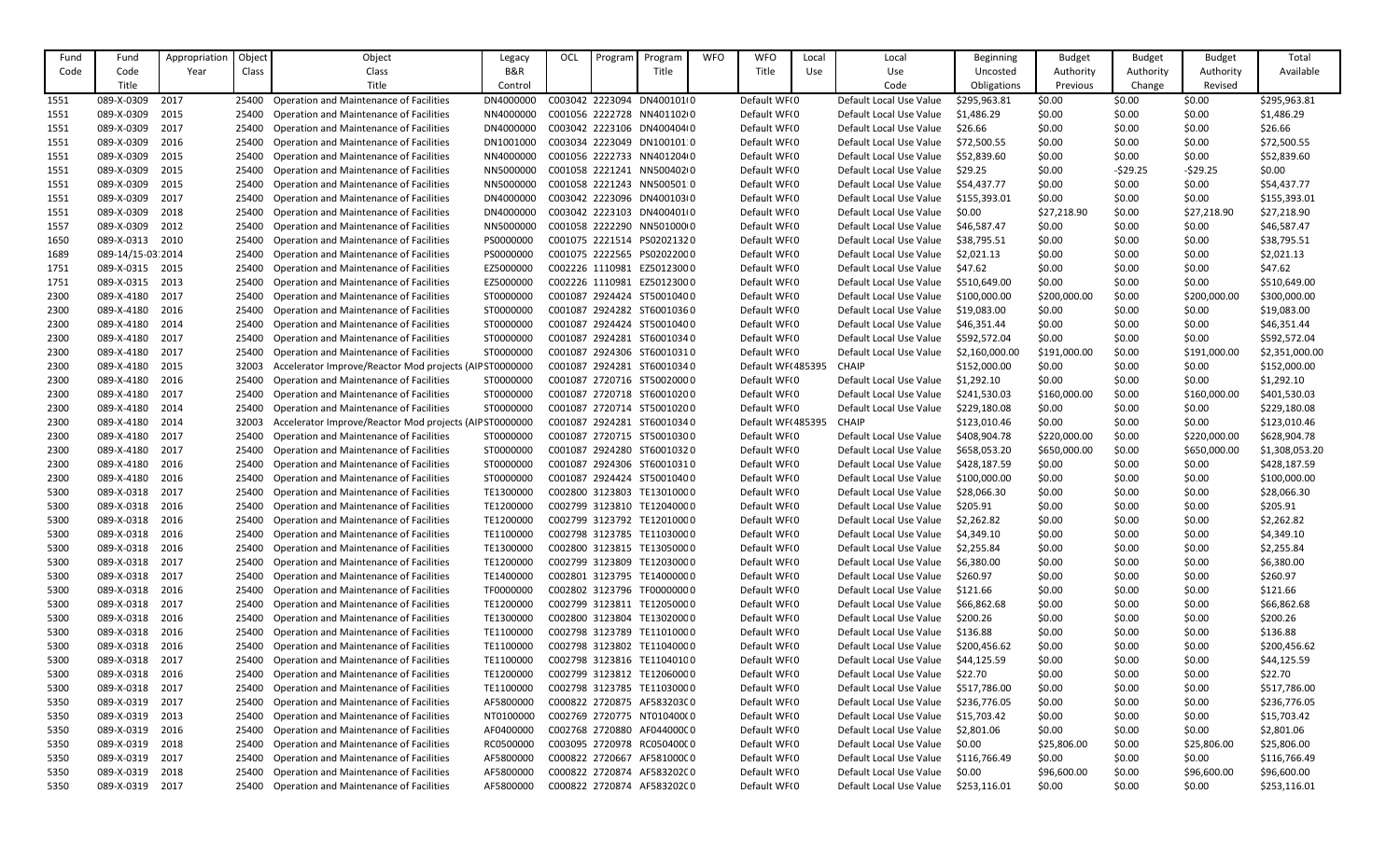| Fund | Fund              | Appropriation | Object | Object                                                  | Legacy    | OCL | Program | Program                    | <b>WFO</b> | <b>WFO</b>        | Local      | Local                   | Beginning      | <b>Budget</b> | <b>Budget</b> | <b>Budget</b> | Total          |
|------|-------------------|---------------|--------|---------------------------------------------------------|-----------|-----|---------|----------------------------|------------|-------------------|------------|-------------------------|----------------|---------------|---------------|---------------|----------------|
| Code | Code              | Year          | Class  | Class                                                   | B&R       |     |         | Title                      |            | Title             | <b>Use</b> | Use                     | Uncosted       | Authority     | Authority     | Authority     | Available      |
|      | Title             |               |        | Title                                                   | Control   |     |         |                            |            |                   |            | Code                    | Obligations    | Previous      | Change        | Revised       |                |
| 1551 | 089-X-0309        | 2017          | 25400  | <b>Operation and Maintenance of Facilities</b>          | DN4000000 |     |         | C003042 2223094 DN4001010  |            | Default WF(0      |            | Default Local Use Value | \$295,963.81   | \$0.00        | \$0.00        | \$0.00        | \$295,963.81   |
| 1551 | 089-X-0309        | 2015          | 25400  | <b>Operation and Maintenance of Facilities</b>          | NN4000000 |     |         | C001056 2222728 NN4011020  |            | Default WF(0      |            | Default Local Use Value | \$1,486.29     | \$0.00        | \$0.00        | \$0.00        | \$1,486.29     |
| 1551 | 089-X-0309        | 2017          | 25400  | <b>Operation and Maintenance of Facilities</b>          | DN4000000 |     |         | C003042 2223106 DN400404(0 |            | Default WF(0      |            | Default Local Use Value | \$26.66        | \$0.00        | \$0.00        | \$0.00        | \$26.66        |
| 1551 | 089-X-0309        | 2016          | 25400  | <b>Operation and Maintenance of Facilities</b>          | DN1001000 |     |         | C003034 2223049 DN100101:0 |            | Default WF(0      |            | Default Local Use Value | \$72,500.55    | \$0.00        | \$0.00        | \$0.00        | \$72,500.55    |
| 1551 | 089-X-0309        | 2015          | 25400  | <b>Operation and Maintenance of Facilities</b>          | NN4000000 |     |         | C001056 2222733 NN401204(0 |            | Default WF(0      |            | Default Local Use Value | \$52,839.60    | \$0.00        | \$0.00        | \$0.00        | \$52,839.60    |
| 1551 | 089-X-0309        | 2015          | 25400  | <b>Operation and Maintenance of Facilities</b>          | NN5000000 |     |         | C001058 2221241 NN500402(0 |            | Default WF(0      |            | Default Local Use Value | \$29.25        | \$0.00        | $-529.25$     | $-529.25$     | \$0.00         |
|      | 089-X-0309        | 2015          |        |                                                         | NN5000000 |     |         | C001058 2221243 NN500501 0 |            | Default WF(0      |            | Default Local Use Value | \$54,437.77    |               | \$0.00        | \$0.00        | \$54,437.77    |
| 1551 |                   |               | 25400  | <b>Operation and Maintenance of Facilities</b>          |           |     |         | C003042 2223096 DN400103(0 |            |                   |            |                         |                | \$0.00        |               |               |                |
| 1551 | 089-X-0309        | 2017          | 25400  | <b>Operation and Maintenance of Facilities</b>          | DN4000000 |     |         |                            |            | Default WF(0      |            | Default Local Use Value | \$155,393.01   | \$0.00        | \$0.00        | \$0.00        | \$155,393.01   |
| 1551 | 089-X-0309        | 2018          | 25400  | <b>Operation and Maintenance of Facilities</b>          | DN4000000 |     |         | C003042 2223103 DN400401(0 |            | Default WF(0      |            | Default Local Use Value | \$0.00         | \$27,218.90   | \$0.00        | \$27,218.90   | \$27,218.90    |
| 1557 | 089-X-0309        | 2012          | 25400  | <b>Operation and Maintenance of Facilities</b>          | NN5000000 |     |         | C001058 2222290 NN50100000 |            | Default WF(0      |            | Default Local Use Value | \$46,587.47    | \$0.00        | \$0.00        | \$0.00        | \$46,587.47    |
| 1650 | 089-X-0313        | 2010          | 25400  | <b>Operation and Maintenance of Facilities</b>          | PS000000C |     |         | C001075 2221514 PS02021320 |            | Default WF(0      |            | Default Local Use Value | \$38,795.51    | \$0.00        | \$0.00        | \$0.00        | \$38,795.51    |
| 1689 | 089-14/15-03 2014 |               | 25400  | <b>Operation and Maintenance of Facilities</b>          | PS000000C |     |         | C001075 2222565 PS02022000 |            | Default WF(0      |            | Default Local Use Value | \$2,021.13     | \$0.00        | \$0.00        | \$0.00        | \$2,021.13     |
| 1751 | 089-X-0315        | 2015          | 25400  | <b>Operation and Maintenance of Facilities</b>          | EZ5000000 |     |         | C002226 1110981 EZ50123000 |            | Default WF(0      |            | Default Local Use Value | \$47.62        | \$0.00        | \$0.00        | \$0.00        | \$47.62        |
| 1751 | 089-X-0315        | 2013          | 25400  | <b>Operation and Maintenance of Facilities</b>          | EZ5000000 |     |         | C002226 1110981 EZ50123000 |            | Default WF(0      |            | Default Local Use Value | \$510,649.00   | \$0.00        | \$0.00        | \$0.00        | \$510,649.00   |
| 2300 | 089-X-4180        | 2017          | 25400  | <b>Operation and Maintenance of Facilities</b>          | ST0000000 |     |         | C001087 2924424 ST50010400 |            | Default WF(0      |            | Default Local Use Value | \$100,000.00   | \$200,000.00  | \$0.00        | \$200,000.00  | \$300,000.00   |
| 2300 | 089-X-4180        | 2016          | 25400  | <b>Operation and Maintenance of Facilities</b>          | ST0000000 |     |         | C001087 2924282 ST60010360 |            | Default WF(0      |            | Default Local Use Value | \$19,083.00    | \$0.00        | \$0.00        | \$0.00        | \$19,083.00    |
| 2300 | 089-X-4180        | 2014          | 25400  | <b>Operation and Maintenance of Facilities</b>          | ST0000000 |     |         | C001087 2924424 ST50010400 |            | Default WF(0      |            | Default Local Use Value | \$46,351.44    | \$0.00        | \$0.00        | \$0.00        | \$46,351.44    |
| 2300 | 089-X-4180        | 2017          | 25400  | <b>Operation and Maintenance of Facilities</b>          | ST0000000 |     |         | C001087 2924281 ST60010340 |            | Default WF(0      |            | Default Local Use Value | \$592,572.04   | \$0.00        | \$0.00        | \$0.00        | \$592,572.04   |
| 2300 | 089-X-4180        | 2017          | 25400  | <b>Operation and Maintenance of Facilities</b>          | ST0000000 |     |         | C001087 2924306 ST60010310 |            | Default WF(0      |            | Default Local Use Value | \$2,160,000.00 | \$191,000.00  | \$0.00        | \$191,000.00  | \$2,351,000.00 |
| 2300 | 089-X-4180        | 2015          |        | Accelerator Improve/Reactor Mod projects (AIP ST0000000 |           |     |         | C001087 2924281 ST60010340 |            | Default WF(485395 |            | <b>CHAIP</b>            | \$152,000.00   | \$0.00        | \$0.00        | \$0.00        | \$152,000.00   |
| 2300 | 089-X-4180        | 2016          | 25400  | <b>Operation and Maintenance of Facilities</b>          | ST0000000 |     |         | C001087 2720716 ST50020000 |            | Default WF(0      |            | Default Local Use Value | \$1,292.10     | \$0.00        | \$0.00        | \$0.00        | \$1,292.10     |
| 2300 | 089-X-4180        | 2017          | 25400  | <b>Operation and Maintenance of Facilities</b>          | ST0000000 |     |         | C001087 2720718 ST60010200 |            | Default WF(0      |            | Default Local Use Value | \$241,530.03   | \$160,000.00  | \$0.00        | \$160,000.00  | \$401,530.03   |
| 2300 | 089-X-4180        | 2014          | 25400  | <b>Operation and Maintenance of Facilities</b>          | ST0000000 |     |         | C001087 2720714 ST50010200 |            | Default WF(0      |            | Default Local Use Value | \$229,180.08   | \$0.00        | \$0.00        | \$0.00        | \$229,180.08   |
| 2300 | 089-X-4180        | 2014          | 32003  | Accelerator Improve/Reactor Mod projects (AIP ST0000000 |           |     |         | C001087 2924281 ST60010340 |            | Default WF(485395 |            | <b>CHAIP</b>            | \$123,010.46   | \$0.00        | \$0.00        | \$0.00        | \$123,010.46   |
| 2300 | 089-X-4180        | 2017          | 25400  | <b>Operation and Maintenance of Facilities</b>          | ST0000000 |     |         | C001087 2720715 ST50010300 |            | Default WF(0      |            | Default Local Use Value | \$408,904.78   | \$220,000.00  | \$0.00        | \$220,000.00  | \$628,904.78   |
| 2300 | 089-X-4180        | 2017          | 25400  | <b>Operation and Maintenance of Facilities</b>          | ST0000000 |     |         | C001087 2924280 ST60010320 |            | Default WF(0      |            | Default Local Use Value | \$658,053.20   | \$650,000.00  | \$0.00        | \$650,000.00  | \$1,308,053.20 |
| 2300 | 089-X-4180        | 2016          | 25400  | <b>Operation and Maintenance of Facilities</b>          | ST0000000 |     |         | C001087 2924306 ST60010310 |            | Default WF(0      |            | Default Local Use Value | \$428,187.59   | \$0.00        | \$0.00        | \$0.00        | \$428,187.59   |
| 2300 | 089-X-4180        | 2016          |        | 25400 Operation and Maintenance of Facilities           | ST0000000 |     |         | C001087 2924424 ST50010400 |            | Default WF(0      |            | Default Local Use Value | \$100,000.00   | \$0.00        | \$0.00        | \$0.00        | \$100,000.00   |
| 5300 | 089-X-0318        | 2017          | 25400  | <b>Operation and Maintenance of Facilities</b>          | TE130000C |     |         | C002800 3123803 TE13010000 |            | Default WF(0      |            | Default Local Use Value | \$28,066.30    | \$0.00        | \$0.00        | \$0.00        | \$28,066.30    |
| 5300 | 089-X-0318        | 2016          | 25400  | <b>Operation and Maintenance of Facilities</b>          | TE1200000 |     |         | C002799 3123810 TE12040000 |            | Default WF(0      |            | Default Local Use Value | \$205.91       | \$0.00        | \$0.00        | \$0.00        | \$205.91       |
| 5300 | 089-X-0318        | 2016          | 25400  | <b>Operation and Maintenance of Facilities</b>          | TE1200000 |     |         | C002799 3123792 TE12010000 |            | Default WF(0      |            | Default Local Use Value | \$2,262.82     | \$0.00        | \$0.00        | \$0.00        | \$2,262.82     |
| 5300 | 089-X-0318        | 2016          | 25400  | <b>Operation and Maintenance of Facilities</b>          | TE1100000 |     |         | C002798 3123785 TE11030000 |            | Default WF(0      |            | Default Local Use Value | \$4,349.10     | \$0.00        | \$0.00        | \$0.00        | \$4,349.10     |
| 5300 | 089-X-0318        | 2016          | 25400  | <b>Operation and Maintenance of Facilities</b>          | TE1300000 |     |         | C002800 3123815 TE13050000 |            | Default WF(0      |            | Default Local Use Value | \$2,255.84     | \$0.00        | \$0.00        | \$0.00        | \$2,255.84     |
| 5300 | 089-X-0318        | 2017          | 25400  | <b>Operation and Maintenance of Facilities</b>          | TE1200000 |     |         | C002799 3123809 TE12030000 |            | Default WF(0      |            | Default Local Use Value | \$6,380.00     | \$0.00        | \$0.00        | \$0.00        | \$6,380.00     |
| 5300 | 089-X-0318        | 2017          | 25400  | <b>Operation and Maintenance of Facilities</b>          | TE1400000 |     |         | C002801 3123795 TE14000000 |            | Default WF(0      |            | Default Local Use Value | \$260.97       | \$0.00        | \$0.00        | \$0.00        | \$260.97       |
| 5300 | 089-X-0318        | 2016          | 25400  | <b>Operation and Maintenance of Facilities</b>          | TF0000000 |     |         | C002802 3123796 TF00000000 |            | Default WF(0      |            | Default Local Use Value | \$121.66       | \$0.00        | \$0.00        | \$0.00        | \$121.66       |
| 5300 | 089-X-0318        | 2017          | 25400  | <b>Operation and Maintenance of Facilities</b>          | TE1200000 |     |         | C002799 3123811 TE12050000 |            | Default WF(0      |            | Default Local Use Value | \$66,862.68    | \$0.00        | \$0.00        | \$0.00        | \$66,862.68    |
| 5300 | 089-X-0318        | 2016          | 25400  | <b>Operation and Maintenance of Facilities</b>          | TE1300000 |     |         | C002800 3123804 TE13020000 |            | Default WF(0      |            | Default Local Use Value | \$200.26       | \$0.00        | \$0.00        | \$0.00        | \$200.26       |
| 5300 | 089-X-0318        | 2016          | 25400  | <b>Operation and Maintenance of Facilities</b>          | TE1100000 |     |         | C002798 3123789 TE11010000 |            | Default WF(0      |            | Default Local Use Value | \$136.88       | \$0.00        | \$0.00        | \$0.00        | \$136.88       |
| 5300 | 089-X-0318        | 2016          | 25400  | <b>Operation and Maintenance of Facilities</b>          | TE1100000 |     |         | C002798 3123802 TE11040000 |            | Default WF(0      |            | Default Local Use Value | \$200,456.62   | \$0.00        | \$0.00        | \$0.00        | \$200,456.62   |
| 5300 | 089-X-0318        | 2017          | 25400  | <b>Operation and Maintenance of Facilities</b>          | TE1100000 |     |         | C002798 3123816 TE11040100 |            | Default WF(0      |            | Default Local Use Value | \$44,125.59    | \$0.00        | \$0.00        | \$0.00        | \$44,125.59    |
| 5300 | 089-X-0318        | 2016          | 25400  | <b>Operation and Maintenance of Facilities</b>          | TE1200000 |     |         | C002799 3123812 TE12060000 |            | Default WF(0      |            | Default Local Use Value | \$22.70        | \$0.00        | \$0.00        | \$0.00        | \$22.70        |
| 5300 | 089-X-0318        | 2017          | 25400  | <b>Operation and Maintenance of Facilities</b>          | TE1100000 |     |         | C002798 3123785 TE11030000 |            | Default WF(0      |            | Default Local Use Value | \$517,786.00   | \$0.00        | \$0.00        | \$0.00        | \$517,786.00   |
| 5350 | 089-X-0319        | 2017          | 25400  | <b>Operation and Maintenance of Facilities</b>          | AF5800000 |     |         | C000822 2720875 AF583203C0 |            | Default WF(0      |            | Default Local Use Value | \$236,776.05   | \$0.00        | \$0.00        | \$0.00        | \$236,776.05   |
| 5350 | 089-X-0319        | 2013          | 25400  | <b>Operation and Maintenance of Facilities</b>          | NT0100000 |     |         | C002769 2720775 NT010400(0 |            | Default WF(0      |            | Default Local Use Value | \$15,703.42    | \$0.00        | \$0.00        | \$0.00        | \$15,703.42    |
| 5350 | 089-X-0319        | 2016          | 25400  | <b>Operation and Maintenance of Facilities</b>          | AF0400000 |     |         | C002768 2720880 AF044000C0 |            | Default WF(0      |            | Default Local Use Value | \$2,801.06     | \$0.00        | \$0.00        | \$0.00        | \$2,801.06     |
| 5350 | 089-X-0319        | 2018          | 25400  | <b>Operation and Maintenance of Facilities</b>          | RC0500000 |     |         | C003095 2720978 RC05040000 |            | Default WF(0      |            | Default Local Use Value | \$0.00         | \$25,806.00   | \$0.00        | \$25,806.00   | \$25,806.00    |
| 5350 | 089-X-0319        | 2017          | 25400  | <b>Operation and Maintenance of Facilities</b>          | AF5800000 |     |         | C000822 2720667 AF581000C0 |            | Default WF(0      |            | Default Local Use Value | \$116,766.49   | \$0.00        | \$0.00        | \$0.00        | \$116,766.49   |
| 5350 | 089-X-0319        | 2018          | 25400  | <b>Operation and Maintenance of Facilities</b>          | AF5800000 |     |         | C000822 2720874 AF583202C0 |            | Default WF(0      |            | Default Local Use Value | \$0.00         | \$96,600.00   | \$0.00        | \$96,600.00   | \$96,600.00    |
| 5350 | 089-X-0319        | 2017          |        | 25400 Operation and Maintenance of Facilities           | AF5800000 |     |         | C000822 2720874 AF583202C0 |            | Default WF(0      |            | Default Local Use Value | \$253,116.01   | \$0.00        | \$0.00        | \$0.00        | \$253,116.01   |
|      |                   |               |        |                                                         |           |     |         |                            |            |                   |            |                         |                |               |               |               |                |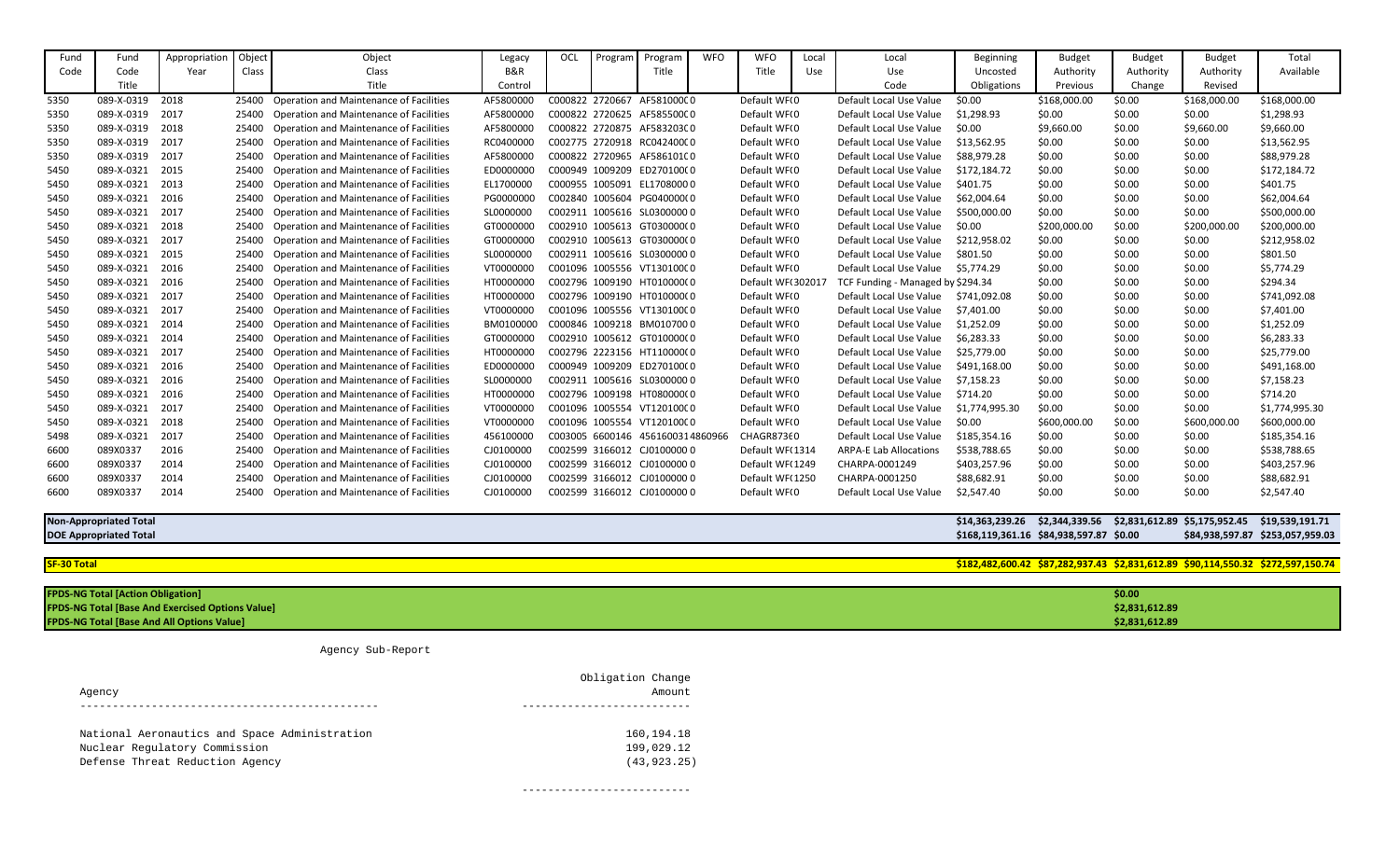| Fund | Fund                                                                                                   | Appropriation                                           | Object | Object                                         | Legacy    | OCL | Program | Program                          | <b>WFO</b> | <b>WFO</b>        | Local | Local                              | <b>Beginning</b>                                                             | <b>Budget</b> | <b>Budget</b>  | <b>Budget</b> | Total                            |
|------|--------------------------------------------------------------------------------------------------------|---------------------------------------------------------|--------|------------------------------------------------|-----------|-----|---------|----------------------------------|------------|-------------------|-------|------------------------------------|------------------------------------------------------------------------------|---------------|----------------|---------------|----------------------------------|
| Code | Code                                                                                                   | Year                                                    | Class  | Class                                          | B&R       |     |         | Title                            |            | Title             | Use   | Use                                | Uncosted                                                                     | Authority     | Authority      | Authority     | Available                        |
|      | Title                                                                                                  |                                                         |        | Title                                          | Control   |     |         |                                  |            |                   |       | Code                               | Obligations                                                                  | Previous      | Change         | Revised       |                                  |
| 5350 | 089-X-0319                                                                                             | 2018                                                    | 25400  | <b>Operation and Maintenance of Facilities</b> | AF5800000 |     |         | C000822 2720667 AF581000C0       |            | Default WF(0      |       | Default Local Use Value            | \$0.00                                                                       | \$168,000.00  | \$0.00         | \$168,000.00  | \$168,000.00                     |
| 5350 | 089-X-0319                                                                                             | 2017                                                    | 25400  | <b>Operation and Maintenance of Facilities</b> | AF5800000 |     |         | C000822 2720625 AF585500C0       |            | Default WF(0      |       | Default Local Use Value            | \$1,298.93                                                                   | \$0.00        | \$0.00         | \$0.00        | \$1,298.93                       |
| 5350 | 089-X-0319                                                                                             | 2018                                                    | 25400  | <b>Operation and Maintenance of Facilities</b> | AF5800000 |     |         | C000822 2720875 AF583203C0       |            | Default WF(0      |       | Default Local Use Value            | \$0.00                                                                       | \$9,660.00    | \$0.00         | \$9,660.00    | \$9,660.00                       |
| 5350 | 089-X-0319                                                                                             | 2017                                                    | 25400  | <b>Operation and Maintenance of Facilities</b> | RC0400000 |     |         | C002775 2720918 RC04240000       |            | Default WF(0      |       | Default Local Use Value            | \$13,562.95                                                                  | \$0.00        | \$0.00         | \$0.00        | \$13,562.95                      |
| 5350 | 089-X-0319                                                                                             | 2017                                                    | 25400  | <b>Operation and Maintenance of Facilities</b> | AF5800000 |     |         | C000822 2720965 AF586101C0       |            | Default WF(0      |       | Default Local Use Value            | \$88,979.28                                                                  | \$0.00        | \$0.00         | \$0.00        | \$88,979.28                      |
| 5450 | 089-X-0321                                                                                             | 2015                                                    | 25400  | <b>Operation and Maintenance of Facilities</b> | ED0000000 |     |         | C000949 1009209 ED270100(0       |            | Default WF(0      |       | Default Local Use Value            | \$172,184.72                                                                 | \$0.00        | \$0.00         | \$0.00        | \$172,184.72                     |
| 5450 | 089-X-0321                                                                                             | 2013                                                    | 25400  | <b>Operation and Maintenance of Facilities</b> | EL1700000 |     |         | C000955 1005091 EL17080000       |            | Default WF(0      |       | Default Local Use Value            | \$401.75                                                                     | \$0.00        | \$0.00         | \$0.00        | \$401.75                         |
| 5450 | 089-X-0321                                                                                             | 2016                                                    | 25400  | <b>Operation and Maintenance of Facilities</b> | PG0000000 |     |         | C002840 1005604 PG040000(0       |            | Default WF(0      |       | Default Local Use Value            | \$62,004.64                                                                  | \$0.00        | \$0.00         | \$0.00        | \$62,004.64                      |
| 5450 | 089-X-0321                                                                                             | 2017                                                    | 25400  | <b>Operation and Maintenance of Facilities</b> | SL0000000 |     |         | C002911 1005616 SL0300000 0      |            | Default WF(0      |       | Default Local Use Value            | \$500,000.00                                                                 | \$0.00        | \$0.00         | \$0.00        | \$500,000.00                     |
| 5450 | 089-X-0321                                                                                             | 2018                                                    | 25400  | <b>Operation and Maintenance of Facilities</b> | GT000000C |     |         | C002910 1005613 GT030000(0       |            | Default WF(0      |       | Default Local Use Value            | \$0.00                                                                       | \$200,000.00  | \$0.00         | \$200,000.00  | \$200,000.00                     |
| 5450 | 089-X-0321                                                                                             | 2017                                                    | 25400  | <b>Operation and Maintenance of Facilities</b> | GT0000000 |     |         | C002910 1005613 GT030000(0       |            | Default WF(0      |       | Default Local Use Value            | \$212,958.02                                                                 | \$0.00        | \$0.00         | \$0.00        | \$212,958.02                     |
| 5450 | 089-X-0321                                                                                             | 2015                                                    | 25400  | <b>Operation and Maintenance of Facilities</b> | SL0000000 |     |         | C002911 1005616 SL0300000 0      |            | Default WF(0      |       | Default Local Use Value            | \$801.50                                                                     | \$0.00        | \$0.00         | \$0.00        | \$801.50                         |
| 5450 | 089-X-0321                                                                                             | 2016                                                    | 25400  | <b>Operation and Maintenance of Facilities</b> | VT0000000 |     |         | C001096 1005556 VT13010000       |            | Default WF(0      |       | Default Local Use Value            | \$5,774.29                                                                   | \$0.00        | \$0.00         | \$0.00        | \$5,774.29                       |
| 5450 | 089-X-0321                                                                                             | 2016                                                    | 25400  | <b>Operation and Maintenance of Facilities</b> | HT000000C |     |         | C002796 1009190 HT010000(0       |            | Default WF(302017 |       | TCF Funding - Managed by \$294.34  |                                                                              | \$0.00        | \$0.00         | \$0.00        | \$294.34                         |
| 5450 | 089-X-0321                                                                                             | 2017                                                    | 25400  | <b>Operation and Maintenance of Facilities</b> | HT0000000 |     |         | C002796 1009190 HT010000(0       |            | Default WF(0      |       | Default Local Use Value            | \$741,092.08                                                                 | \$0.00        | \$0.00         | \$0.00        | \$741,092.08                     |
| 5450 | 089-X-0321                                                                                             | 2017                                                    | 25400  | <b>Operation and Maintenance of Facilities</b> | VT0000000 |     |         | C001096 1005556 VT13010000       |            | Default WF(0      |       | Default Local Use Value            | \$7,401.00                                                                   | \$0.00        | \$0.00         | \$0.00        | \$7,401.00                       |
| 5450 | 089-X-0321                                                                                             | 2014                                                    | 25400  | <b>Operation and Maintenance of Facilities</b> | BM0100000 |     |         | C000846 1009218 BM0107000        |            | Default WF(0      |       | Default Local Use Value            | \$1,252.09                                                                   | \$0.00        | \$0.00         | \$0.00        | \$1,252.09                       |
| 5450 | 089-X-0321                                                                                             | 2014                                                    | 25400  | <b>Operation and Maintenance of Facilities</b> | GT0000000 |     |         | C002910 1005612 GT010000(0       |            | Default WF(0      |       | Default Local Use Value            | \$6,283.33                                                                   | \$0.00        | \$0.00         | \$0.00        | \$6,283.33                       |
| 5450 | 089-X-0321                                                                                             | 2017                                                    | 25400  | <b>Operation and Maintenance of Facilities</b> | HT0000000 |     |         | C002796 2223156 HT110000(0       |            | Default WF(0      |       | Default Local Use Value            | \$25,779.00                                                                  | \$0.00        | \$0.00         | \$0.00        | \$25,779.00                      |
| 5450 | 089-X-0321                                                                                             | 2016                                                    | 25400  | <b>Operation and Maintenance of Facilities</b> | ED0000000 |     |         | C000949 1009209 ED270100(0       |            | Default WF(0      |       | Default Local Use Value            | \$491,168.00                                                                 | \$0.00        | \$0.00         | \$0.00        | \$491,168.00                     |
| 5450 | 089-X-0321                                                                                             | 2016                                                    | 25400  | <b>Operation and Maintenance of Facilities</b> | SL0000000 |     |         | C002911 1005616 SL0300000 0      |            | Default WF(0      |       | Default Local Use Value            | \$7,158.23                                                                   | \$0.00        | \$0.00         | \$0.00        | \$7,158.23                       |
| 5450 | 089-X-0321                                                                                             | 2016                                                    | 25400  | <b>Operation and Maintenance of Facilities</b> | HT0000000 |     |         | C002796 1009198 HT080000(0       |            | Default WF(0      |       | Default Local Use Value            | \$714.20                                                                     | \$0.00        | \$0.00         | \$0.00        | \$714.20                         |
| 5450 | 089-X-0321                                                                                             | 2017                                                    | 25400  | <b>Operation and Maintenance of Facilities</b> | VT0000000 |     |         | C001096 1005554 VT12010000       |            | Default WF(0      |       | Default Local Use Value            | \$1,774,995.30                                                               | \$0.00        | \$0.00         | \$0.00        | \$1,774,995.30                   |
| 5450 | 089-X-0321                                                                                             | 2018                                                    | 25400  | <b>Operation and Maintenance of Facilities</b> | VT0000000 |     |         | C001096 1005554 VT12010000       |            | Default WF(0      |       | Default Local Use Value            | \$0.00                                                                       | \$600,000.00  | \$0.00         | \$600,000.00  | \$600,000.00                     |
| 5498 | 089-X-0321                                                                                             | 2017                                                    | 25400  | <b>Operation and Maintenance of Facilities</b> | 456100000 |     |         | C003005 6600146 4561600314860966 |            | CHAGR87360        |       | Default Local Use Value            | \$185,354.16                                                                 | \$0.00        | \$0.00         | \$0.00        | \$185,354.16                     |
| 6600 | 089X0337                                                                                               | 2016                                                    | 25400  | <b>Operation and Maintenance of Facilities</b> | CJ0100000 |     |         | C002599 3166012 CJ0100000 0      |            | Default WF(1314   |       | <b>ARPA-E Lab Allocations</b>      | \$538,788.65                                                                 | \$0.00        | \$0.00         | \$0.00        | \$538,788.65                     |
| 6600 | 089X0337                                                                                               | 2014                                                    | 25400  | <b>Operation and Maintenance of Facilities</b> | CJ0100000 |     |         | C002599 3166012 CJ0100000 0      |            | Default WF(1249   |       | CHARPA-0001249                     | \$403,257.96                                                                 | \$0.00        | \$0.00         | \$0.00        | \$403,257.96                     |
| 6600 | 089X0337                                                                                               | 2014                                                    |        | 25400 Operation and Maintenance of Facilities  | CJ0100000 |     |         | C002599 3166012 CJ0100000 0      |            | Default WF(1250   |       | CHARPA-0001250                     | \$88,682.91                                                                  | \$0.00        | \$0.00         | \$0.00        | \$88,682.91                      |
| 6600 | 089X0337 2014                                                                                          |                                                         |        | 25400 Operation and Maintenance of Facilities  |           |     |         |                                  |            | Default WF(0      |       | Default Local Use Value \$2,547.40 |                                                                              | \$0.00        | \$0.00         | \$0.00        | \$2,547.40                       |
|      | <b>Non-Appropriated Total</b>                                                                          |                                                         |        |                                                |           |     |         |                                  |            |                   |       |                                    | \$14,363,239.26 \$2,344,339.56 \$2,831,612.89 \$5,175,952.45 \$19,539,191.71 |               |                |               |                                  |
|      | <b>DOE Appropriated Total</b>                                                                          |                                                         |        |                                                |           |     |         |                                  |            |                   |       |                                    | \$168,119,361.16 \$84,938,597.87 \$0.00                                      |               |                |               | \$84,938,597.87 \$253,057,959.03 |
|      |                                                                                                        |                                                         |        |                                                |           |     |         |                                  |            |                   |       |                                    |                                                                              |               |                |               |                                  |
|      | \$182,482,600.42 \$87,282,937.43 \$2,831,612.89 \$90,114,550.32 \$272,597,150.74<br><b>SF-30 Total</b> |                                                         |        |                                                |           |     |         |                                  |            |                   |       |                                    |                                                                              |               |                |               |                                  |
|      |                                                                                                        |                                                         |        |                                                |           |     |         |                                  |            |                   |       |                                    |                                                                              |               |                |               |                                  |
|      | <b>FPDS-NG Total [Action Obligation]</b>                                                               |                                                         |        |                                                |           |     |         |                                  |            |                   |       |                                    |                                                                              |               | \$0.00         |               |                                  |
|      |                                                                                                        | <b>FPDS-NG Total [Base And Exercised Options Value]</b> |        |                                                |           |     |         |                                  |            |                   |       |                                    |                                                                              |               | \$2,831,612.89 |               |                                  |
|      |                                                                                                        | <b>FPDS-NG Total [Base And All Options Value]</b>       |        |                                                |           |     |         |                                  |            |                   |       |                                    |                                                                              |               | \$2,831,612.89 |               |                                  |

Agency Sub-Report

|                                               | Obligation Change |
|-----------------------------------------------|-------------------|
| Agency                                        | Amount            |
|                                               |                   |
| National Aeronautics and Space Administration | 160,194.18        |
| Nuclear Regulatory Commission                 | 199,029.12        |
| Defense Threat Reduction Agency               | (43, 923, 25)     |

--------------------------